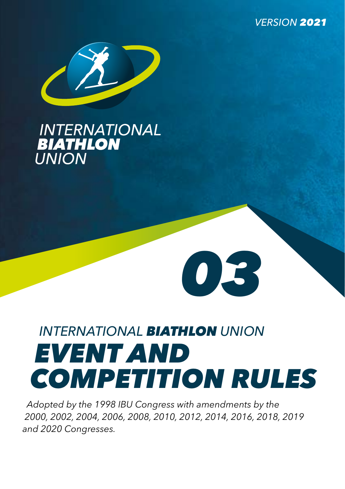*VERSION 2021*



# **INTERNATIONAL**<br>BIATHLON **UNION**

# *INTERNATIONAL BIATHLON UNION EVENT AND COMPETITION RULES*

*03*

*Adopted by the 1998 IBU Congress with amendments by the 2000, 2002, 2004, 2006, 2008, 2010, 2012, 2014, 2016, 2018, 2019 and 2020 Congresses.*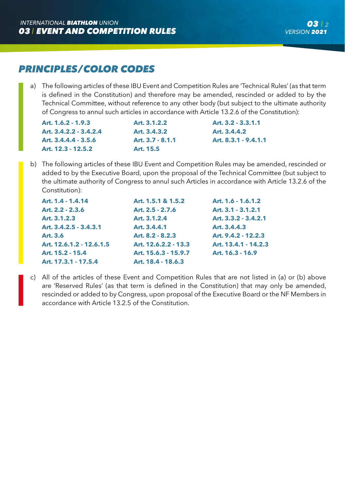# *PRINCIPLES/COLOR CODES*

a) The following articles of these IBU Event and Competition Rules are 'Technical Rules' (as that term is defined in the Constitution) and therefore may be amended, rescinded or added to by the Technical Committee, without reference to any other body (but subject to the ultimate authority of Congress to annul such articles in accordance with Article 13.2.6 of the Constitution):

**Art. 1.6.2 - 1.9.3 Art. 3.1.2.2 Art. 3.2 - 3.3.1.1 Art. 3.4.2.2 - 3.4.2.4 Art. 3.4.3.2 Art. 3.4.4.2 Art. 3.4.4.4 - 3.5.6 Art. 3.7 - 8.1.1 Art. 8.3.1 - 9.4.1.1 Art. 12.3 - 12.5.2 Art. 15.5**

b) The following articles of these IBU Event and Competition Rules may be amended, rescinded or added to by the Executive Board, upon the proposal of the Technical Committee (but subject to the ultimate authority of Congress to annul such Articles in accordance with Article 13.2.6 of the Constitution):

| Art. 1.4 - 1.4.14        | Art. 1.5.1 & 1.5.2   | Art. 1.6 - 1.6.1.2   |
|--------------------------|----------------------|----------------------|
| Art. 2.2 - 2.3.6         | Art. 2.5 - 2.7.6     | Art. 3.1 - 3.1.2.1   |
| Art. 3.1.2.3             | Art. 3.1.2.4         | Art. 3.3.2 - 3.4.2.1 |
| Art. 3.4.2.5 - 3.4.3.1   | Art. 3.4.4.1         | Art. 3.4.4.3         |
| Art. 3.6                 | Art. 8.2 - 8.2.3     | Art. 9.4.2 - 12.2.3  |
| Art. 12.6.1.2 - 12.6.1.5 | Art. 12.6.2.2 - 13.3 | Art. 13.4.1 - 14.2.3 |
| Art. 15.2 - 15.4         | Art. 15.6.3 - 15.9.7 | Art. 16.3 - 16.9     |
| Art. 17.3.1 - 17.5.4     | Art. 18.4 - 18.6.3   |                      |

c) All of the articles of these Event and Competition Rules that are not listed in (a) or (b) above are 'Reserved Rules' (as that term is defined in the Constitution) that may only be amended, rescinded or added to by Congress, upon proposal of the Executive Board or the NF Members in accordance with Article 13.2.5 of the Constitution.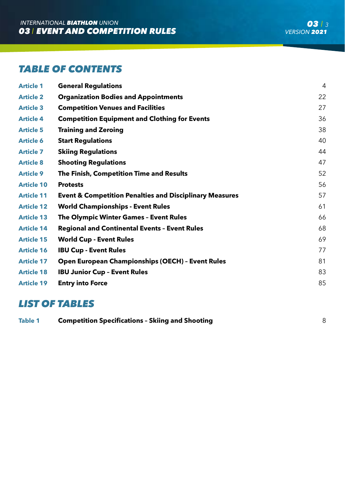# *TABLE OF CONTENTS*

| <b>Article 1</b>  | <b>General Regulations</b>                                         | 4  |
|-------------------|--------------------------------------------------------------------|----|
| <b>Article 2</b>  | <b>Organization Bodies and Appointments</b>                        | 22 |
| <b>Article 3</b>  | <b>Competition Venues and Facilities</b>                           | 27 |
| <b>Article 4</b>  | <b>Competition Equipment and Clothing for Events</b>               | 36 |
| <b>Article 5</b>  | <b>Training and Zeroing</b>                                        | 38 |
| <b>Article 6</b>  | <b>Start Regulations</b>                                           | 40 |
| <b>Article 7</b>  | <b>Skiing Regulations</b>                                          | 44 |
| <b>Article 8</b>  | <b>Shooting Regulations</b>                                        | 47 |
| <b>Article 9</b>  | The Finish, Competition Time and Results                           | 52 |
| <b>Article 10</b> | <b>Protests</b>                                                    | 56 |
| <b>Article 11</b> | <b>Event &amp; Competition Penalties and Disciplinary Measures</b> | 57 |
| <b>Article 12</b> | <b>World Championships - Event Rules</b>                           | 61 |
| <b>Article 13</b> | <b>The Olympic Winter Games - Event Rules</b>                      | 66 |
| <b>Article 14</b> | <b>Regional and Continental Events - Event Rules</b>               | 68 |
| <b>Article 15</b> | <b>World Cup - Event Rules</b>                                     | 69 |
| <b>Article 16</b> | <b>IBU Cup - Event Rules</b>                                       | 77 |
| <b>Article 17</b> | <b>Open European Championships (OECH) - Event Rules</b>            | 81 |
| <b>Article 18</b> | <b>IBU Junior Cup - Event Rules</b>                                | 83 |
| <b>Article 19</b> | <b>Entry into Force</b>                                            | 85 |

# *LIST OF TABLES*

| Table 1 | <b>Competition Specifications - Skiing and Shooting</b> |  |
|---------|---------------------------------------------------------|--|
|         |                                                         |  |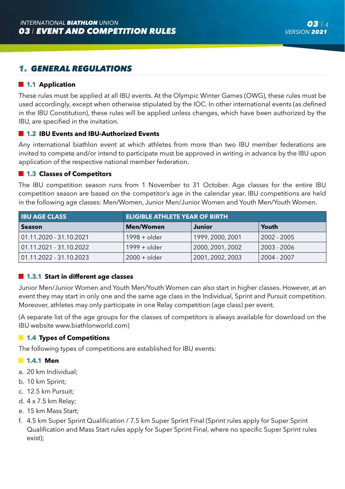# *1. GENERAL REGULATIONS*

## **1.1 Application**

These rules must be applied at all IBU events. At the Olympic Winter Games (OWG), these rules must be used accordingly, except when otherwise stipulated by the IOC. In other international events (as defined in the IBU Constitution), these rules will be applied unless changes, which have been authorized by the IBU, are specified in the invitation.

## **1.2 IBU Events and IBU-Authorized Events**

Any international biathlon event at which athletes from more than two IBU member federations are invited to compete and/or intend to participate must be approved in writing in advance by the IBU upon application of the respective national member federation.

### **1.3 Classes of Competitors**

The IBU competition season runs from 1 November to 31 October. Age classes for the entire IBU competition season are based on the competitor's age in the calendar year. IBU competitions are held in the following age classes: Men/Women, Junior Men/Junior Women and Youth Men/Youth Women.

| <b>IBU AGE CLASS</b>    | <b>ELIGIBLE ATHLETE YEAR OF BIRTH</b> |                  |               |  |  |  |  |
|-------------------------|---------------------------------------|------------------|---------------|--|--|--|--|
| <b>Season</b>           | <b>Men/Women</b>                      | Junior           | Youth         |  |  |  |  |
| 01.11.2020 - 31.10.2021 | $1998 +$ older                        | 1999, 2000, 2001 | $2002 - 2005$ |  |  |  |  |
| 01.11.2021 - 31.10.2022 | $1999 +$ older                        | 2000, 2001, 2002 | 2003 - 2006   |  |  |  |  |
| 01.11.2022 - 31.10.2023 | 2000 + older                          | 2001, 2002, 2003 | 2004 - 2007   |  |  |  |  |

## **1.3.1 Start in different age classes**

Junior Men/Junior Women and Youth Men/Youth Women can also start in higher classes. However, at an event they may start in only one and the same age class in the Individual, Sprint and Pursuit competition. Moreover, athletes may only participate in one Relay competition (age class) per event.

(A separate list of the age groups for the classes of competitors is always available for download on the IBU website www.biathlonworld.com)

## **1.4 Types of Competitions**

The following types of competitions are established for IBU events:

## **1.4.1 Men**

- a. 20 km Individual;
- b. 10 km Sprint;
- c. 12.5 km Pursuit;
- d. 4 x 7.5 km Relay;
- e. 15 km Mass Start;
- f. 4.5 km Super Sprint Qualification / 7.5 km Super Sprint Final (Sprint rules apply for Super Sprint Qualification and Mass Start rules apply for Super Sprint Final, where no specific Super Sprint rules exist);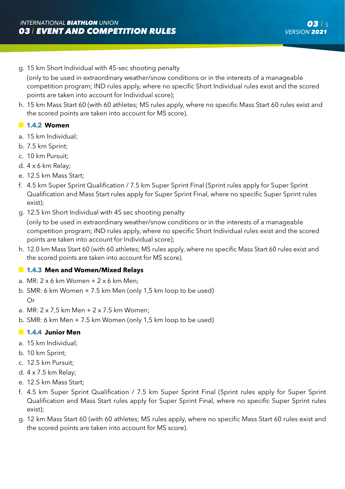g. 15 km Short Individual with 45-sec shooting penalty

 (only to be used in extraordinary weather/snow conditions or in the interests of a manageable competition program; IND rules apply, where no specific Short Individual rules exist and the scored points are taken into account for Individual score);

h. 15 km Mass Start 60 (with 60 athletes; MS rules apply, where no specific Mass Start 60 rules exist and the scored points are taken into account for MS score).

## **1.4.2 Women**

- a. 15 km Individual;
- b. 7.5 km Sprint;
- c. 10 km Pursuit;
- d. 4 x 6 km Relay;
- e. 12.5 km Mass Start;
- f. 4.5 km Super Sprint Qualification / 7.5 km Super Sprint Final (Sprint rules apply for Super Sprint Qualification and Mass Start rules apply for Super Sprint Final, where no specific Super Sprint rules exist);
- g. 12.5 km Short Individual with 45 sec shooting penalty
	- (only to be used in extraordinary weather/snow conditions or in the interests of a manageable competition program; IND rules apply, where no specific Short Individual rules exist and the scored points are taken into account for Individual score);
- h. 12.0 km Mass Start 60 (with 60 athletes; MS rules apply, where no specific Mass Start 60 rules exist and the scored points are taken into account for MS score).

## **1.4.3 Men and Women/Mixed Relays**

- a. MR: 2 x 6 km Women + 2 x 6 km Men;
- b. SMR: 6 km Women + 7.5 km Men (only 1,5 km loop to be used) Or
- a. MR: 2 x 7,5 km Men + 2 x 7.5 km Women;
- b. SMR: 6 km Men + 7.5 km Women (only 1,5 km loop to be used)

## **1.4.4 Junior Men**

- a. 15 km Individual;
- b. 10 km Sprint;
- c. 12.5 km Pursuit;
- d. 4 x 7.5 km Relay;
- e. 12.5 km Mass Start;
- f. 4.5 km Super Sprint Qualification / 7.5 km Super Sprint Final (Sprint rules apply for Super Sprint Qualification and Mass Start rules apply for Super Sprint Final, where no specific Super Sprint rules exist);
- g. 12 km Mass Start 60 (with 60 athletes; MS rules apply, where no specific Mass Start 60 rules exist and the scored points are taken into account for MS score).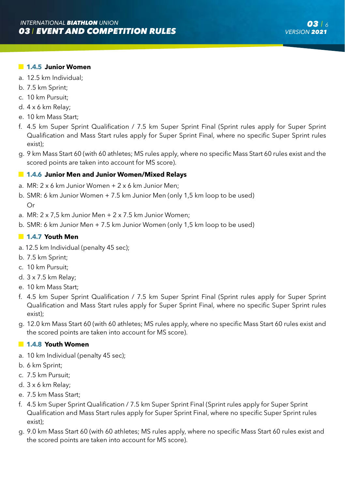### **1.4.5 Junior Women**

- a. 12.5 km Individual;
- b. 7.5 km Sprint;
- c. 10 km Pursuit;
- d. 4 x 6 km Relay;
- e. 10 km Mass Start;
- f. 4.5 km Super Sprint Qualification / 7.5 km Super Sprint Final (Sprint rules apply for Super Sprint Qualification and Mass Start rules apply for Super Sprint Final, where no specific Super Sprint rules exist);
- g. 9 km Mass Start 60 (with 60 athletes; MS rules apply, where no specific Mass Start 60 rules exist and the scored points are taken into account for MS score).

## **1.4.6 Junior Men and Junior Women/Mixed Relays**

- a. MR: 2 x 6 km Junior Women + 2 x 6 km Junior Men;
- b. SMR: 6 km Junior Women + 7.5 km Junior Men (only 1,5 km loop to be used) Or
- a. MR:  $2 \times 7.5$  km Junior Men  $+ 2 \times 7.5$  km Junior Women;
- b. SMR: 6 km Junior Men + 7.5 km Junior Women (only 1,5 km loop to be used)

## **1.4.7 Youth Men**

- a. 12.5 km Individual (penalty 45 sec);
- b. 7.5 km Sprint;
- c. 10 km Pursuit;
- d. 3 x 7.5 km Relay;
- e. 10 km Mass Start;
- f. 4.5 km Super Sprint Qualification / 7.5 km Super Sprint Final (Sprint rules apply for Super Sprint Qualification and Mass Start rules apply for Super Sprint Final, where no specific Super Sprint rules exist);
- g. 12.0 km Mass Start 60 (with 60 athletes; MS rules apply, where no specific Mass Start 60 rules exist and the scored points are taken into account for MS score).

## **1.4.8 Youth Women**

- a. 10 km Individual (penalty 45 sec);
- b. 6 km Sprint;
- c. 7.5 km Pursuit;
- d. 3 x 6 km Relay;
- e. 7.5 km Mass Start;
- f. 4.5 km Super Sprint Qualification / 7.5 km Super Sprint Final (Sprint rules apply for Super Sprint Qualification and Mass Start rules apply for Super Sprint Final, where no specific Super Sprint rules exist);
- g. 9.0 km Mass Start 60 (with 60 athletes; MS rules apply, where no specific Mass Start 60 rules exist and the scored points are taken into account for MS score).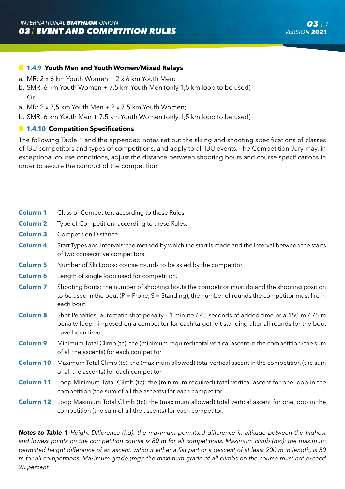## **1.4.9 Youth Men and Youth Women/Mixed Relays**

- a. MR: 2 x 6 km Youth Women + 2 x 6 km Youth Men;
- b. SMR: 6 km Youth Women + 7.5 km Youth Men (only 1,5 km loop to be used) Or
- a. MR:  $2 \times 7.5$  km Youth Men  $+ 2 \times 7.5$  km Youth Women;
- b. SMR: 6 km Youth Men + 7.5 km Youth Women (only 1,5 km loop to be used)

## **1.4.10 Competition Specifications**

The following Table 1 and the appended notes set out the skiing and shooting specifications of classes of IBU competitors and types of competitions, and apply to all IBU events. The Competition Jury may, in exceptional course conditions, adjust the distance between shooting bouts and course specifications in order to secure the conduct of the competition.

| <b>Column 1</b>     | Class of Competitor: according to these Rules.                                                                                                                                                                           |
|---------------------|--------------------------------------------------------------------------------------------------------------------------------------------------------------------------------------------------------------------------|
| <b>Column 2</b>     | Type of Competition: according to these Rules.                                                                                                                                                                           |
| <b>Column 3</b>     | Competition Distance.                                                                                                                                                                                                    |
|                     |                                                                                                                                                                                                                          |
| Column <sub>4</sub> | Start Types and Intervals: the method by which the start is made and the interval between the starts<br>of two consecutive competitors.                                                                                  |
| <b>Column 5</b>     | Number of Ski Loops: course rounds to be skied by the competitor.                                                                                                                                                        |
| <b>Column 6</b>     | Length of single loop used for competition.                                                                                                                                                                              |
| <b>Column 7</b>     | Shooting Bouts: the number of shooting bouts the competitor must do and the shooting position<br>to be used in the bout ( $P =$ Prone, $S =$ Standing), the number of rounds the competitor must fire in<br>each bout.   |
| <b>Column 8</b>     | Shot Penalties: automatic shot-penalty - 1 minute / 45 seconds of added time or a 150 m / 75 m<br>penalty loop - imposed on a competitor for each target left standing after all rounds for the bout<br>have been fired. |
| <b>Column 9</b>     | Minimum Total Climb (tc): the (minimum required) total vertical ascent in the competition (the sum<br>of all the ascents) for each competitor.                                                                           |
| <b>Column 10</b>    | Maximum Total Climb (tc): the (maximum allowed) total vertical ascent in the competition (the sum<br>of all the ascents) for each competitor.                                                                            |
| <b>Column 11</b>    | Loop Minimum Total Climb (tc): the (minimum required) total vertical ascent for one loop in the<br>competition (the sum of all the ascents) for each competitor.                                                         |
| <b>Column 12</b>    | Loop Maximum Total Climb (tc): the (maximum allowed) total vertical ascent for one loop in the<br>competition (the sum of all the ascents) for each competitor.                                                          |

*Notes to Table 1 Height Difference (hd): the maximum permitted difference in altitude between the highest and lowest points on the competition course is 80 m for all competitions. Maximum climb (mc): the maximum permitted height difference of an ascent, without either a flat part or a descent of at least 200 m in length, is 50 m for all competitions. Maximum grade (mg): the maximum grade of all climbs on the course must not exceed 25 percent.*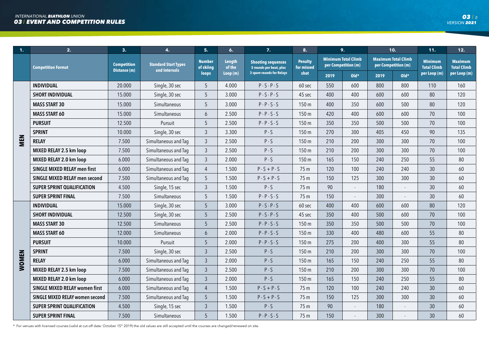| 1.           | 2.                                    | 3.                                 | $\mathbf{4}$                                 | 5.                         | 6.               | 7.                                                   | 8.                           |                                                   | 9.     |                                                   | 10.    | 11.                                  | 12.                                  |
|--------------|---------------------------------------|------------------------------------|----------------------------------------------|----------------------------|------------------|------------------------------------------------------|------------------------------|---------------------------------------------------|--------|---------------------------------------------------|--------|--------------------------------------|--------------------------------------|
|              | <b>Competition Format</b>             | <b>Competition</b><br>Distance (m) | <b>Standard Start Types</b><br>and Intervals | <b>Number</b><br>of skiing | Length<br>of the | <b>Shooting sequences</b><br>5 rounds per bout, plus | <b>Penalty</b><br>for missed | <b>Minimum Total Climb</b><br>per Competition (m) |        | <b>Maximum Total Climb</b><br>per Competition (m) |        | <b>Minimum</b><br><b>Total Climb</b> | <b>Maximum</b><br><b>Total Climb</b> |
|              |                                       |                                    |                                              | loops                      | Loop(m)          | 3 spare rounds for Relays                            | shot                         | 2019                                              | $Old*$ | 2019                                              | $Old*$ | per Loop (m)                         | per Loop (m)                         |
|              | <b>INDIVIDUAL</b>                     | 20.000                             | Single, 30 sec                               | 5                          | 4.000            | $P-S-P-S$                                            | 60 sec                       | 550                                               | 600    | 800                                               | 800    | 110                                  | 160                                  |
|              | <b>SHORT INDIVIDUAL</b>               | 15.000                             | Single, 30 sec                               | 5                          | 3.000            | $P-S-P-S$                                            | 45 sec                       | 400                                               | 400    | 600                                               | 600    | 80                                   | 120                                  |
|              | <b>MASS START 30</b>                  | 15.000                             | Simultaneous                                 | 5                          | 3.000            | $P - P - S - S$                                      | 150 <sub>m</sub>             | 400                                               | 350    | 600                                               | 500    | 80                                   | 120                                  |
|              | <b>MASS START 60</b>                  | 15.000                             | Simultaneous                                 | 6                          | 2.500            | $P - P - S - S$                                      | 150 m                        | 420                                               | 400    | 600                                               | 600    | 70                                   | 100                                  |
|              | <b>PURSUIT</b>                        | 12.500                             | Pursuit                                      | 5                          | 2.500            | $P - P - S - S$                                      | 150 m                        | 350                                               | 350    | 500                                               | 500    | 70                                   | 100                                  |
|              | <b>SPRINT</b>                         | 10.000                             | Single, 30 sec                               | $\mathfrak{Z}$             | 3.300            | $P-S$                                                | 150 m                        | 270                                               | 300    | 405                                               | 450    | 90                                   | 135                                  |
| MEN          | <b>RELAY</b>                          | 7.500                              | Simultaneous and Taq                         | $\mathfrak{Z}$             | 2.500            | $P-S$                                                | 150 m                        | 210                                               | 200    | 300                                               | 300    | 70                                   | 100                                  |
|              | MIXED RELAY 2.5 km loop               | 7.500                              | Simultaneous and Tag                         | $\mathfrak{Z}$             | 2.500            | $P-S$                                                | 150 m                        | 210                                               | 200    | 300                                               | 300    | 70                                   | 100                                  |
|              | MIXED RELAY 2.0 km loop               | 6.000                              | Simultaneous and Tag                         | $\mathfrak{Z}$             | 2.000            | $P-S$                                                | 150 m                        | 165                                               | 150    | 240                                               | 250    | 55                                   | 80                                   |
|              | <b>SINGLE MIXED RELAY men first</b>   | 6.000                              | Simultaneous and Tag                         | 4                          | 1.500            | $P-S+P-S$                                            | 75 m                         | 120                                               | 100    | 240                                               | 240    | 30                                   | 60                                   |
|              | SINGLE MIXED RELAY men second         | 7.500                              | Simultaneous and Tag                         | 5                          | 1.500            | $P-S+P-S$                                            | 75 m                         | 150                                               | 125    | 300                                               | 300    | 30                                   | 60                                   |
|              | <b>SUPER SPRINT QUALIFICATION</b>     | 4.500                              | Single, 15 sec                               | $\mathfrak{Z}$             | 1.500            | $P-S$                                                | 75 m                         | 90                                                | ÷.     | 180                                               |        | 30                                   | 60                                   |
|              | <b>SUPER SPRINT FINAL</b>             | 7.500                              | Simultaneous                                 | 5                          | 1.500            | $P - P - S - S$                                      | 75 m                         | 150                                               |        | 300                                               |        | 30                                   | 60                                   |
|              | <b>INDIVIDUAL</b>                     | 15.000                             | Single, 30 sec                               | 5                          | 3.000            | $P-S-P-S$                                            | 60 sec                       | 400                                               | 400    | 600                                               | 600    | 80                                   | 120                                  |
|              | <b>SHORT INDIVIDUAL</b>               | 12.500                             | Single, 30 sec                               | 5                          | 2.500            | $P-S-P-S$                                            | 45 sec                       | 350                                               | 400    | 500                                               | 600    | 70                                   | 100                                  |
|              | <b>MASS START 30</b>                  | 12.500                             | Simultaneous                                 | 5                          | 2.500            | $P - P - S - S$                                      | 150 m                        | 350                                               | 350    | 500                                               | 500    | 70                                   | 100                                  |
|              | <b>MASS START 60</b>                  | 12.000                             | Simultaneous                                 | 6                          | 2.000            | $P - P - S - S$                                      | 150 m                        | 330                                               | 400    | 480                                               | 600    | 55                                   | 80                                   |
|              | <b>PURSUIT</b>                        | 10.000                             | Pursuit                                      | 5                          | 2.000            | $P - P - S - S$                                      | 150 m                        | 275                                               | 200    | 400                                               | 300    | 55                                   | 80                                   |
|              | <b>SPRINT</b>                         | 7.500                              | Single, 30 sec                               | 3                          | 2.500            | $P-S$                                                | 150 m                        | 210                                               | 200    | 300                                               | 300    | 70                                   | 100                                  |
| <b>WOMEN</b> | <b>RELAY</b>                          | 6.000                              | Simultaneous and Tag                         | $\mathfrak{Z}$             | 2.000            | $P-S$                                                | 150 m                        | 165                                               | 150    | 240                                               | 250    | 55                                   | 80                                   |
|              | MIXED RELAY 2.5 km loop               | 7.500                              | Simultaneous and Taq                         | $\mathfrak{Z}$             | 2.500            | $P-S$                                                | 150 m                        | 210                                               | 200    | 300                                               | 300    | 70                                   | 100                                  |
|              | MIXED RELAY 2.0 km loop               | 6.000                              | Simultaneous and Tag                         | $\mathfrak{Z}$             | 2.000            | $P-S$                                                | 150 m                        | 165                                               | 150    | 240                                               | 250    | 55                                   | 80                                   |
|              | <b>SINGLE MIXED RELAY women first</b> | 6.000                              | Simultaneous and Taq                         | $\overline{4}$             | 1.500            | $P-S+P-S$                                            | 75 m                         | 120                                               | 100    | 240                                               | 240    | 30                                   | 60                                   |
|              | SINGLE MIXED RELAY women second       | 7.500                              | Simultaneous and Tag                         | 5                          | 1.500            | $P-S+P-S$                                            | 75 m                         | 150                                               | 125    | 300                                               | 300    | 30                                   | 60                                   |
|              | <b>SUPER SPRINT QUALIFICATION</b>     | 4.500                              | Single, 15 sec                               | $\overline{3}$             | 1.500            | $P-S$                                                | 75 m                         | 90                                                |        | 180                                               |        | 30                                   | 60                                   |
|              | <b>SUPER SPRINT FINAL</b>             | 7.500                              | Simultaneous                                 | 5                          | 1.500            | $P - P - S - S$                                      | 75 m                         | 150                                               |        | 300                                               |        | 30                                   | 60                                   |

\* For venues with licensed courses (valid at cut-off date: October 15<sup>th</sup> 2019) the old values are still accepted until the courses are changed/renewed on site.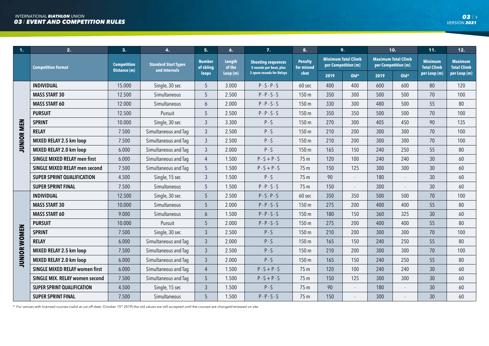| $\mathbf{1}$ . | 2.                                    | 3.                                 | $\mathbf{4}$                                 | 5.                         | 6.                      | 7.                                                   | 8.                           |                                                   | 9.             |                                                   | 10.    | 11.                                  | 12.                                  |
|----------------|---------------------------------------|------------------------------------|----------------------------------------------|----------------------------|-------------------------|------------------------------------------------------|------------------------------|---------------------------------------------------|----------------|---------------------------------------------------|--------|--------------------------------------|--------------------------------------|
|                | <b>Competition Format</b>             | <b>Competition</b><br>Distance (m) | <b>Standard Start Types</b><br>and Intervals | <b>Number</b><br>of skiing | <b>Length</b><br>of the | <b>Shooting sequences</b><br>5 rounds per bout, plus | <b>Penalty</b><br>for missed | <b>Minimum Total Climb</b><br>per Competition (m) |                | <b>Maximum Total Climb</b><br>per Competition (m) |        | <b>Minimum</b><br><b>Total Climb</b> | <b>Maximum</b><br><b>Total Climb</b> |
|                |                                       |                                    |                                              | loops                      | Loop(m)                 | <b>3 spare rounds for Relays</b>                     | shot                         | 2019                                              | $Old*$         | 2019                                              | $Old*$ | per Loop (m)                         | per Loop (m)                         |
|                | <b>INDIVIDUAL</b>                     | 15.000                             | Single, 30 sec                               | 5                          | 3.000                   | $P-S-P-S$                                            | 60 sec                       | 400                                               | 400            | 600                                               | 600    | 80                                   | 120                                  |
|                | <b>MASS START 30</b>                  | 12.500                             | Simultaneous                                 | 5                          | 2.500                   | $P - P - S - S$                                      | 150 m                        | 350                                               | 300            | 500                                               | 500    | 70                                   | 100                                  |
|                | <b>MASS START 60</b>                  | 12.000                             | Simultaneous                                 | 6                          | 2.000                   | $P - P - S - S$                                      | 150 m                        | 330                                               | 300            | 480                                               | 500    | 55                                   | 80                                   |
|                | <b>PURSUIT</b>                        | 12.500                             | Pursuit                                      | 5                          | 2.500                   | $P - P - S - S$                                      | 150 m                        | 350                                               | 350            | 500                                               | 500    | 70                                   | 100                                  |
|                | <b>SPRINT</b>                         | 10.000                             | Single, 30 sec                               | $\mathfrak{Z}$             | 3.300                   | $P-S$                                                | 150 m                        | 270                                               | 300            | 405                                               | 450    | 90                                   | 135                                  |
| JUNIOR MEN     | <b>RELAY</b>                          | 7.500                              | Simultaneous and Taq                         | $\mathfrak{Z}$             | 2.500                   | $P-S$                                                | 150 m                        | 210                                               | 200            | 300                                               | 300    | 70                                   | 100                                  |
|                | MIXED RELAY 2.5 km loop               | 7.500                              | Simultaneous and Taq                         | $\mathfrak{Z}$             | 2.500                   | $P-S$                                                | 150 m                        | 210                                               | 200            | 300                                               | 300    | 70                                   | 100                                  |
|                | MIXED RELAY 2.0 km loop               | 6.000                              | Simultaneous and Taq                         | $\mathfrak{Z}$             | 2.000                   | $P-S$                                                | 150 m                        | 165                                               | 150            | 240                                               | 250    | 55                                   | 80                                   |
|                | <b>SINGLE MIXED RELAY men first</b>   | 6.000                              | Simultaneous and Taq                         | 4                          | 1.500                   | $P-S+P-S$                                            | 75 m                         | 120                                               | 100            | 240                                               | 240    | 30                                   | 60                                   |
|                | <b>SINGLE MIXED RELAY men second</b>  | 7.500                              | Simultaneous and Taq                         | 5                          | 1.500                   | $P-S+P-S$                                            | 75 m                         | 150                                               | 125            | 300                                               | 300    | 30                                   | 60                                   |
|                | <b>SUPER SPRINT QUALIFICATION</b>     | 4.500                              | Single, 15 sec                               | $\mathfrak{Z}$             | 1.500                   | $P-S$                                                | 75 m                         | 90                                                | $\blacksquare$ | 180                                               | $\sim$ | 30                                   | 60                                   |
|                | <b>SUPER SPRINT FINAL</b>             | 7.500                              | Simultaneous                                 | 5                          | 1.500                   | $P - P - S - S$                                      | 75 m                         | 150                                               | $\mathbf{r}$   | 300                                               |        | 30                                   | 60                                   |
|                | <b>INDIVIDUAL</b>                     | 12.500                             | Single, 30 sec                               | 5                          | 2.500                   | $P-S-P-S$                                            | 60 sec                       | 350                                               | 350            | 500                                               | 500    | 70                                   | 100                                  |
|                | <b>MASS START 30</b>                  | 10.000                             | Simultaneous                                 | 5                          | 2.000                   | $P - P - S - S$                                      | 150 m                        | 275                                               | 200            | 400                                               | 400    | 55                                   | 80                                   |
|                | <b>MASS START 60</b>                  | 9.000                              | Simultaneous                                 | 6                          | 1.500                   | $P - P - S - S$                                      | 150 m                        | 180                                               | 150            | 360                                               | 325    | 30 <sup>°</sup>                      | 60                                   |
|                | <b>PURSUIT</b>                        | 10.000                             | Pursuit                                      | 5                          | 2.000                   | $P - P - S - S$                                      | 150 m                        | 275                                               | 200            | 400                                               | 400    | 55                                   | 80                                   |
|                | <b>SPRINT</b>                         | 7.500                              | Single, 30 sec                               | $\mathfrak{Z}$             | 2.500                   | $P-S$                                                | 150 m                        | 210                                               | 200            | 300                                               | 300    | 70                                   | 100                                  |
| JUNIOR WOMEN   | <b>RELAY</b>                          | 6.000                              | Simultaneous and Taq                         | $\mathfrak{Z}$             | 2.000                   | $P-S$                                                | 150 m                        | 165                                               | 150            | 240                                               | 250    | 55                                   | 80                                   |
|                | MIXED RELAY 2.5 km loop               | 7.500                              | Simultaneous and Taq                         | $\overline{3}$             | 2.500                   | $P-S$                                                | 150 m                        | 210                                               | 200            | 300                                               | 300    | 70                                   | 100                                  |
|                | MIXED RELAY 2.0 km loop               | 6.000                              | Simultaneous and Taq                         | $\mathfrak{Z}$             | 2.000                   | $P-S$                                                | 150 m                        | 165                                               | 150            | 240                                               | 250    | 55                                   | 80                                   |
|                | <b>SINGLE MIXED RELAY women first</b> | 6.000                              | Simultaneous and Taq                         | $\overline{4}$             | 1.500                   | $P-S+P-S$                                            | 75 m                         | 120                                               | 100            | 240                                               | 240    | 30                                   | 60                                   |
|                | SINGLE MIX. RELAY women second        | 7.500                              | Simultaneous and Taq                         | 5                          | 1.500                   | $P-S+P-S$                                            | 75 m                         | 150                                               | 125            | 300                                               | 300    | 30                                   | 60                                   |
|                | <b>SUPER SPRINT QUALIFICATION</b>     | 4.500                              | Single, 15 sec                               | $\overline{3}$             | 1.500                   | $P-S$                                                | 75 m                         | 90                                                | $\blacksquare$ | 180                                               | $\sim$ | 30                                   | 60                                   |
|                | <b>SUPER SPRINT FINAL</b>             | 7.500                              | Simultaneous                                 | 5                          | 1.500                   | $P - P - S - S$                                      | 75 m                         | 150                                               |                | 300                                               |        | 30                                   | 60                                   |

\* For venues with licensed courses (valid at cut-off date: October 15<sup>th</sup> 2019) the old values are still accepted until the courses are changed/renewed on site.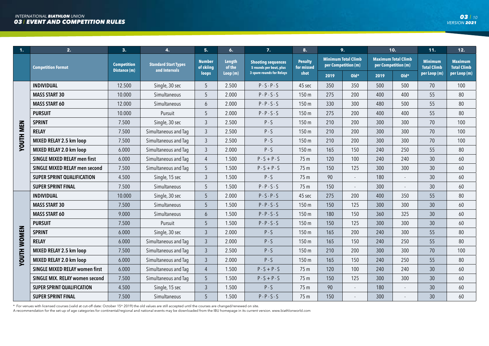| 1.                 | 2.                                    | 3.                                 | 4.                                           | 5.                         | 6.                      | 7.                                                   | 8.                           | 9.   |                                                   |      | 10.                                               | 11.                                  | 12.                                  |
|--------------------|---------------------------------------|------------------------------------|----------------------------------------------|----------------------------|-------------------------|------------------------------------------------------|------------------------------|------|---------------------------------------------------|------|---------------------------------------------------|--------------------------------------|--------------------------------------|
|                    | <b>Competition Format</b>             | <b>Competition</b><br>Distance (m) | <b>Standard Start Types</b><br>and Intervals | <b>Number</b><br>of skiing | <b>Length</b><br>of the | <b>Shooting sequences</b><br>5 rounds per bout, plus | <b>Penalty</b><br>for missed |      | <b>Minimum Total Climb</b><br>per Competition (m) |      | <b>Maximum Total Climb</b><br>per Competition (m) | <b>Minimum</b><br><b>Total Climb</b> | <b>Maximum</b><br><b>Total Climb</b> |
|                    |                                       |                                    |                                              | loops                      | Loop (m)                | <b>3 spare rounds for Relays</b>                     | shot                         | 2019 | $Old*$                                            | 2019 | $Old*$                                            | per Loop (m)                         | per Loop (m)                         |
|                    | <b>INDIVIDUAL</b>                     | 12.500                             | Single, 30 sec                               | 5                          | 2.500                   | $P-S-P-S$                                            | 45 sec                       | 350  | 350                                               | 500  | 500                                               | 70                                   | 100                                  |
|                    | <b>MASS START 30</b>                  | 10.000                             | Simultaneous                                 | 5                          | 2.000                   | $P - P - S - S$                                      | 150 m                        | 275  | 200                                               | 400  | 400                                               | 55                                   | 80                                   |
|                    | <b>MASS START 60</b>                  | 12.000                             | Simultaneous                                 | 6                          | 2.000                   | $P - P - S - S$                                      | 150 m                        | 330  | 300                                               | 480  | 500                                               | 55                                   | 80                                   |
|                    | <b>PURSUIT</b>                        | 10.000                             | Pursuit                                      | 5                          | 2.000                   | $P - P - S - S$                                      | 150 m                        | 275  | 200                                               | 400  | 400                                               | 55                                   | 80                                   |
|                    | <b>SPRINT</b>                         | 7.500                              | Single, 30 sec                               | $\mathfrak{Z}$             | 2.500                   | $P-S$                                                | 150 m                        | 210  | 200                                               | 300  | 300                                               | 70                                   | 100                                  |
|                    | <b>RELAY</b>                          | 7.500                              | Simultaneous and Taq                         | $\mathfrak{Z}$             | 2.500                   | $P-S$                                                | 150 m                        | 210  | 200                                               | 300  | 300                                               | 70                                   | 100                                  |
| <b>YOUTH MEN</b>   | MIXED RELAY 2.5 km loop               | 7.500                              | Simultaneous and Taq                         | $\mathfrak{Z}$             | 2.500                   | $P-S$                                                | 150 m                        | 210  | 200                                               | 300  | 300                                               | 70                                   | 100                                  |
|                    | MIXED RELAY 2.0 km loop               | 6.000                              | Simultaneous and Taq                         | $\mathfrak{Z}$             | 2.000                   | $P-S$                                                | 150 m                        | 165  | 150                                               | 240  | 250                                               | 55                                   | 80                                   |
|                    | <b>SINGLE MIXED RELAY men first</b>   | 6.000                              | Simultaneous and Tag                         | $\overline{4}$             | 1.500                   | $P-S+P-S$                                            | 75 m                         | 120  | 100                                               | 240  | 240                                               | 30                                   | 60                                   |
|                    | SINGLE MIXED RELAY men second         | 7.500                              | Simultaneous and Taq                         | 5                          | 1.500                   | $P-S+P-S$                                            | 75 m                         | 150  | 125                                               | 300  | 300                                               | 30                                   | 60                                   |
|                    | <b>SUPER SPRINT QUALIFICATION</b>     | 4.500                              | Single, 15 sec                               | $\mathfrak{Z}$             | 1.500                   | $P-S$                                                | 75 m                         | 90   | $\mathcal{L}$                                     | 180  | $\sim$                                            | 30                                   | 60                                   |
|                    | <b>SUPER SPRINT FINAL</b>             | 7.500                              | Simultaneous                                 | 5                          | 1.500                   | $P - P - S - S$                                      | 75 m                         | 150  |                                                   | 300  |                                                   | 30                                   | 60                                   |
|                    | <b>INDIVIDUAL</b>                     | 10.000                             | Single, 30 sec                               | 5                          | 2.000                   | $P-S-P-S$                                            | 45 sec                       | 275  | 200                                               | 400  | 350                                               | 55                                   | 80                                   |
|                    | <b>MASS START 30</b>                  | 7.500                              | Simultaneous                                 | 5                          | 1.500                   | $P - P - S - S$                                      | 150 m                        | 150  | 125                                               | 300  | 300                                               | 30                                   | 60                                   |
|                    | <b>MASS START 60</b>                  | 9.000                              | Simultaneous                                 | 6                          | 1.500                   | $P - P - S - S$                                      | 150 <sub>m</sub>             | 180  | 150                                               | 360  | 325                                               | 30                                   | 60                                   |
|                    | <b>PURSUIT</b>                        | 7.500                              | Pursuit                                      | 5                          | 1.500                   | $P - P - S - S$                                      | 150 m                        | 150  | 125                                               | 300  | 300                                               | 30                                   | 60                                   |
|                    | <b>SPRINT</b>                         | 6.000                              | Single, 30 sec                               | $\mathfrak{Z}$             | 2.000                   | $P-S$                                                | 150 m                        | 165  | 200                                               | 240  | 300                                               | 55                                   | 80                                   |
|                    | <b>RELAY</b>                          | 6.000                              | Simultaneous and Tag                         | $\mathfrak{Z}$             | 2.000                   | $P-S$                                                | 150 m                        | 165  | 150                                               | 240  | 250                                               | 55                                   | 80                                   |
| <b>YOUTH WOMEN</b> | MIXED RELAY 2.5 km loop               | 7.500                              | Simultaneous and Taq                         | $\mathfrak{Z}$             | 2.500                   | $P-S$                                                | 150 m                        | 210  | 200                                               | 300  | 300                                               | 70                                   | 100                                  |
|                    | MIXED RELAY 2.0 km loop               | 6.000                              | Simultaneous and Taq                         | $\mathfrak{Z}$             | 2.000                   | $P-S$                                                | 150 m                        | 165  | 150                                               | 240  | 250                                               | 55                                   | 80                                   |
|                    | <b>SINGLE MIXED RELAY women first</b> | 6.000                              | Simultaneous and Taq                         | $\overline{4}$             | 1.500                   | $P-S+P-S$                                            | 75 m                         | 120  | 100                                               | 240  | 240                                               | 30                                   | 60                                   |
|                    | SINGLE MIX. RELAY women second        | 7.500                              | Simultaneous and Taq                         | 5                          | 1.500                   | $P-S+P-S$                                            | 75 m                         | 150  | 125                                               | 300  | 300                                               | 30                                   | 60                                   |
|                    | <b>SUPER SPRINT QUALIFICATION</b>     | 4.500                              | Single, 15 sec                               | 3                          | 1.500                   | $P-S$                                                | 75 m                         | 90   |                                                   | 180  |                                                   | 30                                   | 60                                   |
|                    | <b>SUPER SPRINT FINAL</b>             | 7.500                              | Simultaneous                                 | 5                          | 1.500                   | $P - P - S - S$                                      | 75 m                         | 150  |                                                   | 300  |                                                   | 30                                   | 60                                   |

\* For venues with licensed courses (valid at cut-off date: October 15\* 2019) the old values are still accepted until the courses are changed/renewed on site.<br>A recommendation for the set-up of age categories for continenta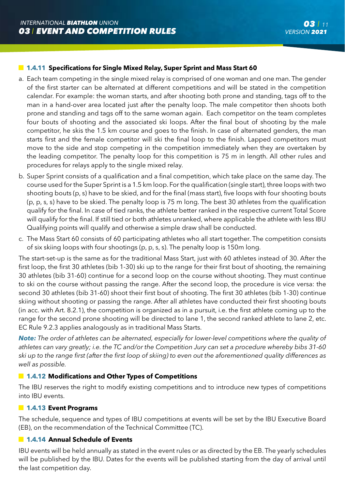## **1.4.11 Specifications for Single Mixed Relay, Super Sprint and Mass Start 60**

- a. Each team competing in the single mixed relay is comprised of one woman and one man. The gender of the first starter can be alternated at different competitions and will be stated in the competition calendar. For example: the woman starts, and after shooting both prone and standing, tags off to the man in a hand-over area located just after the penalty loop. The male competitor then shoots both prone and standing and tags off to the same woman again. Each competitor on the team completes four bouts of shooting and the associated ski loops. After the final bout of shooting by the male competitor, he skis the 1.5 km course and goes to the finish. In case of alternated genders, the man starts first and the female competitor will ski the final loop to the finish. Lapped competitors must move to the side and stop competing in the competition immediately when they are overtaken by the leading competitor. The penalty loop for this competition is 75 m in length. All other rules and procedures for relays apply to the single mixed relay.
- b. Super Sprint consists of a qualification and a final competition, which take place on the same day. The course used for the Super Sprint is a 1.5 km loop. For the qualification (single start), three loops with two shooting bouts (p, s) have to be skied, and for the final (mass start), five loops with four shooting bouts (p, p, s, s) have to be skied. The penalty loop is 75 m long. The best 30 athletes from the qualification qualify for the final. In case of tied ranks, the athlete better ranked in the respective current Total Score will qualify for the final. If still tied or both athletes unranked, where applicable the athlete with less IBU Qualifying points will qualify and otherwise a simple draw shall be conducted.
- c. The Mass Start 60 consists of 60 participating athletes who all start together. The competition consists of six skiing loops with four shootings (p, p, s, s). The penalty loop is 150m long.

The start-set-up is the same as for the traditional Mass Start, just with 60 athletes instead of 30. After the first loop, the first 30 athletes (bib 1-30) ski up to the range for their first bout of shooting, the remaining 30 athletes (bib 31-60) continue for a second loop on the course without shooting. They must continue to ski on the course without passing the range. After the second loop, the procedure is vice versa: the second 30 athletes (bib 31-60) shoot their first bout of shooting. The first 30 athletes (bib 1-30) continue skiing without shooting or passing the range. After all athletes have conducted their first shooting bouts (in acc. with Art. 8.2.1), the competition is organized as in a pursuit, i.e. the first athlete coming up to the range for the second prone shooting will be directed to lane 1, the second ranked athlete to lane 2, etc. EC Rule 9.2.3 applies analogously as in traditional Mass Starts.

*Note: The order of athletes can be alternated, especially for lower-level competitions where the quality of athletes can vary greatly; i.e. the TC and/or the Competition Jury can set a procedure whereby bibs 31-60 ski up to the range first (after the first loop of skiing) to even out the aforementioned quality differences as well as possible.*

## **1.4.12 Modifications and Other Types of Competitions**

The IBU reserves the right to modify existing competitions and to introduce new types of competitions into IBU events.

## **1.4.13 Event Programs**

The schedule, sequence and types of IBU competitions at events will be set by the IBU Executive Board (EB), on the recommendation of the Technical Committee (TC).

## **1.4.14 Annual Schedule of Events**

IBU events will be held annually as stated in the event rules or as directed by the EB. The yearly schedules will be published by the IBU. Dates for the events will be published starting from the day of arrival until the last competition day.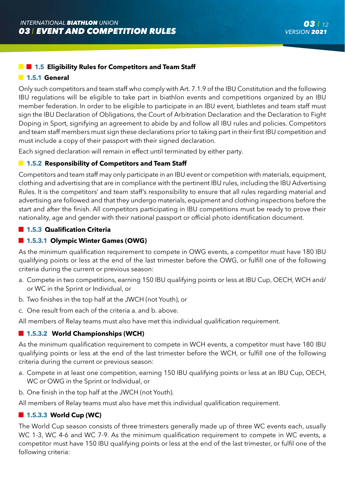## **1.5 Eligibility Rules for Competitors and Team Staff**

#### **1.5.1 General**

Only such competitors and team staff who comply with Art. 7.1.9 of the IBU Constitution and the following IBU regulations will be eligible to take part in biathlon events and competitions organized by an IBU member federation. In order to be eligible to participate in an IBU event, biathletes and team staff must sign the IBU Declaration of Obligations, the Court of Arbitration Declaration and the Declaration to Fight Doping in Sport, signifying an agreement to abide by and follow all IBU rules and policies. Competitors and team staff members must sign these declarations prior to taking part in their first IBU competition and must include a copy of their passport with their signed declaration.

Each signed declaration will remain in effect until terminated by either party.

### **1.5.2 Responsibility of Competitors and Team Staff**

Competitors and team staff may only participate in an IBU event or competition with materials, equipment, clothing and advertising that are in compliance with the pertinent IBU rules, including the IBU Advertising Rules. It is the competitors' and team staff's responsibility to ensure that all rules regarding material and advertising are followed and that they undergo materials, equipment and clothing inspections before the start and after the finish. All competitors participating in IBU competitions must be ready to prove their nationality, age and gender with their national passport or official photo identification document.

## **1.5.3 Qualification Criteria**

## **1.5.3.1 Olympic Winter Games (OWG)**

As the minimum qualification requirement to compete in OWG events, a competitor must have 180 IBU qualifying points or less at the end of the last trimester before the OWG, or fulfill one of the following criteria during the current or previous season:

- a. Compete in two competitions, earning 150 IBU qualifying points or less at IBU Cup, OECH, WCH and/ or WC in the Sprint or Individual, or
- b. Two finishes in the top half at the JWCH (not Youth), or
- c. One result from each of the criteria a. and b. above.

All members of Relay teams must also have met this individual qualification requirement.

## ■ 1.5.3.2 World Championships (WCH)

As the minimum qualification requirement to compete in WCH events, a competitor must have 180 IBU qualifying points or less at the end of the last trimester before the WCH, or fulfill one of the following criteria during the current or previous season:

- a. Compete in at least one competition, earning 150 IBU qualifying points or less at an IBU Cup, OECH, WC or OWG in the Sprint or Individual, or
- b. One finish in the top half at the JWCH (not Youth).

All members of Relay teams must also have met this individual qualification requirement.

### **1.5.3.3 World Cup (WC)**

The World Cup season consists of three trimesters generally made up of three WC events each, usually WC 1-3, WC 4-6 and WC 7-9. As the minimum qualification requirement to compete in WC events, a competitor must have 150 IBU qualifying points or less at the end of the last trimester, or fulfil one of the following criteria: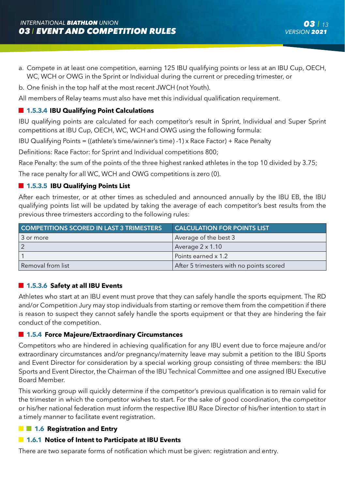- a. Compete in at least one competition, earning 125 IBU qualifying points or less at an IBU Cup, OECH, WC, WCH or OWG in the Sprint or Individual during the current or preceding trimester, or
- b. One finish in the top half at the most recent JWCH (not Youth).

All members of Relay teams must also have met this individual qualification requirement.

## **1.5.3.4 IBU Qualifying Point Calculations**

IBU qualifying points are calculated for each competitor's result in Sprint, Individual and Super Sprint competitions at IBU Cup, OECH, WC, WCH and OWG using the following formula:

IBU Qualifying Points = ((athlete's time/winner's time) -1) x Race Factor) + Race Penalty

Definitions: Race Factor: for Sprint and Individual competitions 800;

Race Penalty: the sum of the points of the three highest ranked athletes in the top 10 divided by 3.75;

The race penalty for all WC, WCH and OWG competitions is zero (0).

## **1.5.3.5 IBU Qualifying Points List**

After each trimester, or at other times as scheduled and announced annually by the IBU EB, the IBU qualifying points list will be updated by taking the average of each competitor's best results from the previous three trimesters according to the following rules:

| <b>COMPETITIONS SCORED IN LAST 3 TRIMESTERS</b> | <b>CALCULATION FOR POINTS LIST.</b>      |
|-------------------------------------------------|------------------------------------------|
| 3 or more                                       | Average of the best 3                    |
|                                                 | Average $2 \times 1.10$                  |
|                                                 | Points earned x 1.2                      |
| Removal from list                               | After 5 trimesters with no points scored |

## **1.5.3.6 Safety at all IBU Events**

Athletes who start at an IBU event must prove that they can safely handle the sports equipment. The RD and/or Competition Jury may stop individuals from starting or remove them from the competition if there is reason to suspect they cannot safely handle the sports equipment or that they are hindering the fair conduct of the competition.

## **1.5.4 Force Majeure/Extraordinary Circumstances**

Competitors who are hindered in achieving qualification for any IBU event due to force majeure and/or extraordinary circumstances and/or pregnancy/maternity leave may submit a petition to the IBU Sports and Event Director for consideration by a special working group consisting of three members: the IBU Sports and Event Director, the Chairman of the IBU Technical Committee and one assigned IBU Executive Board Member.

This working group will quickly determine if the competitor's previous qualification is to remain valid for the trimester in which the competitor wishes to start. For the sake of good coordination, the competitor or his/her national federation must inform the respective IBU Race Director of his/her intention to start in a timely manner to facilitate event registration.

## **1.6 Registration and Entry**

## **1.6.1 Notice of Intent to Participate at IBU Events**

There are two separate forms of notification which must be given: registration and entry.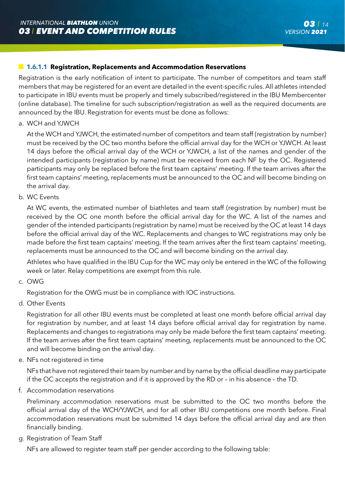## **1.6.1.1 Registration, Replacements and Accommodation Reservations**

Registration is the early notification of intent to participate. The number of competitors and team staff members that may be registered for an event are detailed in the event-specific rules. All athletes intended to participate in IBU events must be properly and timely subscribed/registered in the IBU Membercenter (online database). The timeline for such subscription/registration as well as the required documents are announced by the IBU. Registration for events must be done as follows:

a. WCH and YJWCH

 At the WCH and YJWCH, the estimated number of competitors and team staff (registration by number) must be received by the OC two months before the official arrival day for the WCH or YJWCH. At least 14 days before the official arrival day of the WCH or YJWCH, a list of the names and gender of the intended participants (registration by name) must be received from each NF by the OC. Registered participants may only be replaced before the first team captains' meeting. If the team arrives after the first team captains' meeting, replacements must be announced to the OC and will become binding on the arrival day.

b. WC Events

 At WC events, the estimated number of biathletes and team staff (registration by number) must be received by the OC one month before the official arrival day for the WC. A list of the names and gender of the intended participants (registration by name) must be received by the OC at least 14 days before the official arrival day of the WC. Replacements and changes to WC registrations may only be made before the first team captains' meeting. If the team arrives after the first team captains' meeting, replacements must be announced to the OC and will become binding on the arrival day.

 Athletes who have qualified in the IBU Cup for the WC may only be entered in the WC of the following week or later. Relay competitions are exempt from this rule.

c. OWG

Registration for the OWG must be in compliance with IOC instructions.

d. Other Events

 Registration for all other IBU events must be completed at least one month before official arrival day for registration by number, and at least 14 days before official arrival day for registration by name. Replacements and changes to registrations may only be made before the first team captains' meeting. If the team arrives after the first team captains' meeting, replacements must be announced to the OC and will become binding on the arrival day.

e. NFs not registered in time

 NFs that have not registered their team by number and by name by the official deadline may participate if the OC accepts the registration and if it is approved by the RD or – in his absence – the TD.

f. Accommodation reservations

 Preliminary accommodation reservations must be submitted to the OC two months before the official arrival day of the WCH/YJWCH, and for all other IBU competitions one month before. Final accommodation reservations must be submitted 14 days before the official arrival day and are then financially binding.

g. Registration of Team Staff

NFs are allowed to register team staff per gender according to the following table: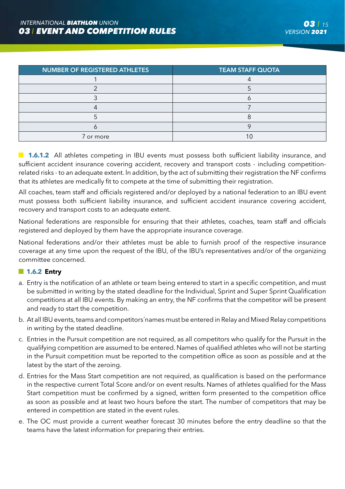| NUMBER OF REGISTERED ATHLETES | <b>TEAM STAFF QUOTA</b> |
|-------------------------------|-------------------------|
|                               |                         |
|                               |                         |
|                               |                         |
|                               |                         |
|                               |                         |
|                               |                         |
| 7 or more                     |                         |

**1.6.1.2** All athletes competing in IBU events must possess both sufficient liability insurance, and sufficient accident insurance covering accident, recovery and transport costs - including competitionrelated risks - to an adequate extent. ln addition, by the act of submitting their registration the NF confirms that its athletes are medically fit to compete at the time of submitting their registration.

All coaches, team staff and officials registered and/or deployed by a national federation to an IBU event must possess both sufficient liability insurance, and sufficient accident insurance covering accident, recovery and transport costs to an adequate extent.

National federations are responsible for ensuring that their athletes, coaches, team staff and officials registered and deployed by them have the appropriate insurance coverage.

National federations and/or their athletes must be able to furnish proof of the respective insurance coverage at any time upon the request of the IBU, of the IBU's representatives and/or of the organizing committee concerned.

## **1.6.2 Entry**

- a. Entry is the notification of an athlete or team being entered to start in a specific competition, and must be submitted in writing by the stated deadline for the Individual, Sprint and Super Sprint Qualification competitions at all IBU events. By making an entry, the NF confirms that the competitor will be present and ready to start the competition.
- b. At all IBU events, teams and competitors´names must be entered in Relay and Mixed Relay competitions in writing by the stated deadline.
- c. Entries in the Pursuit competition are not required, as all competitors who qualify for the Pursuit in the qualifying competition are assumed to be entered. Names of qualified athletes who will not be starting in the Pursuit competition must be reported to the competition office as soon as possible and at the latest by the start of the zeroing.
- d. Entries for the Mass Start competition are not required, as qualification is based on the performance in the respective current Total Score and/or on event results. Names of athletes qualified for the Mass Start competition must be confirmed by a signed, written form presented to the competition office as soon as possible and at least two hours before the start. The number of competitors that may be entered in competition are stated in the event rules.
- e. The OC must provide a current weather forecast 30 minutes before the entry deadline so that the teams have the latest information for preparing their entries.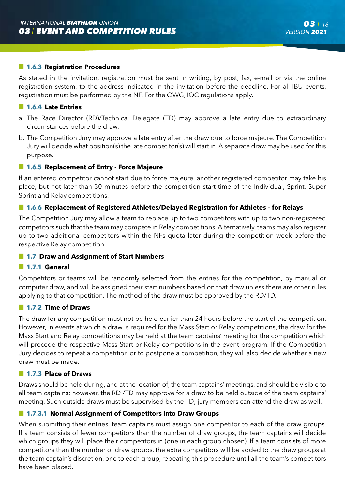#### **1.6.3 Registration Procedures**

As stated in the invitation, registration must be sent in writing, by post, fax, e-mail or via the online registration system, to the address indicated in the invitation before the deadline. For all IBU events, registration must be performed by the NF. For the OWG, IOC regulations apply.

#### **1.6.4 Late Entries**

- a. The Race Director (RD)/Technical Delegate (TD) may approve a late entry due to extraordinary circumstances before the draw.
- b. The Competition Jury may approve a late entry after the draw due to force majeure. The Competition Jury will decide what position(s) the late competitor(s) will start in. A separate draw may be used for this purpose.

#### **1.6.5 Replacement of Entry - Force Majeure**

If an entered competitor cannot start due to force majeure, another registered competitor may take his place, but not later than 30 minutes before the competition start time of the Individual, Sprint, Super Sprint and Relay competitions.

#### **1.6.6 Replacement of Registered Athletes/Delayed Registration for Athletes – for Relays**

The Competition Jury may allow a team to replace up to two competitors with up to two non-registered competitors such that the team may compete in Relay competitions. Alternatively, teams may also register up to two additional competitors within the NFs quota later during the competition week before the respective Relay competition.

#### **1.7 Draw and Assignment of Start Numbers**

#### **1.7.1 General**

Competitors or teams will be randomly selected from the entries for the competition, by manual or computer draw, and will be assigned their start numbers based on that draw unless there are other rules applying to that competition. The method of the draw must be approved by the RD/TD.

## **1.7.2 Time of Draws**

The draw for any competition must not be held earlier than 24 hours before the start of the competition. However, in events at which a draw is required for the Mass Start or Relay competitions, the draw for the Mass Start and Relay competitions may be held at the team captains' meeting for the competition which will precede the respective Mass Start or Relay competitions in the event program. If the Competition Jury decides to repeat a competition or to postpone a competition, they will also decide whether a new draw must be made.

#### **1.7.3 Place of Draws**

Draws should be held during, and at the location of, the team captains' meetings, and should be visible to all team captains; however, the RD /TD may approve for a draw to be held outside of the team captains' meeting. Such outside draws must be supervised by the TD; jury members can attend the draw as well.

#### **1.7.3.1 Normal Assignment of Competitors into Draw Groups**

When submitting their entries, team captains must assign one competitor to each of the draw groups. If a team consists of fewer competitors than the number of draw groups, the team captains will decide which groups they will place their competitors in (one in each group chosen). If a team consists of more competitors than the number of draw groups, the extra competitors will be added to the draw groups at the team captain's discretion, one to each group, repeating this procedure until all the team's competitors have been placed.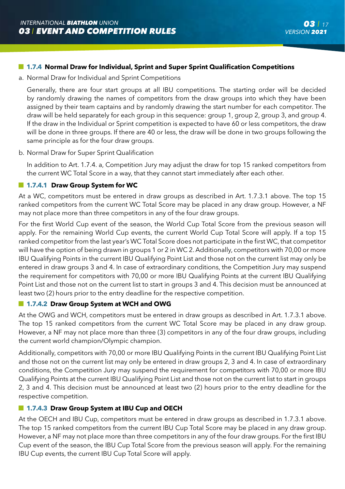a. Normal Draw for Individual and Sprint Competitions

 Generally, there are four start groups at all IBU competitions. The starting order will be decided by randomly drawing the names of competitors from the draw groups into which they have been assigned by their team captains and by randomly drawing the start number for each competitor. The draw will be held separately for each group in this sequence: group 1, group 2, group 3, and group 4. If the draw in the Individual or Sprint competition is expected to have 60 or less competitors, the draw will be done in three groups. If there are 40 or less, the draw will be done in two groups following the same principle as for the four draw groups.

b. Normal Draw for Super Sprint Qualification

 In addition to Art. 1.7.4. a, Competition Jury may adjust the draw for top 15 ranked competitors from the current WC Total Score in a way, that they cannot start immediately after each other.

## **1.7.4.1 Draw Group System for WC**

At a WC, competitors must be entered in draw groups as described in Art. 1.7.3.1 above. The top 15 ranked competitors from the current WC Total Score may be placed in any draw group. However, a NF may not place more than three competitors in any of the four draw groups.

For the first World Cup event of the season, the World Cup Total Score from the previous season will apply. For the remaining World Cup events, the current World Cup Total Score will apply. If a top 15 ranked competitor from the last year's WC Total Score does not participate in the first WC, that competitor will have the option of being drawn in groups 1 or 2 in WC 2. Additionally, competitors with 70,00 or more IBU Qualifying Points in the current IBU Qualifying Point List and those not on the current list may only be entered in draw groups 3 and 4. In case of extraordinary conditions, the Competition Jury may suspend the requirement for competitors with 70,00 or more IBU Qualifying Points at the current IBU Qualifying Point List and those not on the current list to start in groups 3 and 4. This decision must be announced at least two (2) hours prior to the entry deadline for the respective competition.

## **1.7.4.2 Draw Group System at WCH and OWG**

At the OWG and WCH, competitors must be entered in draw groups as described in Art. 1.7.3.1 above. The top 15 ranked competitors from the current WC Total Score may be placed in any draw group. However, a NF may not place more than three (3) competitors in any of the four draw groups, including the current world champion/Olympic champion.

Additionally, competitors with 70,00 or more IBU Qualifying Points in the current IBU Qualifying Point List and those not on the current list may only be entered in draw groups 2, 3 and 4. In case of extraordinary conditions, the Competition Jury may suspend the requirement for competitors with 70,00 or more IBU Qualifying Points at the current IBU Qualifying Point List and those not on the current list to start in groups 2, 3 and 4. This decision must be announced at least two (2) hours prior to the entry deadline for the respective competition.

# **1.7.4.3 Draw Group System at IBU Cup and OECH**

At the OECH and IBU Cup, competitors must be entered in draw groups as described in 1.7.3.1 above. The top 15 ranked competitors from the current IBU Cup Total Score may be placed in any draw group. However, a NF may not place more than three competitors in any of the four draw groups. For the first IBU Cup event of the season, the IBU Cup Total Score from the previous season will apply. For the remaining IBU Cup events, the current IBU Cup Total Score will apply.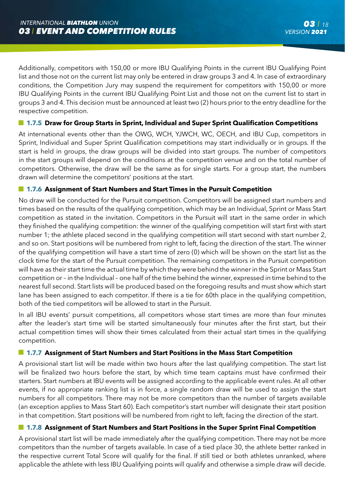Additionally, competitors with 150,00 or more IBU Qualifying Points in the current IBU Qualifying Point list and those not on the current list may only be entered in draw groups 3 and 4. In case of extraordinary conditions, the Competition Jury may suspend the requirement for competitors with 150,00 or more IBU Qualifying Points in the current IBU Qualifying Point List and those not on the current list to start in groups 3 and 4. This decision must be announced at least two (2) hours prior to the entry deadline for the respective competition.

## **1.7.5 Draw for Group Starts in Sprint, Individual and Super Sprint Qualification Competitions**

At international events other than the OWG, WCH, YJWCH, WC, OECH, and IBU Cup, competitors in Sprint, Individual and Super Sprint Qualification competitions may start individually or in groups. If the start is held in groups, the draw groups will be divided into start groups. The number of competitors in the start groups will depend on the conditions at the competition venue and on the total number of competitors. Otherwise, the draw will be the same as for single starts. For a group start, the numbers drawn will determine the competitors' positions at the start.

## **1.7.6 Assignment of Start Numbers and Start Times in the Pursuit Competition**

No draw will be conducted for the Pursuit competition. Competitors will be assigned start numbers and times based on the results of the qualifying competition, which may be an Individual, Sprint or Mass Start competition as stated in the invitation. Competitors in the Pursuit will start in the same order in which they finished the qualifying competition: the winner of the qualifying competition will start first with start number 1; the athlete placed second in the qualifying competition will start second with start number 2, and so on. Start positions will be numbered from right to left, facing the direction of the start. The winner of the qualifying competition will have a start time of zero (0) which will be shown on the start list as the clock time for the start of the Pursuit competition. The remaining competitors in the Pursuit competition will have as their start time the actual time by which they were behind the winner in the Sprint or Mass Start competition or – in the Individual – one half of the time behind the winner, expressed in time behind to the nearest full second. Start lists will be produced based on the foregoing results and must show which start lane has been assigned to each competitor. If there is a tie for 60th place in the qualifying competition, both of the tied competitors will be allowed to start in the Pursuit.

In all IBU events' pursuit competitions, all competitors whose start times are more than four minutes after the leader's start time will be started simultaneously four minutes after the first start, but their actual competition times will show their times calculated from their actual start times in the qualifying competition.

## **1.7.7 Assignment of Start Numbers and Start Positions in the Mass Start Competition**

A provisional start list will be made within two hours after the last qualifying competition. The start list will be finalized two hours before the start, by which time team captains must have confirmed their starters. Start numbers at IBU events will be assigned according to the applicable event rules. At all other events, if no appropriate ranking list is in force, a single random draw will be used to assign the start numbers for all competitors. There may not be more competitors than the number of targets available (an exception applies to Mass Start 60). Each competitor's start number will designate their start position in that competition. Start positions will be numbered from right to left, facing the direction of the start.

## **1.7.8 Assignment of Start Numbers and Start Positions in the Super Sprint Final Competition**

A provisional start list will be made immediately after the qualifying competition. There may not be more competitors than the number of targets available. In case of a tied place 30, the athlete better ranked in the respective current Total Score will qualify for the final. If still tied or both athletes unranked, where applicable the athlete with less IBU Qualifying points will qualify and otherwise a simple draw will decide.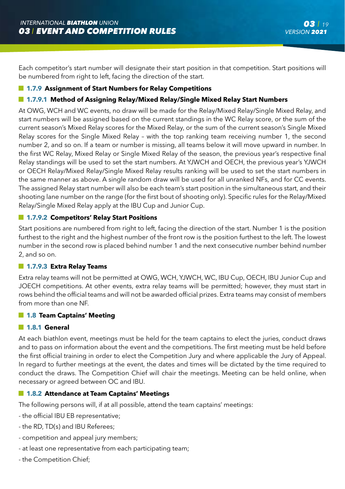Each competitor's start number will designate their start position in that competition. Start positions will be numbered from right to left, facing the direction of the start.

## **1.7.9 Assignment of Start Numbers for Relay Competitions**

## **1.7.9.1 Method of Assigning Relay/Mixed Relay/Single Mixed Relay Start Numbers**

At OWG, WCH and WC events, no draw will be made for the Relay/Mixed Relay/Single Mixed Relay, and start numbers will be assigned based on the current standings in the WC Relay score, or the sum of the current season's Mixed Relay scores for the Mixed Relay, or the sum of the current season's Single Mixed Relay scores for the Single Mixed Relay – with the top ranking team receiving number 1, the second number 2, and so on. If a team or number is missing, all teams below it will move upward in number. In the first WC Relay, Mixed Relay or Single Mixed Relay of the season, the previous year's respective final Relay standings will be used to set the start numbers. At YJWCH and OECH, the previous year's YJWCH or OECH Relay/Mixed Relay/Single Mixed Relay results ranking will be used to set the start numbers in the same manner as above. A single random draw will be used for all unranked NFs, and for CC events. The assigned Relay start number will also be each team's start position in the simultaneous start, and their shooting lane number on the range (for the first bout of shooting only). Specific rules for the Relay/Mixed Relay/Single Mixed Relay apply at the IBU Cup and Junior Cup.

## **1.7.9.2 Competitors' Relay Start Positions**

Start positions are numbered from right to left, facing the direction of the start. Number 1 is the position furthest to the right and the highest number of the front row is the position furthest to the left. The lowest number in the second row is placed behind number 1 and the next consecutive number behind number 2, and so on.

#### **1.7.9.3 Extra Relay Teams**

Extra relay teams will not be permitted at OWG, WCH, YJWCH, WC, IBU Cup, OECH, IBU Junior Cup and JOECH competitions. At other events, extra relay teams will be permitted; however, they must start in rows behind the official teams and will not be awarded official prizes. Extra teams may consist of members from more than one NF.

#### **1.8 Team Captains' Meeting**

#### **1.8.1 General**

At each biathlon event, meetings must be held for the team captains to elect the juries, conduct draws and to pass on information about the event and the competitions. The first meeting must be held before the first official training in order to elect the Competition Jury and where applicable the Jury of Appeal. In regard to further meetings at the event, the dates and times will be dictated by the time required to conduct the draws. The Competition Chief will chair the meetings. Meeting can be held online, when necessary or agreed between OC and IBU.

## **1.8.2 Attendance at Team Captains' Meetings**

The following persons will, if at all possible, attend the team captains' meetings:

- the official IBU EB representative;
- the RD, TD(s) and IBU Referees;
- competition and appeal jury members;
- at least one representative from each participating team;
- the Competition Chief;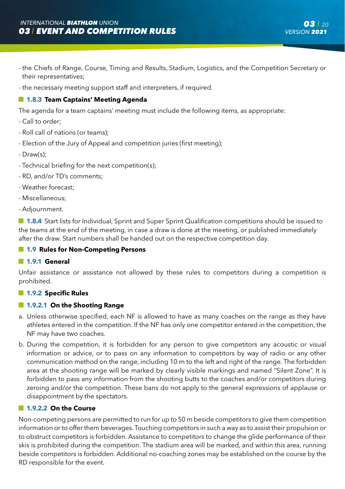- the Chiefs of Range, Course, Timing and Results, Stadium, Logistics, and the Competition Secretary or their representatives;
- the necessary meeting support staff and interpreters, if required.

## **1.8.3 Team Captains' Meeting Agenda**

The agenda for a team captains' meeting must include the following items, as appropriate:

- Call to order;
- Roll call of nations (or teams);
- Election of the Jury of Appeal and competition juries (first meeting);
- Draw(s);
- Technical briefing for the next competition(s);
- RD, and/or TD's comments;
- Weather forecast;
- Miscellaneous;
- Adjournment.

**1.8.4** Start lists for Individual, Sprint and Super Sprint Qualification competitions should be issued to the teams at the end of the meeting, in case a draw is done at the meeting, or published immediately after the draw. Start numbers shall be handed out on the respective competition day.

## **1.9 Rules for Non-Competing Persons**

#### **1.9.1 General**

Unfair assistance or assistance not allowed by these rules to competitors during a competition is prohibited.

## **1.9.2 Specific Rules**

## **1.9.2.1 On the Shooting Range**

- a. Unless otherwise specified, each NF is allowed to have as many coaches on the range as they have athletes entered in the competition. If the NF has only one competitor entered in the competition, the NF may have two coaches.
- b. During the competition, it is forbidden for any person to give competitors any acoustic or visual information or advice, or to pass on any information to competitors by way of radio or any other communication method on the range, including 10 m to the left and right of the range. The forbidden area at the shooting range will be marked by clearly visible markings and named "Silent Zone". It is forbidden to pass any information from the shooting butts to the coaches and/or competitors during zeroing and/or the competition. These bans do not apply to the general expressions of applause or disappointment by the spectators.

## **1.9.2.2 On the Course**

Non-competing persons are permitted to run for up to 50 m beside competitors to give them competition information or to offer them beverages. Touching competitors in such a way as to assist their propulsion or to obstruct competitors is forbidden. Assistance to competitors to change the glide performance of their skis is prohibited during the competition. The stadium area will be marked, and within this area, running beside competitors is forbidden. Additional no-coaching zones may be established on the course by the RD responsible for the event.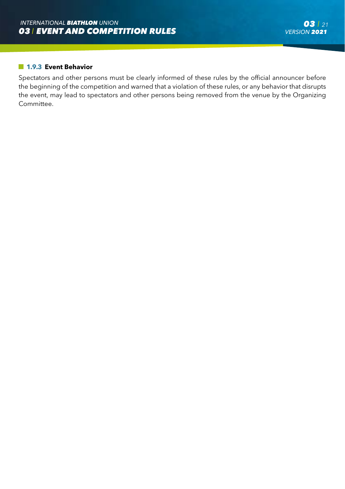## **1.9.3 Event Behavior**

Spectators and other persons must be clearly informed of these rules by the official announcer before the beginning of the competition and warned that a violation of these rules, or any behavior that disrupts the event, may lead to spectators and other persons being removed from the venue by the Organizing Committee.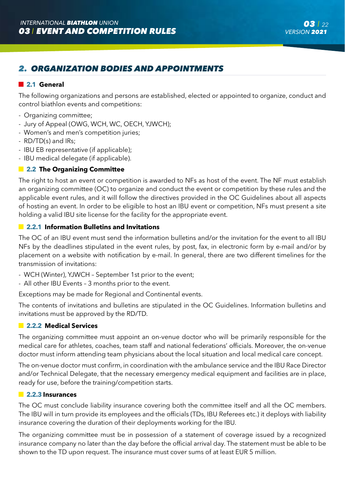# *2. ORGANIZATION BODIES AND APPOINTMENTS*

## **2.1 General**

The following organizations and persons are established, elected or appointed to organize, conduct and control biathlon events and competitions:

- Organizing committee;
- Jury of Appeal (OWG, WCH, WC, OECH, YJWCH);
- Women's and men's competition juries;
- RD/TD(s) and IRs;
- IBU EB representative (if applicable);
- IBU medical delegate (if applicable).

## **2.2 The Organizing Committee**

The right to host an event or competition is awarded to NFs as host of the event. The NF must establish an organizing committee (OC) to organize and conduct the event or competition by these rules and the applicable event rules, and it will follow the directives provided in the OC Guidelines about all aspects of hosting an event. In order to be eligible to host an IBU event or competition, NFs must present a site holding a valid IBU site license for the facility for the appropriate event.

## **2.2.1 Information Bulletins and Invitations**

The OC of an IBU event must send the information bulletins and/or the invitation for the event to all IBU NFs by the deadlines stipulated in the event rules, by post, fax, in electronic form by e-mail and/or by placement on a website with notification by e-mail. In general, there are two different timelines for the transmission of invitations:

- WCH (Winter), YJWCH September 1st prior to the event;
- All other IBU Events 3 months prior to the event.

Exceptions may be made for Regional and Continental events.

The contents of invitations and bulletins are stipulated in the OC Guidelines. Information bulletins and invitations must be approved by the RD/TD.

## **2.2.2 Medical Services**

The organizing committee must appoint an on-venue doctor who will be primarily responsible for the medical care for athletes, coaches, team staff and national federations' officials. Moreover, the on-venue doctor must inform attending team physicians about the local situation and local medical care concept.

The on-venue doctor must confirm, in coordination with the ambulance service and the IBU Race Director and/or Technical Delegate, that the necessary emergency medical equipment and facilities are in place, ready for use, before the training/competition starts.

#### **2.2.3 Insurances**

The OC must conclude liability insurance covering both the committee itself and all the OC members. The IBU will in turn provide its employees and the officials (TDs, IBU Referees etc.) it deploys with liability insurance covering the duration of their deployments working for the IBU.

The organizing committee must be in possession of a statement of coverage issued by a recognized insurance company no later than the day before the official arrival day. The statement must be able to be shown to the TD upon request. The insurance must cover sums of at least EUR 5 million.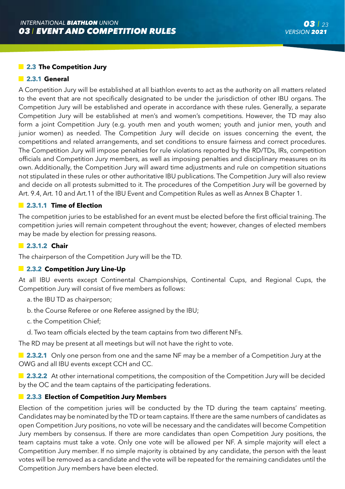### **2.3 The Competition Jury**

#### **2.3.1 General**

A Competition Jury will be established at all biathlon events to act as the authority on all matters related to the event that are not specifically designated to be under the jurisdiction of other IBU organs. The Competition Jury will be established and operate in accordance with these rules. Generally, a separate Competition Jury will be established at men's and women's competitions. However, the TD may also form a joint Competition Jury (e.g. youth men and youth women; youth and junior men, youth and junior women) as needed. The Competition Jury will decide on issues concerning the event, the competitions and related arrangements, and set conditions to ensure fairness and correct procedures. The Competition Jury will impose penalties for rule violations reported by the RD/TDs, IRs, competition officials and Competition Jury members, as well as imposing penalties and disciplinary measures on its own. Additionally, the Competition Jury will award time adjustments and rule on competition situations not stipulated in these rules or other authoritative IBU publications. The Competition Jury will also review and decide on all protests submitted to it. The procedures of the Competition Jury will be governed by Art. 9.4, Art. 10 and Art.11 of the IBU Event and Competition Rules as well as Annex B Chapter 1.

## **2.3.1.1 Time of Election**

The competition juries to be established for an event must be elected before the first official training. The competition juries will remain competent throughout the event; however, changes of elected members may be made by election for pressing reasons.

#### **2.3.1.2 Chair**

The chairperson of the Competition Jury will be the TD.

#### **2.3.2 Competition Jury Line-Up**

At all IBU events except Continental Championships, Continental Cups, and Regional Cups, the Competition Jury will consist of five members as follows:

- a. the IBU TD as chairperson;
- b. the Course Referee or one Referee assigned by the IBU;
- c. the Competition Chief;
- d. Two team officials elected by the team captains from two different NFs.

The RD may be present at all meetings but will not have the right to vote.

**2.3.2.1** Only one person from one and the same NF may be a member of a Competition Jury at the OWG and all IBU events except CCH and CC.

**2.3.2.2** At other international competitions, the composition of the Competition Jury will be decided by the OC and the team captains of the participating federations.

## **2.3.3 Election of Competition Jury Members**

Election of the competition juries will be conducted by the TD during the team captains' meeting. Candidates may be nominated by the TD or team captains. If there are the same numbers of candidates as open Competition Jury positions, no vote will be necessary and the candidates will become Competition Jury members by consensus. If there are more candidates than open Competition Jury positions, the team captains must take a vote. Only one vote will be allowed per NF. A simple majority will elect a Competition Jury member. If no simple majority is obtained by any candidate, the person with the least votes will be removed as a candidate and the vote will be repeated for the remaining candidates until the Competition Jury members have been elected.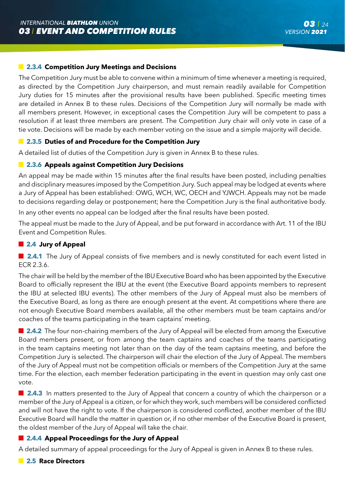## **2.3.4 Competition Jury Meetings and Decisions**

The Competition Jury must be able to convene within a minimum of time whenever a meeting is required, as directed by the Competition Jury chairperson, and must remain readily available for Competition Jury duties for 15 minutes after the provisional results have been published. Specific meeting times are detailed in Annex B to these rules. Decisions of the Competition Jury will normally be made with all members present. However, in exceptional cases the Competition Jury will be competent to pass a resolution if at least three members are present. The Competition Jury chair will only vote in case of a tie vote. Decisions will be made by each member voting on the issue and a simple majority will decide.

## **2.3.5 Duties of and Procedure for the Competition Jury**

A detailed list of duties of the Competition Jury is given in Annex B to these rules.

### **2.3.6 Appeals against Competition Jury Decisions**

An appeal may be made within 15 minutes after the final results have been posted, including penalties and disciplinary measures imposed by the Competition Jury. Such appeal may be lodged at events where a Jury of Appeal has been established: OWG, WCH, WC, OECH and YJWCH. Appeals may not be made to decisions regarding delay or postponement; here the Competition Jury is the final authoritative body.

In any other events no appeal can be lodged after the final results have been posted.

The appeal must be made to the Jury of Appeal, and be put forward in accordance with Art. 11 of the IBU Event and Competition Rules.

## **2.4 Jury of Appeal**

**2.4.1** The Jury of Appeal consists of five members and is newly constituted for each event listed in ECR 2.3.6.

The chair will be held by the member of the IBU Executive Board who has been appointed by the Executive Board to officially represent the IBU at the event (the Executive Board appoints members to represent the IBU at selected IBU events). The other members of the Jury of Appeal must also be members of the Executive Board, as long as there are enough present at the event. At competitions where there are not enough Executive Board members available, all the other members must be team captains and/or coaches of the teams participating in the team captains' meeting.

**2.4.2** The four non-chairing members of the Jury of Appeal will be elected from among the Executive Board members present, or from among the team captains and coaches of the teams participating in the team captains meeting not later than on the day of the team captains meeting, and before the Competition Jury is selected. The chairperson will chair the election of the Jury of Appeal. The members of the Jury of Appeal must not be competition officials or members of the Competition Jury at the same time. For the election, each member federation participating in the event in question may only cast one vote.

**2.4.3** In matters presented to the Jury of Appeal that concern a country of which the chairperson or a member of the Jury of Appeal is a citizen, or for which they work, such members will be considered conflicted and will not have the right to vote. If the chairperson is considered conflicted, another member of the IBU Executive Board will handle the matter in question or, if no other member of the Executive Board is present, the oldest member of the Jury of Appeal will take the chair.

## **2.4.4 Appeal Proceedings for the Jury of Appeal**

A detailed summary of appeal proceedings for the Jury of Appeal is given in Annex B to these rules.

#### **2.5 Race Directors**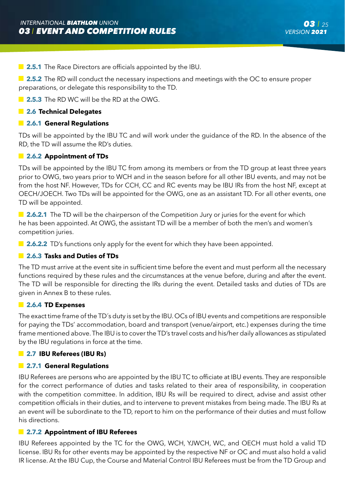**2.5.1** The Race Directors are officials appointed by the IBU.

**2.5.2** The RD will conduct the necessary inspections and meetings with the OC to ensure proper preparations, or delegate this responsibility to the TD.

**2.5.3** The RD WC will be the RD at the OWG.

## **2.6 Technical Delegates**

## **2.6.1 General Regulations**

TDs will be appointed by the IBU TC and will work under the guidance of the RD. In the absence of the RD, the TD will assume the RD's duties.

### **2.6.2 Appointment of TDs**

TDs will be appointed by the IBU TC from among its members or from the TD group at least three years prior to OWG, two years prior to WCH and in the season before for all other IBU events, and may not be from the host NF. However, TDs for CCH, CC and RC events may be IBU IRs from the host NF, except at OECH/JOECH. Two TDs will be appointed for the OWG, one as an assistant TD. For all other events, one TD will be appointed.

**2.6.2.1** The TD will be the chairperson of the Competition Jury or juries for the event for which he has been appointed. At OWG, the assistant TD will be a member of both the men's and women's competition juries.

**2.6.2.2** TD's functions only apply for the event for which they have been appointed.

## **2.6.3 Tasks and Duties of TDs**

The TD must arrive at the event site in sufficient time before the event and must perform all the necessary functions required by these rules and the circumstances at the venue before, during and after the event. The TD will be responsible for directing the IRs during the event. Detailed tasks and duties of TDs are given in Annex B to these rules.

#### **2.6.4 TD Expenses**

The exact time frame of the TD´s duty is set by the IBU. OCs of IBU events and competitions are responsible for paying the TDs' accommodation, board and transport (venue/airport, etc.) expenses during the time frame mentioned above. The IBU is to cover the TD's travel costs and his/her daily allowances as stipulated by the IBU regulations in force at the time.

#### **2.7 IBU Referees (IBU Rs)**

## **2.7.1 General Regulations**

IBU Referees are persons who are appointed by the IBU TC to officiate at IBU events. They are responsible for the correct performance of duties and tasks related to their area of responsibility, in cooperation with the competition committee. In addition, IBU Rs will be required to direct, advise and assist other competition officials in their duties, and to intervene to prevent mistakes from being made. The IBU Rs at an event will be subordinate to the TD, report to him on the performance of their duties and must follow his directions.

## **2.7.2 Appointment of IBU Referees**

IBU Referees appointed by the TC for the OWG, WCH, YJWCH, WC, and OECH must hold a valid TD license. IBU Rs for other events may be appointed by the respective NF or OC and must also hold a valid IR license. At the IBU Cup, the Course and Material Control IBU Referees must be from the TD Group and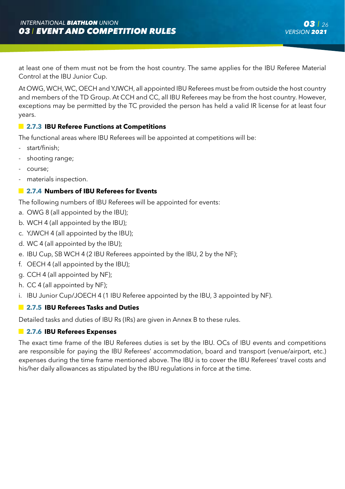at least one of them must not be from the host country. The same applies for the IBU Referee Material Control at the IBU Junior Cup.

At OWG, WCH, WC, OECH and YJWCH, all appointed IBU Referees must be from outside the host country and members of the TD Group. At CCH and CC, all IBU Referees may be from the host country. However, exceptions may be permitted by the TC provided the person has held a valid IR license for at least four years.

## **2.7.3 IBU Referee Functions at Competitions**

The functional areas where IBU Referees will be appointed at competitions will be:

- start/finish;
- shooting range;
- course;
- materials inspection.

## **2.7.4 Numbers of IBU Referees for Events**

The following numbers of IBU Referees will be appointed for events:

- a. OWG 8 (all appointed by the IBU);
- b. WCH 4 (all appointed by the IBU);
- c. YJWCH 4 (all appointed by the IBU);
- d. WC 4 (all appointed by the IBU);
- e. IBU Cup, SB WCH 4 (2 IBU Referees appointed by the IBU, 2 by the NF);
- f. OECH 4 (all appointed by the IBU);
- g. CCH 4 (all appointed by NF);
- h. CC 4 (all appointed by NF);
- i. IBU Junior Cup/JOECH 4 (1 IBU Referee appointed by the IBU, 3 appointed by NF).

## **2.7.5 IBU Referees Tasks and Duties**

Detailed tasks and duties of IBU Rs (IRs) are given in Annex B to these rules.

## **2.7.6 IBU Referees Expenses**

The exact time frame of the IBU Referees duties is set by the IBU. OCs of IBU events and competitions are responsible for paying the IBU Referees' accommodation, board and transport (venue/airport, etc.) expenses during the time frame mentioned above. The IBU is to cover the IBU Referees' travel costs and his/her daily allowances as stipulated by the IBU regulations in force at the time.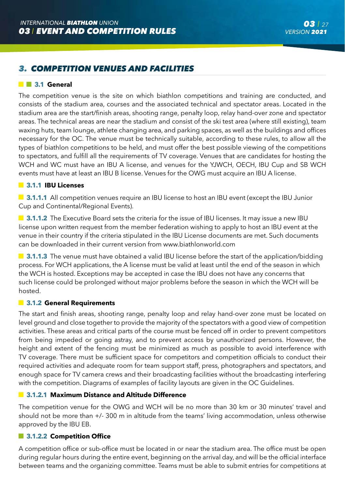# *3. COMPETITION VENUES AND FACILITIES*

## **3.1 General**

The competition venue is the site on which biathlon competitions and training are conducted, and consists of the stadium area, courses and the associated technical and spectator areas. Located in the stadium area are the start/finish areas, shooting range, penalty loop, relay hand-over zone and spectator areas. The technical areas are near the stadium and consist of the ski test area (where still existing), team waxing huts, team lounge, athlete changing area, and parking spaces, as well as the buildings and offices necessary for the OC. The venue must be technically suitable, according to these rules, to allow all the types of biathlon competitions to be held, and must offer the best possible viewing of the competitions to spectators, and fulfill all the requirements of TV coverage. Venues that are candidates for hosting the WCH and WC must have an IBU A license, and venues for the YJWCH, OECH, IBU Cup and SB WCH events must have at least an IBU B license. Venues for the OWG must acquire an IBU A license.

## **3.1.1 IBU Licenses**

**3.1.1.1** All competition venues require an IBU license to host an IBU event (except the IBU Junior Cup and Continental/Regional Events).

**3.1.1.2** The Executive Board sets the criteria for the issue of IBU licenses. It may issue a new IBU license upon written request from the member federation wishing to apply to host an IBU event at the venue in their country if the criteria stipulated in the IBU License documents are met. Such documents can be downloaded in their current version from www.biathlonworld.com

**3.1.1.3** The venue must have obtained a valid IBU license before the start of the application/bidding process. For WCH applications, the A license must be valid at least until the end of the season in which the WCH is hosted. Exceptions may be accepted in case the IBU does not have any concerns that such license could be prolonged without major problems before the season in which the WCH will be hosted.

#### **3.1.2 General Requirements**

The start and finish areas, shooting range, penalty loop and relay hand-over zone must be located on level ground and close together to provide the majority of the spectators with a good view of competition activities. These areas and critical parts of the course must be fenced off in order to prevent competitors from being impeded or going astray, and to prevent access by unauthorized persons. However, the height and extent of the fencing must be minimized as much as possible to avoid interference with TV coverage. There must be sufficient space for competitors and competition officials to conduct their required activities and adequate room for team support staff, press, photographers and spectators, and enough space for TV camera crews and their broadcasting facilities without the broadcasting interfering with the competition. Diagrams of examples of facility layouts are given in the OC Guidelines.

## **3.1.2.1 Maximum Distance and Altitude Difference**

The competition venue for the OWG and WCH will be no more than 30 km or 30 minutes' travel and should not be more than +/- 300 m in altitude from the teams' living accommodation, unless otherwise approved by the IBU EB.

## **3.1.2.2 Competition Office**

A competition office or sub-office must be located in or near the stadium area. The office must be open during regular hours during the entire event, beginning on the arrival day, and will be the official interface between teams and the organizing committee. Teams must be able to submit entries for competitions at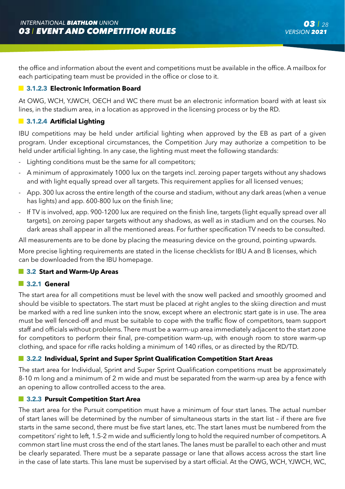the office and information about the event and competitions must be available in the office. A mailbox for each participating team must be provided in the office or close to it.

## $\blacksquare$  **3.1.2.3 Electronic Information Board**

At OWG, WCH, YJWCH, OECH and WC there must be an electronic information board with at least six lines, in the stadium area, in a location as approved in the licensing process or by the RD.

## **3.1.2.4 Artificial Lighting**

IBU competitions may be held under artificial lighting when approved by the EB as part of a given program. Under exceptional circumstances, the Competition Jury may authorize a competition to be held under artificial lighting. In any case, the lighting must meet the following standards:

- Lighting conditions must be the same for all competitors:
- A minimum of approximately 1000 lux on the targets incl. zeroing paper targets without any shadows and with light equally spread over all targets. This requirement applies for all licensed venues;
- App. 300 lux across the entire length of the course and stadium, without any dark areas (when a venue has lights) and app. 600-800 lux on the finish line;
- If TV is involved, app. 900-1200 lux are required on the finish line, targets (light equally spread over all targets), on zeroing paper targets without any shadows, as well as in stadium and on the courses. No dark areas shall appear in all the mentioned areas. For further specification TV needs to be consulted.

All measurements are to be done by placing the measuring device on the ground, pointing upwards.

More precise lighting requirements are stated in the license checklists for IBU A and B licenses, which can be downloaded from the IBU homepage.

## **3.2 Start and Warm-Up Areas**

## **3.2.1 General**

The start area for all competitions must be level with the snow well packed and smoothly groomed and should be visible to spectators. The start must be placed at right angles to the skiing direction and must be marked with a red line sunken into the snow, except where an electronic start gate is in use. The area must be well fenced-off and must be suitable to cope with the traffic flow of competitors, team support staff and officials without problems. There must be a warm-up area immediately adjacent to the start zone for competitors to perform their final, pre-competition warm-up, with enough room to store warm-up clothing, and space for rifle racks holding a minimum of 140 rifles, or as directed by the RD/TD.

## **3.2.2 Individual, Sprint and Super Sprint Qualification Competition Start Areas**

The start area for Individual, Sprint and Super Sprint Qualification competitions must be approximately 8-10 m long and a minimum of 2 m wide and must be separated from the warm-up area by a fence with an opening to allow controlled access to the area.

## **3.2.3 Pursuit Competition Start Area**

The start area for the Pursuit competition must have a minimum of four start lanes. The actual number of start lanes will be determined by the number of simultaneous starts in the start list – if there are five starts in the same second, there must be five start lanes, etc. The start lanes must be numbered from the competitors' right to left, 1.5-2 m wide and sufficiently long to hold the required number of competitors. A common start line must cross the end of the start lanes. The lanes must be parallel to each other and must be clearly separated. There must be a separate passage or lane that allows access across the start line in the case of late starts. This lane must be supervised by a start official. At the OWG, WCH, YJWCH, WC,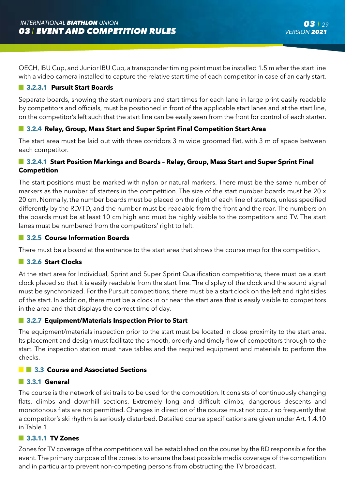OECH, IBU Cup, and Junior IBU Cup, a transponder timing point must be installed 1.5 m after the start line with a video camera installed to capture the relative start time of each competitor in case of an early start.

## **3.2.3.1 Pursuit Start Boards**

Separate boards, showing the start numbers and start times for each lane in large print easily readable by competitors and officials, must be positioned in front of the applicable start lanes and at the start line, on the competitor's left such that the start line can be easily seen from the front for control of each starter.

## **3.2.4 Relay, Group, Mass Start and Super Sprint Final Competition Start Area**

The start area must be laid out with three corridors 3 m wide groomed flat, with 3 m of space between each competitor.

## **3.2.4.1 Start Position Markings and Boards – Relay, Group, Mass Start and Super Sprint Final Competition**

The start positions must be marked with nylon or natural markers. There must be the same number of markers as the number of starters in the competition. The size of the start number boards must be 20 x 20 cm. Normally, the number boards must be placed on the right of each line of starters, unless specified differently by the RD/TD, and the number must be readable from the front and the rear. The numbers on the boards must be at least 10 cm high and must be highly visible to the competitors and TV. The start lanes must be numbered from the competitors' right to left.

## **3.2.5 Course Information Boards**

There must be a board at the entrance to the start area that shows the course map for the competition.

## **3.2.6 Start Clocks**

At the start area for Individual, Sprint and Super Sprint Qualification competitions, there must be a start clock placed so that it is easily readable from the start line. The display of the clock and the sound signal must be synchronized. For the Pursuit competitions, there must be a start clock on the left and right sides of the start. In addition, there must be a clock in or near the start area that is easily visible to competitors in the area and that displays the correct time of day.

## **3.2.7 Equipment/Materials Inspection Prior to Start**

The equipment/materials inspection prior to the start must be located in close proximity to the start area. Its placement and design must facilitate the smooth, orderly and timely flow of competitors through to the start. The inspection station must have tables and the required equipment and materials to perform the checks.

## **13.3 Course and Associated Sections**

#### **3.3.1 General**

The course is the network of ski trails to be used for the competition. It consists of continuously changing flats, climbs and downhill sections. Extremely long and difficult climbs, dangerous descents and monotonous flats are not permitted. Changes in direction of the course must not occur so frequently that a competitor's ski rhythm is seriously disturbed. Detailed course specifications are given under Art. 1.4.10 in Table 1.

#### **3.3.1.1 TV Zones**

Zones for TV coverage of the competitions will be established on the course by the RD responsible for the event. The primary purpose of the zones is to ensure the best possible media coverage of the competition and in particular to prevent non-competing persons from obstructing the TV broadcast.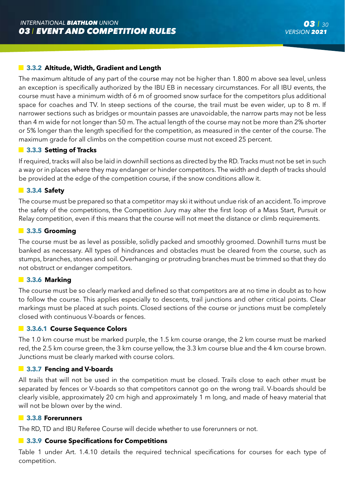## **3.3.2 Altitude, Width, Gradient and Length**

The maximum altitude of any part of the course may not be higher than 1.800 m above sea level, unless an exception is specifically authorized by the IBU EB in necessary circumstances. For all IBU events, the course must have a minimum width of 6 m of groomed snow surface for the competitors plus additional space for coaches and TV. In steep sections of the course, the trail must be even wider, up to 8 m. If narrower sections such as bridges or mountain passes are unavoidable, the narrow parts may not be less than 4 m wide for not longer than 50 m. The actual length of the course may not be more than 2% shorter or 5% longer than the length specified for the competition, as measured in the center of the course. The maximum grade for all climbs on the competition course must not exceed 25 percent.

#### **3.3.3 Setting of Tracks**

If required, tracks will also be laid in downhill sections as directed by the RD. Tracks must not be set in such a way or in places where they may endanger or hinder competitors. The width and depth of tracks should be provided at the edge of the competition course, if the snow conditions allow it.

### **3.3.4 Safety**

The course must be prepared so that a competitor may ski it without undue risk of an accident. To improve the safety of the competitions, the Competition Jury may alter the first loop of a Mass Start, Pursuit or Relay competition, even if this means that the course will not meet the distance or climb requirements.

#### **3.3.5 Grooming**

The course must be as level as possible, solidly packed and smoothly groomed. Downhill turns must be banked as necessary. All types of hindrances and obstacles must be cleared from the course, such as stumps, branches, stones and soil. Overhanging or protruding branches must be trimmed so that they do not obstruct or endanger competitors.

#### **3.3.6 Marking**

The course must be so clearly marked and defined so that competitors are at no time in doubt as to how to follow the course. This applies especially to descents, trail junctions and other critical points. Clear markings must be placed at such points. Closed sections of the course or junctions must be completely closed with continuous V-boards or fences.

#### **3.3.6.1 Course Sequence Colors**

The 1.0 km course must be marked purple, the 1.5 km course orange, the 2 km course must be marked red, the 2.5 km course green, the 3 km course yellow, the 3.3 km course blue and the 4 km course brown. Junctions must be clearly marked with course colors.

#### **3.3.7 Fencing and V-boards**

All trails that will not be used in the competition must be closed. Trails close to each other must be separated by fences or V-boards so that competitors cannot go on the wrong trail. V-boards should be clearly visible, approximately 20 cm high and approximately 1 m long, and made of heavy material that will not be blown over by the wind.

#### **3.3.8 Forerunners**

The RD, TD and IBU Referee Course will decide whether to use forerunners or not.

## **3.3.9 Course Specifications for Competitions**

Table 1 under Art. 1.4.10 details the required technical specifications for courses for each type of competition.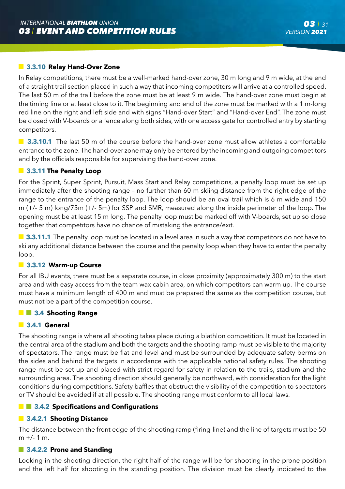### **3.3.10 Relay Hand-Over Zone**

In Relay competitions, there must be a well-marked hand-over zone, 30 m long and 9 m wide, at the end of a straight trail section placed in such a way that incoming competitors will arrive at a controlled speed. The last 50 m of the trail before the zone must be at least 9 m wide. The hand-over zone must begin at the timing line or at least close to it. The beginning and end of the zone must be marked with a 1 m-long red line on the right and left side and with signs "Hand-over Start" and "Hand-over End". The zone must be closed with V-boards or a fence along both sides, with one access gate for controlled entry by starting competitors.

**3.3.10.1** The last 50 m of the course before the hand-over zone must allow athletes a comfortable entrance to the zone. The hand-over zone may only be entered by the incoming and outgoing competitors and by the officials responsible for supervising the hand-over zone.

#### **3.3.11 The Penalty Loop**

For the Sprint, Super Sprint, Pursuit, Mass Start and Relay competitions, a penalty loop must be set up immediately after the shooting range – no further than 60 m skiing distance from the right edge of the range to the entrance of the penalty loop. The loop should be an oval trail which is 6 m wide and 150 m (+/- 5 m) long/75m (+/- 5m) for SSP and SMR, measured along the inside perimeter of the loop. The opening must be at least 15 m long. The penalty loop must be marked off with V-boards, set up so close together that competitors have no chance of mistaking the entrance/exit.

**3.3.11.1** The penalty loop must be located in a level area in such a way that competitors do not have to ski any additional distance between the course and the penalty loop when they have to enter the penalty loop.

#### **3.3.12 Warm-up Course**

For all IBU events, there must be a separate course, in close proximity (approximately 300 m) to the start area and with easy access from the team wax cabin area, on which competitors can warm up. The course must have a minimum length of 400 m and must be prepared the same as the competition course, but must not be a part of the competition course.

#### **3.4 Shooting Range**

#### **3.4.1 General**

The shooting range is where all shooting takes place during a biathlon competition. It must be located in the central area of the stadium and both the targets and the shooting ramp must be visible to the majority of spectators. The range must be flat and level and must be surrounded by adequate safety berms on the sides and behind the targets in accordance with the applicable national safety rules. The shooting range must be set up and placed with strict regard for safety in relation to the trails, stadium and the surrounding area. The shooting direction should generally be northward, with consideration for the light conditions during competitions. Safety baffles that obstruct the visibility of the competition to spectators or TV should be avoided if at all possible. The shooting range must conform to all local laws.

## **13.4.2 Specifications and Configurations**

#### **3.4.2.1 Shooting Distance**

The distance between the front edge of the shooting ramp (firing-line) and the line of targets must be 50  $m +/- 1 m$ .

## **3.4.2.2 Prone and Standing**

Looking in the shooting direction, the right half of the range will be for shooting in the prone position and the left half for shooting in the standing position. The division must be clearly indicated to the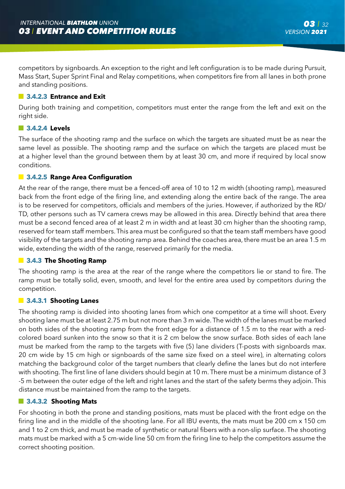competitors by signboards. An exception to the right and left configuration is to be made during Pursuit, Mass Start, Super Sprint Final and Relay competitions, when competitors fire from all lanes in both prone and standing positions.

#### **3.4.2.3 Entrance and Exit**

During both training and competition, competitors must enter the range from the left and exit on the right side.

### **3.4.2.4 Levels**

The surface of the shooting ramp and the surface on which the targets are situated must be as near the same level as possible. The shooting ramp and the surface on which the targets are placed must be at a higher level than the ground between them by at least 30 cm, and more if required by local snow conditions.

## **3.4.2.5 Range Area Configuration**

At the rear of the range, there must be a fenced-off area of 10 to 12 m width (shooting ramp), measured back from the front edge of the firing line, and extending along the entire back of the range. The area is to be reserved for competitors, officials and members of the juries. However, if authorized by the RD/ TD, other persons such as TV camera crews may be allowed in this area. Directly behind that area there must be a second fenced area of at least 2 m in width and at least 30 cm higher than the shooting ramp, reserved for team staff members. This area must be configured so that the team staff members have good visibility of the targets and the shooting ramp area. Behind the coaches area, there must be an area 1.5 m wide, extending the width of the range, reserved primarily for the media.

#### **3.4.3 The Shooting Ramp**

The shooting ramp is the area at the rear of the range where the competitors lie or stand to fire. The ramp must be totally solid, even, smooth, and level for the entire area used by competitors during the competition.

#### **3.4.3.1 Shooting Lanes**

The shooting ramp is divided into shooting lanes from which one competitor at a time will shoot. Every shooting lane must be at least 2.75 m but not more than 3 m wide. The width of the lanes must be marked on both sides of the shooting ramp from the front edge for a distance of 1.5 m to the rear with a redcolored board sunken into the snow so that it is 2 cm below the snow surface. Both sides of each lane must be marked from the ramp to the targets with five (5) lane dividers (T-posts with signboards max. 20 cm wide by 15 cm high or signboards of the same size fixed on a steel wire), in alternating colors matching the background color of the target numbers that clearly define the lanes but do not interfere with shooting. The first line of lane dividers should begin at 10 m. There must be a minimum distance of 3 -5 m between the outer edge of the left and right lanes and the start of the safety berms they adjoin. This distance must be maintained from the ramp to the targets.

## **3.4.3.2 Shooting Mats**

For shooting in both the prone and standing positions, mats must be placed with the front edge on the firing line and in the middle of the shooting lane. For all IBU events, the mats must be 200 cm x 150 cm and 1 to 2 cm thick, and must be made of synthetic or natural fibers with a non-slip surface. The shooting mats must be marked with a 5 cm-wide line 50 cm from the firing line to help the competitors assume the correct shooting position.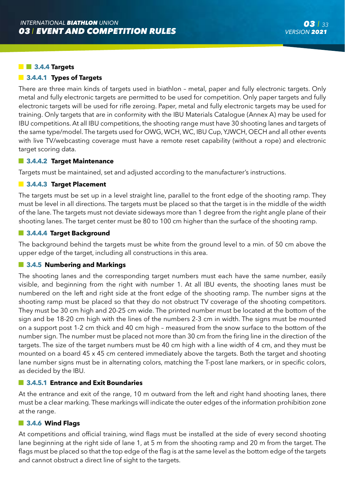#### **3.4.4 Targets**

#### **3.4.4.1 Types of Targets**

There are three main kinds of targets used in biathlon – metal, paper and fully electronic targets. Only metal and fully electronic targets are permitted to be used for competition. Only paper targets and fully electronic targets will be used for rifle zeroing. Paper, metal and fully electronic targets may be used for training. Only targets that are in conformity with the IBU Materials Catalogue (Annex A) may be used for IBU competitions. At all IBU competitions, the shooting range must have 30 shooting lanes and targets of the same type/model. The targets used for OWG, WCH, WC, IBU Cup, YJWCH, OECH and all other events with live TV/webcasting coverage must have a remote reset capability (without a rope) and electronic target scoring data.

#### **3.4.4.2 Target Maintenance**

Targets must be maintained, set and adjusted according to the manufacturer's instructions.

#### **3.4.4.3 Target Placement**

The targets must be set up in a level straight line, parallel to the front edge of the shooting ramp. They must be level in all directions. The targets must be placed so that the target is in the middle of the width of the lane. The targets must not deviate sideways more than 1 degree from the right angle plane of their shooting lanes. The target center must be 80 to 100 cm higher than the surface of the shooting ramp.

#### **3.4.4.4 Target Background**

The background behind the targets must be white from the ground level to a min. of 50 cm above the upper edge of the target, including all constructions in this area.

#### **3.4.5 Numbering and Markings**

The shooting lanes and the corresponding target numbers must each have the same number, easily visible, and beginning from the right with number 1. At all IBU events, the shooting lanes must be numbered on the left and right side at the front edge of the shooting ramp. The number signs at the shooting ramp must be placed so that they do not obstruct TV coverage of the shooting competitors. They must be 30 cm high and 20-25 cm wide. The printed number must be located at the bottom of the sign and be 18-20 cm high with the lines of the numbers 2-3 cm in width. The signs must be mounted on a support post 1-2 cm thick and 40 cm high – measured from the snow surface to the bottom of the number sign. The number must be placed not more than 30 cm from the firing line in the direction of the targets. The size of the target numbers must be 40 cm high with a line width of 4 cm, and they must be mounted on a board 45 x 45 cm centered immediately above the targets. Both the target and shooting lane number signs must be in alternating colors, matching the T-post lane markers, or in specific colors, as decided by the IBU.

#### **3.4.5.1 Entrance and Exit Boundaries**

At the entrance and exit of the range, 10 m outward from the left and right hand shooting lanes, there must be a clear marking. These markings will indicate the outer edges of the information prohibition zone at the range.

#### **3.4.6 Wind Flags**

At competitions and official training, wind flags must be installed at the side of every second shooting lane beginning at the right side of lane 1, at 5 m from the shooting ramp and 20 m from the target. The flags must be placed so that the top edge of the flag is at the same level as the bottom edge of the targets and cannot obstruct a direct line of sight to the targets.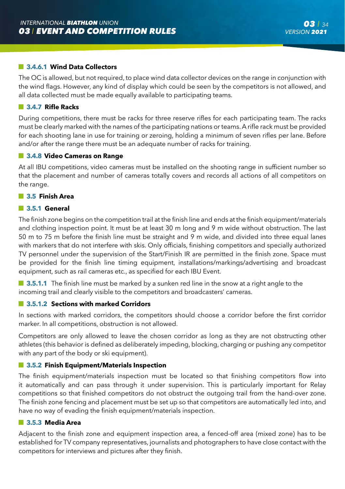## **3.4.6.1 Wind Data Collectors**

The OC is allowed, but not required, to place wind data collector devices on the range in conjunction with the wind flags. However, any kind of display which could be seen by the competitors is not allowed, and all data collected must be made equally available to participating teams.

#### **3.4.7 Rifle Racks**

During competitions, there must be racks for three reserve rifles for each participating team. The racks must be clearly marked with the names of the participating nations or teams. A rifle rack must be provided for each shooting lane in use for training or zeroing, holding a minimum of seven rifles per lane. Before and/or after the range there must be an adequate number of racks for training.

### **3.4.8 Video Cameras on Range**

At all IBU competitions, video cameras must be installed on the shooting range in sufficient number so that the placement and number of cameras totally covers and records all actions of all competitors on the range.

#### **3.5 Finish Area**

#### **3.5.1 General**

The finish zone begins on the competition trail at the finish line and ends at the finish equipment/materials and clothing inspection point. It must be at least 30 m long and 9 m wide without obstruction. The last 50 m to 75 m before the finish line must be straight and 9 m wide, and divided into three equal lanes with markers that do not interfere with skis. Only officials, finishing competitors and specially authorized TV personnel under the supervision of the Start/Finish IR are permitted in the finish zone. Space must be provided for the finish line timing equipment, installations/markings/advertising and broadcast equipment, such as rail cameras etc., as specified for each IBU Event.

**3.5.1.1** The finish line must be marked by a sunken red line in the snow at a right angle to the incoming trail and clearly visible to the competitors and broadcasters' cameras.

#### **3.5.1.2 Sections with marked Corridors**

In sections with marked corridors, the competitors should choose a corridor before the first corridor marker. In all competitions, obstruction is not allowed.

Competitors are only allowed to leave the chosen corridor as long as they are not obstructing other athletes (this behavior is defined as deliberately impeding, blocking, charging or pushing any competitor with any part of the body or ski equipment).

#### **3.5.2 Finish Equipment/Materials Inspection**

The finish equipment/materials inspection must be located so that finishing competitors flow into it automatically and can pass through it under supervision. This is particularly important for Relay competitions so that finished competitors do not obstruct the outgoing trail from the hand-over zone. The finish zone fencing and placement must be set up so that competitors are automatically led into, and have no way of evading the finish equipment/materials inspection.

#### **3.5.3 Media Area**

Adjacent to the finish zone and equipment inspection area, a fenced-off area (mixed zone) has to be established for TV company representatives, journalists and photographers to have close contact with the competitors for interviews and pictures after they finish.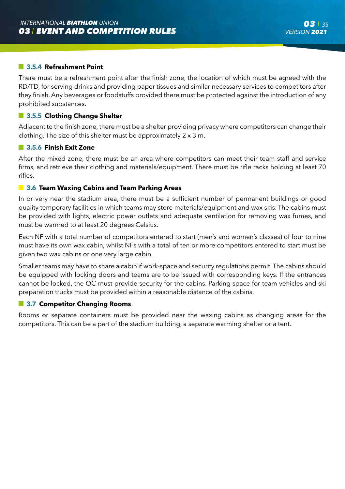### **3.5.4 Refreshment Point**

There must be a refreshment point after the finish zone, the location of which must be agreed with the RD/TD, for serving drinks and providing paper tissues and similar necessary services to competitors after they finish. Any beverages or foodstuffs provided there must be protected against the introduction of any prohibited substances.

#### **3.5.5 Clothing Change Shelter**

Adjacent to the finish zone, there must be a shelter providing privacy where competitors can change their clothing. The size of this shelter must be approximately 2 x 3 m.

#### **3.5.6 Finish Exit Zone**

After the mixed zone, there must be an area where competitors can meet their team staff and service firms, and retrieve their clothing and materials/equipment. There must be rifle racks holding at least 70 rifles.

### **3.6 Team Waxing Cabins and Team Parking Areas**

In or very near the stadium area, there must be a sufficient number of permanent buildings or good quality temporary facilities in which teams may store materials/equipment and wax skis. The cabins must be provided with lights, electric power outlets and adequate ventilation for removing wax fumes, and must be warmed to at least 20 degrees Celsius.

Each NF with a total number of competitors entered to start (men's and women's classes) of four to nine must have its own wax cabin, whilst NFs with a total of ten or more competitors entered to start must be given two wax cabins or one very large cabin.

Smaller teams may have to share a cabin if work-space and security regulations permit. The cabins should be equipped with locking doors and teams are to be issued with corresponding keys. If the entrances cannot be locked, the OC must provide security for the cabins. Parking space for team vehicles and ski preparation trucks must be provided within a reasonable distance of the cabins.

#### **3.7 Competitor Changing Rooms**

Rooms or separate containers must be provided near the waxing cabins as changing areas for the competitors. This can be a part of the stadium building, a separate warming shelter or a tent.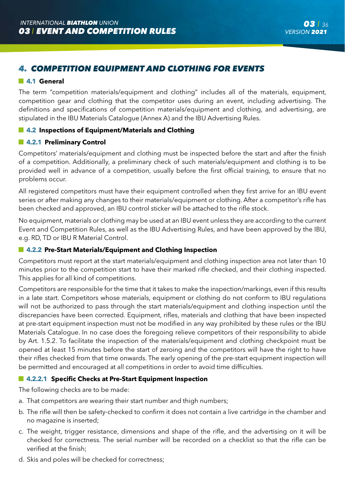# *4. COMPETITION EQUIPMENT AND CLOTHING FOR EVENTS*

## **4.1 General**

The term "competition materials/equipment and clothing" includes all of the materials, equipment, competition gear and clothing that the competitor uses during an event, including advertising. The definitions and specifications of competition materials/equipment and clothing, and advertising, are stipulated in the IBU Materials Catalogue (Annex A) and the IBU Advertising Rules.

## **4.2 Inspections of Equipment/Materials and Clothing**

## **4.2.1 Preliminary Control**

Competitors' materials/equipment and clothing must be inspected before the start and after the finish of a competition. Additionally, a preliminary check of such materials/equipment and clothing is to be provided well in advance of a competition, usually before the first official training, to ensure that no problems occur.

All registered competitors must have their equipment controlled when they first arrive for an IBU event series or after making any changes to their materials/equipment or clothing. After a competitor's rifle has been checked and approved, an IBU control sticker will be attached to the rifle stock.

No equipment, materials or clothing may be used at an IBU event unless they are according to the current Event and Competition Rules, as well as the IBU Advertising Rules, and have been approved by the IBU, e.g. RD, TD or IBU R Material Control.

## **4.2.2 Pre-Start Materials/Equipment and Clothing Inspection**

Competitors must report at the start materials/equipment and clothing inspection area not later than 10 minutes prior to the competition start to have their marked rifle checked, and their clothing inspected. This applies for all kind of competitions.

Competitors are responsible for the time that it takes to make the inspection/markings, even if this results in a late start. Competitors whose materials, equipment or clothing do not conform to IBU regulations will not be authorized to pass through the start materials/equipment and clothing inspection until the discrepancies have been corrected. Equipment, rifles, materials and clothing that have been inspected at pre-start equipment inspection must not be modified in any way prohibited by these rules or the IBU Materials Catalogue. In no case does the foregoing relieve competitors of their responsibility to abide by Art. 1.5.2. To facilitate the inspection of the materials/equipment and clothing checkpoint must be opened at least 15 minutes before the start of zeroing and the competitors will have the right to have their rifles checked from that time onwards. The early opening of the pre-start equipment inspection will be permitted and encouraged at all competitions in order to avoid time difficulties.

## **4.2.2.1 Specific Checks at Pre-Start Equipment Inspection**

The following checks are to be made:

- a. That competitors are wearing their start number and thigh numbers;
- b. The rifle will then be safety-checked to confirm it does not contain a live cartridge in the chamber and no magazine is inserted;
- c. The weight, trigger resistance, dimensions and shape of the rifle, and the advertising on it will be checked for correctness. The serial number will be recorded on a checklist so that the rifle can be verified at the finish;
- d. Skis and poles will be checked for correctness;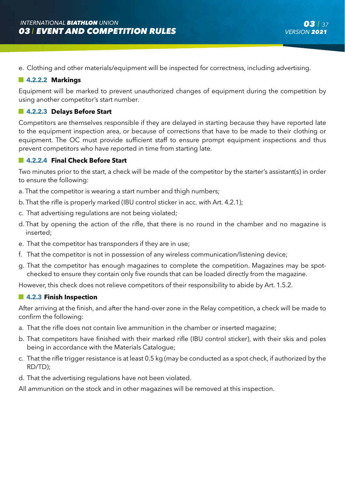e. Clothing and other materials/equipment will be inspected for correctness, including advertising.

## **4.2.2.2 Markings**

Equipment will be marked to prevent unauthorized changes of equipment during the competition by using another competitor's start number.

## **4.2.2.3 Delays Before Start**

Competitors are themselves responsible if they are delayed in starting because they have reported late to the equipment inspection area, or because of corrections that have to be made to their clothing or equipment. The OC must provide sufficient staff to ensure prompt equipment inspections and thus prevent competitors who have reported in time from starting late.

## **4.2.2.4 Final Check Before Start**

Two minutes prior to the start, a check will be made of the competitor by the starter's assistant(s) in order to ensure the following:

- a. That the competitor is wearing a start number and thigh numbers;
- b. That the rifle is properly marked (IBU control sticker in acc. with Art. 4.2.1);
- c. That advertising regulations are not being violated;
- d. That by opening the action of the rifle, that there is no round in the chamber and no magazine is inserted;
- e. That the competitor has transponders if they are in use;
- f. That the competitor is not in possession of any wireless communication/listening device;
- g. That the competitor has enough magazines to complete the competition. Magazines may be spotchecked to ensure they contain only five rounds that can be loaded directly from the magazine.

However, this check does not relieve competitors of their responsibility to abide by Art. 1.5.2.

#### **4.2.3 Finish Inspection**

After arriving at the finish, and after the hand-over zone in the Relay competition, a check will be made to confirm the following:

- a. That the rifle does not contain live ammunition in the chamber or inserted magazine;
- b. That competitors have finished with their marked rifle (IBU control sticker), with their skis and poles being in accordance with the Materials Catalogue;
- c. That the rifle trigger resistance is at least 0.5 kg (may be conducted as a spot check, if authorized by the RD/TD);
- d. That the advertising regulations have not been violated.

All ammunition on the stock and in other magazines will be removed at this inspection.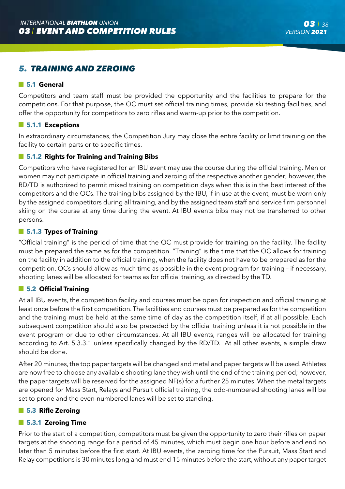# *5. TRAINING AND ZEROING*

## **5.1 General**

Competitors and team staff must be provided the opportunity and the facilities to prepare for the competitions. For that purpose, the OC must set official training times, provide ski testing facilities, and offer the opportunity for competitors to zero rifles and warm-up prior to the competition.

## **5.1.1 Exceptions**

In extraordinary circumstances, the Competition Jury may close the entire facility or limit training on the facility to certain parts or to specific times.

## **5.1.2 Rights for Training and Training Bibs**

Competitors who have registered for an IBU event may use the course during the official training. Men or women may not participate in official training and zeroing of the respective another gender; however, the RD/TD is authorized to permit mixed training on competition days when this is in the best interest of the competitors and the OCs. The training bibs assigned by the IBU, if in use at the event, must be worn only by the assigned competitors during all training, and by the assigned team staff and service firm personnel skiing on the course at any time during the event. At IBU events bibs may not be transferred to other persons.

## **5.1.3 Types of Training**

"Official training" is the period of time that the OC must provide for training on the facility. The facility must be prepared the same as for the competition. "Training" is the time that the OC allows for training on the facility in addition to the official training, when the facility does not have to be prepared as for the competition. OCs should allow as much time as possible in the event program for training – if necessary, shooting lanes will be allocated for teams as for official training, as directed by the TD.

## **5.2 Official Training**

At all IBU events, the competition facility and courses must be open for inspection and official training at least once before the first competition. The facilities and courses must be prepared as for the competition and the training must be held at the same time of day as the competition itself, if at all possible. Each subsequent competition should also be preceded by the official training unless it is not possible in the event program or due to other circumstances. At all IBU events, ranges will be allocated for training according to Art. 5.3.3.1 unless specifically changed by the RD/TD. At all other events, a simple draw should be done.

After 20 minutes, the top paper targets will be changed and metal and paper targets will be used. Athletes are now free to choose any available shooting lane they wish until the end of the training period; however, the paper targets will be reserved for the assigned NF(s) for a further 25 minutes. When the metal targets are opened for Mass Start, Relays and Pursuit official training, the odd-numbered shooting lanes will be set to prone and the even-numbered lanes will be set to standing.

## **5.3 Rifle Zeroing**

#### **5.3.1 Zeroing Time**

Prior to the start of a competition, competitors must be given the opportunity to zero their rifles on paper targets at the shooting range for a period of 45 minutes, which must begin one hour before and end no later than 5 minutes before the first start. At IBU events, the zeroing time for the Pursuit, Mass Start and Relay competitions is 30 minutes long and must end 15 minutes before the start, without any paper target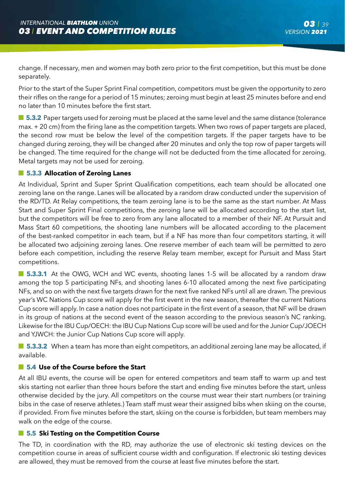change. If necessary, men and women may both zero prior to the first competition, but this must be done separately.

Prior to the start of the Super Sprint Final competition, competitors must be given the opportunity to zero their rifles on the range for a period of 15 minutes; zeroing must begin at least 25 minutes before and end no later than 10 minutes before the first start.

 $\blacksquare$  **5.3.2** Paper targets used for zeroing must be placed at the same level and the same distance (tolerance max. + 20 cm) from the firing lane as the competition targets. When two rows of paper targets are placed, the second row must be below the level of the competition targets. If the paper targets have to be changed during zeroing, they will be changed after 20 minutes and only the top row of paper targets will be changed. The time required for the change will not be deducted from the time allocated for zeroing. Metal targets may not be used for zeroing.

## **5.3.3 Allocation of Zeroing Lanes**

At Individual, Sprint and Super Sprint Qualification competitions, each team should be allocated one zeroing lane on the range. Lanes will be allocated by a random draw conducted under the supervision of the RD/TD. At Relay competitions, the team zeroing lane is to be the same as the start number. At Mass Start and Super Sprint Final competitions, the zeroing lane will be allocated according to the start list, but the competitors will be free to zero from any lane allocated to a member of their NF. At Pursuit and Mass Start 60 competitions, the shooting lane numbers will be allocated according to the placement of the best-ranked competitor in each team, but if a NF has more than four competitors starting, it will be allocated two adjoining zeroing lanes. One reserve member of each team will be permitted to zero before each competition, including the reserve Relay team member, except for Pursuit and Mass Start competitions.

**5.3.3.1** At the OWG, WCH and WC events, shooting lanes 1-5 will be allocated by a random draw among the top 5 participating NFs, and shooting lanes 6-10 allocated among the next five participating NFs, and so on with the next five targets drawn for the next five ranked NFs until all are drawn. The previous year's WC Nations Cup score will apply for the first event in the new season, thereafter the current Nations Cup score will apply. In case a nation does not participate in the first event of a season, that NF will be drawn in its group of nations at the second event of the season according to the previous season's NC ranking. Likewise for the IBU Cup/OECH: the IBU Cup Nations Cup score will be used and for the Junior Cup/JOECH and YJWCH: the Junior Cup Nations Cup score will apply.

 $\blacksquare$  **5.3.3.2** When a team has more than eight competitors, an additional zeroing lane may be allocated, if available.

# **5.4 Use of the Course before the Start**

At all IBU events, the course will be open for entered competitors and team staff to warm up and test skis starting not earlier than three hours before the start and ending five minutes before the start, unless otherwise decided by the jury. All competitors on the course must wear their start numbers (or training bibs in the case of reserve athletes.) Team staff must wear their assigned bibs when skiing on the course, if provided. From five minutes before the start, skiing on the course is forbidden, but team members may walk on the edge of the course.

## **5.5 Ski Testing on the Competition Course**

The TD, in coordination with the RD, may authorize the use of electronic ski testing devices on the competition course in areas of sufficient course width and configuration. If electronic ski testing devices are allowed, they must be removed from the course at least five minutes before the start.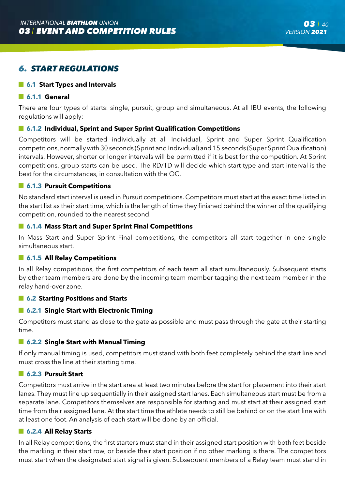# *6. START REGULATIONS*

## **6.1 Start Types and Intervals**

#### **6.1.1 General**

There are four types of starts: single, pursuit, group and simultaneous. At all IBU events, the following regulations will apply:

## **6.1.2 Individual, Sprint and Super Sprint Qualification Competitions**

Competitors will be started individually at all Individual, Sprint and Super Sprint Qualification competitions, normally with 30 seconds (Sprint and Individual) and 15 seconds (Super Sprint Qualification) intervals. However, shorter or longer intervals will be permitted if it is best for the competition. At Sprint competitions, group starts can be used. The RD/TD will decide which start type and start interval is the best for the circumstances, in consultation with the OC.

## **6.1.3 Pursuit Competitions**

No standard start interval is used in Pursuit competitions. Competitors must start at the exact time listed in the start list as their start time, which is the length of time they finished behind the winner of the qualifying competition, rounded to the nearest second.

## **6.1.4 Mass Start and Super Sprint Final Competitions**

In Mass Start and Super Sprint Final competitions, the competitors all start together in one single simultaneous start.

### **6.1.5 All Relay Competitions**

In all Relay competitions, the first competitors of each team all start simultaneously. Subsequent starts by other team members are done by the incoming team member tagging the next team member in the relay hand-over zone.

#### **6.2 Starting Positions and Starts**

#### **6.2.1 Single Start with Electronic Timing**

Competitors must stand as close to the gate as possible and must pass through the gate at their starting time.

#### **6.2.2 Single Start with Manual Timing**

If only manual timing is used, competitors must stand with both feet completely behind the start line and must cross the line at their starting time.

#### **6.2.3 Pursuit Start**

Competitors must arrive in the start area at least two minutes before the start for placement into their start lanes. They must line up sequentially in their assigned start lanes. Each simultaneous start must be from a separate lane. Competitors themselves are responsible for starting and must start at their assigned start time from their assigned lane. At the start time the athlete needs to still be behind or on the start line with at least one foot. An analysis of each start will be done by an official.

## **6.2.4 All Relay Starts**

In all Relay competitions, the first starters must stand in their assigned start position with both feet beside the marking in their start row, or beside their start position if no other marking is there. The competitors must start when the designated start signal is given. Subsequent members of a Relay team must stand in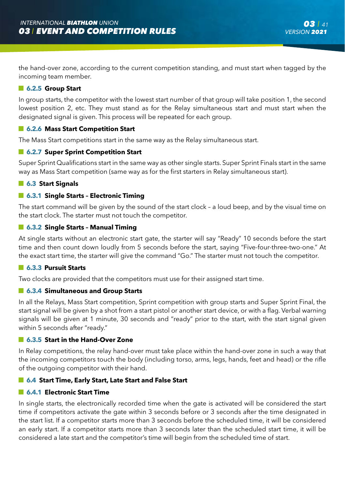the hand-over zone, according to the current competition standing, and must start when tagged by the incoming team member.

#### **6.2.5 Group Start**

In group starts, the competitor with the lowest start number of that group will take position 1, the second lowest position 2, etc. They must stand as for the Relay simultaneous start and must start when the designated signal is given. This process will be repeated for each group.

## **6.2.6 Mass Start Competition Start**

The Mass Start competitions start in the same way as the Relay simultaneous start.

## **6.2.7 Super Sprint Competition Start**

Super Sprint Qualifications start in the same way as other single starts. Super Sprint Finals start in the same way as Mass Start competition (same way as for the first starters in Relay simultaneous start).

#### **6.3 Start Signals**

## **6.3.1 Single Starts – Electronic Timing**

The start command will be given by the sound of the start clock – a loud beep, and by the visual time on the start clock. The starter must not touch the competitor.

## **6.3.2 Single Starts – Manual Timing**

At single starts without an electronic start gate, the starter will say "Ready" 10 seconds before the start time and then count down loudly from 5 seconds before the start, saying "Five-four-three-two-one." At the exact start time, the starter will give the command "Go." The starter must not touch the competitor.

## **6.3.3 Pursuit Starts**

Two clocks are provided that the competitors must use for their assigned start time.

## **6.3.4 Simultaneous and Group Starts**

In all the Relays, Mass Start competition, Sprint competition with group starts and Super Sprint Final, the start signal will be given by a shot from a start pistol or another start device, or with a flag. Verbal warning signals will be given at 1 minute, 30 seconds and "ready" prior to the start, with the start signal given within 5 seconds after "ready."

#### **6.3.5 Start in the Hand-Over Zone**

In Relay competitions, the relay hand-over must take place within the hand-over zone in such a way that the incoming competitors touch the body (including torso, arms, legs, hands, feet and head) or the rifle of the outgoing competitor with their hand.

## **6.4 Start Time, Early Start, Late Start and False Start**

#### **6.4.1 Electronic Start Time**

In single starts, the electronically recorded time when the gate is activated will be considered the start time if competitors activate the gate within 3 seconds before or 3 seconds after the time designated in the start list. If a competitor starts more than 3 seconds before the scheduled time, it will be considered an early start. If a competitor starts more than 3 seconds later than the scheduled start time, it will be considered a late start and the competitor's time will begin from the scheduled time of start.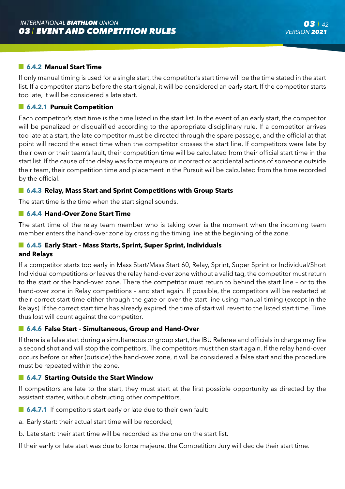## **6.4.2 Manual Start Time**

If only manual timing is used for a single start, the competitor's start time will be the time stated in the start list. If a competitor starts before the start signal, it will be considered an early start. If the competitor starts too late, it will be considered a late start.

## **6.4.2.1 Pursuit Competition**

Each competitor's start time is the time listed in the start list. In the event of an early start, the competitor will be penalized or disqualified according to the appropriate disciplinary rule. If a competitor arrives too late at a start, the late competitor must be directed through the spare passage, and the official at that point will record the exact time when the competitor crosses the start line. If competitors were late by their own or their team's fault, their competition time will be calculated from their official start time in the start list. If the cause of the delay was force majeure or incorrect or accidental actions of someone outside their team, their competition time and placement in the Pursuit will be calculated from the time recorded by the official.

#### **6.4.3 Relay, Mass Start and Sprint Competitions with Group Starts**

The start time is the time when the start signal sounds.

## **6.4.4 Hand-Over Zone Start Time**

The start time of the relay team member who is taking over is the moment when the incoming team member enters the hand-over zone by crossing the timing line at the beginning of the zone.

# **6.4.5 Early Start – Mass Starts, Sprint, Super Sprint, Individuals**

#### **and Relays**

If a competitor starts too early in Mass Start/Mass Start 60, Relay, Sprint, Super Sprint or Individual/Short Individual competitions or leaves the relay hand-over zone without a valid tag, the competitor must return to the start or the hand-over zone. There the competitor must return to behind the start line – or to the hand-over zone in Relay competitions – and start again. If possible, the competitors will be restarted at their correct start time either through the gate or over the start line using manual timing (except in the Relays). If the correct start time has already expired, the time of start will revert to the listed start time. Time thus lost will count against the competitor.

#### **6.4.6 False Start – Simultaneous, Group and Hand-Over**

If there is a false start during a simultaneous or group start, the IBU Referee and officials in charge may fire a second shot and will stop the competitors. The competitors must then start again. If the relay hand-over occurs before or after (outside) the hand-over zone, it will be considered a false start and the procedure must be repeated within the zone.

#### **6.4.7 Starting Outside the Start Window**

If competitors are late to the start, they must start at the first possible opportunity as directed by the assistant starter, without obstructing other competitors.

- **6.4.7.1** If competitors start early or late due to their own fault:
- a. Early start: their actual start time will be recorded;
- b. Late start: their start time will be recorded as the one on the start list.

If their early or late start was due to force majeure, the Competition Jury will decide their start time.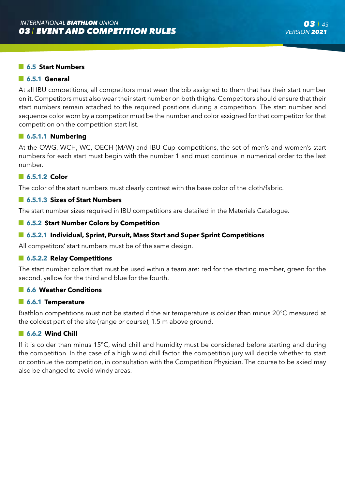## **6.5 Start Numbers**

### **6.5.1 General**

At all IBU competitions, all competitors must wear the bib assigned to them that has their start number on it. Competitors must also wear their start number on both thighs. Competitors should ensure that their start numbers remain attached to the required positions during a competition. The start number and sequence color worn by a competitor must be the number and color assigned for that competitor for that competition on the competition start list.

#### **6.5.1.1 Numbering**

At the OWG, WCH, WC, OECH (M/W) and IBU Cup competitions, the set of men's and women's start numbers for each start must begin with the number 1 and must continue in numerical order to the last number.

## **6.5.1.2 Color**

The color of the start numbers must clearly contrast with the base color of the cloth/fabric.

## **6.5.1.3 Sizes of Start Numbers**

The start number sizes required in IBU competitions are detailed in the Materials Catalogue.

#### **6.5.2 Start Number Colors by Competition**

#### **6.5.2.1 Individual, Sprint, Pursuit, Mass Start and Super Sprint Competitions**

All competitors' start numbers must be of the same design.

### **6.5.2.2 Relay Competitions**

The start number colors that must be used within a team are: red for the starting member, green for the second, yellow for the third and blue for the fourth.

#### **6.6 Weather Conditions**

#### **6.6.1 Temperature**

Biathlon competitions must not be started if the air temperature is colder than minus 20°C measured at the coldest part of the site (range or course), 1.5 m above ground.

#### **6.6.2 Wind Chill**

If it is colder than minus 15°C, wind chill and humidity must be considered before starting and during the competition. In the case of a high wind chill factor, the competition jury will decide whether to start or continue the competition, in consultation with the Competition Physician. The course to be skied may also be changed to avoid windy areas.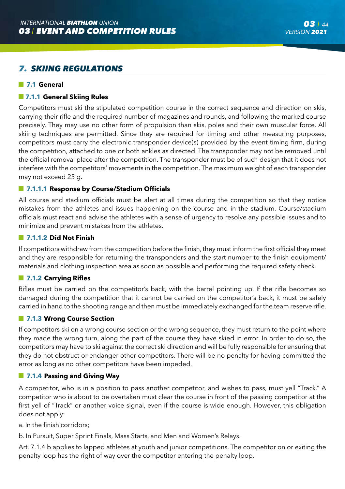# *7. SKIING REGULATIONS*

## **7.1 General**

## **7.1.1 General Skiing Rules**

Competitors must ski the stipulated competition course in the correct sequence and direction on skis, carrying their rifle and the required number of magazines and rounds, and following the marked course precisely. They may use no other form of propulsion than skis, poles and their own muscular force. All skiing techniques are permitted. Since they are required for timing and other measuring purposes, competitors must carry the electronic transponder device(s) provided by the event timing firm, during the competition, attached to one or both ankles as directed. The transponder may not be removed until the official removal place after the competition. The transponder must be of such design that it does not interfere with the competitors' movements in the competition. The maximum weight of each transponder may not exceed 25 g.

## **7.1.1.1 Response by Course/Stadium Officials**

All course and stadium officials must be alert at all times during the competition so that they notice mistakes from the athletes and issues happening on the course and in the stadium. Course/stadium officials must react and advise the athletes with a sense of urgency to resolve any possible issues and to minimize and prevent mistakes from the athletes.

#### $\blacksquare$  **7.1.1.2 Did Not Finish**

If competitors withdraw from the competition before the finish, they must inform the first official they meet and they are responsible for returning the transponders and the start number to the finish equipment/ materials and clothing inspection area as soon as possible and performing the required safety check.

## **7.1.2 Carrying Rifles**

Rifles must be carried on the competitor's back, with the barrel pointing up. If the rifle becomes so damaged during the competition that it cannot be carried on the competitor's back, it must be safely carried in hand to the shooting range and then must be immediately exchanged for the team reserve rifle.

## **7.1.3 Wrong Course Section**

If competitors ski on a wrong course section or the wrong sequence, they must return to the point where they made the wrong turn, along the part of the course they have skied in error. In order to do so, the competitors may have to ski against the correct ski direction and will be fully responsible for ensuring that they do not obstruct or endanger other competitors. There will be no penalty for having committed the error as long as no other competitors have been impeded.

## **7.1.4 Passing and Giving Way**

A competitor, who is in a position to pass another competitor, and wishes to pass, must yell "Track." A competitor who is about to be overtaken must clear the course in front of the passing competitor at the first yell of "Track" or another voice signal, even if the course is wide enough. However, this obligation does not apply:

a. In the finish corridors;

b. In Pursuit, Super Sprint Finals, Mass Starts, and Men and Women's Relays.

Art. 7.1.4 b applies to lapped athletes at youth and junior competitions. The competitor on or exiting the penalty loop has the right of way over the competitor entering the penalty loop.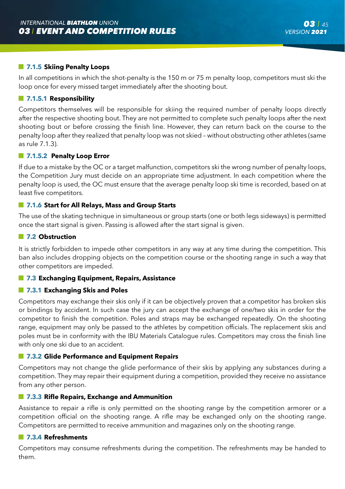## **7.1.5 Skiing Penalty Loops**

In all competitions in which the shot-penalty is the 150 m or 75 m penalty loop, competitors must ski the loop once for every missed target immediately after the shooting bout.

#### **7.1.5.1 Responsibility**

Competitors themselves will be responsible for skiing the required number of penalty loops directly after the respective shooting bout. They are not permitted to complete such penalty loops after the next shooting bout or before crossing the finish line. However, they can return back on the course to the penalty loop after they realized that penalty loop was not skied – without obstructing other athletes (same as rule 7.1.3).

### **7.1.5.2 Penalty Loop Error**

If due to a mistake by the OC or a target malfunction, competitors ski the wrong number of penalty loops, the Competition Jury must decide on an appropriate time adjustment. In each competition where the penalty loop is used, the OC must ensure that the average penalty loop ski time is recorded, based on at least five competitors.

## **7.1.6 Start for All Relays, Mass and Group Starts**

The use of the skating technique in simultaneous or group starts (one or both legs sideways) is permitted once the start signal is given. Passing is allowed after the start signal is given.

## $\blacksquare$  **7.2 Obstruction**

It is strictly forbidden to impede other competitors in any way at any time during the competition. This ban also includes dropping objects on the competition course or the shooting range in such a way that other competitors are impeded.

#### **7.3 Exchanging Equipment, Repairs, Assistance**

#### **7.3.1 Exchanging Skis and Poles**

Competitors may exchange their skis only if it can be objectively proven that a competitor has broken skis or bindings by accident. In such case the jury can accept the exchange of one/two skis in order for the competitor to finish the competition. Poles and straps may be exchanged repeatedly. On the shooting range, equipment may only be passed to the athletes by competition officials. The replacement skis and poles must be in conformity with the IBU Materials Catalogue rules. Competitors may cross the finish line with only one ski due to an accident.

## **7.3.2 Glide Performance and Equipment Repairs**

Competitors may not change the glide performance of their skis by applying any substances during a competition. They may repair their equipment during a competition, provided they receive no assistance from any other person.

#### **7.3.3 Rifle Repairs, Exchange and Ammunition**

Assistance to repair a rifle is only permitted on the shooting range by the competition armorer or a competition official on the shooting range. A rifle may be exchanged only on the shooting range. Competitors are permitted to receive ammunition and magazines only on the shooting range.

## **7.3.4 Refreshments**

Competitors may consume refreshments during the competition. The refreshments may be handed to them.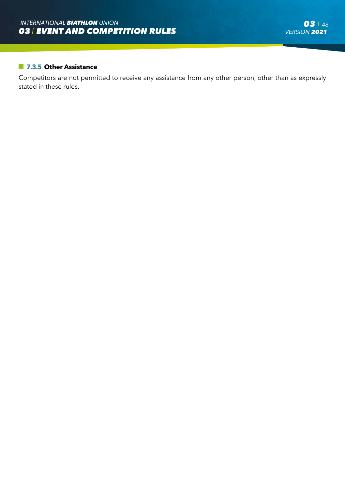## **7.3.5 Other Assistance**

Competitors are not permitted to receive any assistance from any other person, other than as expressly stated in these rules.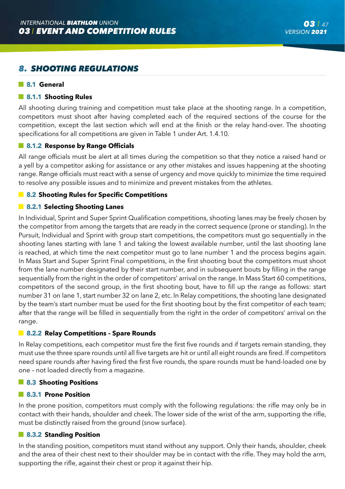# *8. SHOOTING REGULATIONS*

#### **8.1 General**

### **8.1.1 Shooting Rules**

All shooting during training and competition must take place at the shooting range. In a competition, competitors must shoot after having completed each of the required sections of the course for the competition, except the last section which will end at the finish or the relay hand-over. The shooting specifications for all competitions are given in Table 1 under Art. 1.4.10.

## **8.1.2 Response by Range Officials**

All range officials must be alert at all times during the competition so that they notice a raised hand or a yell by a competitor asking for assistance or any other mistakes and issues happening at the shooting range. Range officials must react with a sense of urgency and move quickly to minimize the time required to resolve any possible issues and to minimize and prevent mistakes from the athletes.

## **8.2 Shooting Rules for Specific Competitions**

## **8.2.1 Selecting Shooting Lanes**

In Individual, Sprint and Super Sprint Qualification competitions, shooting lanes may be freely chosen by the competitor from among the targets that are ready in the correct sequence (prone or standing). In the Pursuit, Individual and Sprint with group start competitions, the competitors must go sequentially in the shooting lanes starting with lane 1 and taking the lowest available number, until the last shooting lane is reached, at which time the next competitor must go to lane number 1 and the process begins again. In Mass Start and Super Sprint Final competitions, in the first shooting bout the competitors must shoot from the lane number designated by their start number, and in subsequent bouts by filling in the range sequentially from the right in the order of competitors' arrival on the range. In Mass Start 60 competitions, competitors of the second group, in the first shooting bout, have to fill up the range as follows: start number 31 on lane 1, start number 32 on lane 2, etc. In Relay competitions, the shooting lane designated by the team's start number must be used for the first shooting bout by the first competitor of each team; after that the range will be filled in sequentially from the right in the order of competitors' arrival on the range.

#### **8.2.2 Relay Competitions – Spare Rounds**

In Relay competitions, each competitor must fire the first five rounds and if targets remain standing, they must use the three spare rounds until all five targets are hit or until all eight rounds are fired. If competitors need spare rounds after having fired the first five rounds, the spare rounds must be hand-loaded one by one – not loaded directly from a magazine.

#### **8.3 Shooting Positions**

#### **8.3.1 Prone Position**

In the prone position, competitors must comply with the following regulations: the rifle may only be in contact with their hands, shoulder and cheek. The lower side of the wrist of the arm, supporting the rifle, must be distinctly raised from the ground (snow surface).

#### **8.3.2 Standing Position**

In the standing position, competitors must stand without any support. Only their hands, shoulder, cheek and the area of their chest next to their shoulder may be in contact with the rifle. They may hold the arm, supporting the rifle, against their chest or prop it against their hip.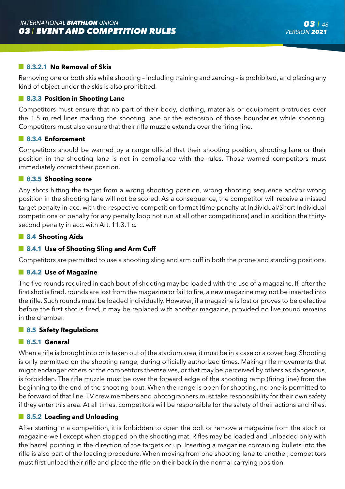## **8.3.2.1 No Removal of Skis**

Removing one or both skis while shooting – including training and zeroing – is prohibited, and placing any kind of object under the skis is also prohibited.

### **8.3.3 Position in Shooting Lane**

Competitors must ensure that no part of their body, clothing, materials or equipment protrudes over the 1.5 m red lines marking the shooting lane or the extension of those boundaries while shooting. Competitors must also ensure that their rifle muzzle extends over the firing line.

## **8.3.4 Enforcement**

Competitors should be warned by a range official that their shooting position, shooting lane or their position in the shooting lane is not in compliance with the rules. Those warned competitors must immediately correct their position.

#### **8.3.5 Shooting score**

Any shots hitting the target from a wrong shooting position, wrong shooting sequence and/or wrong position in the shooting lane will not be scored. As a consequence, the competitor will receive a missed target penalty in acc. with the respective competition format (time penalty at Individual/Short Individual competitions or penalty for any penalty loop not run at all other competitions) and in addition the thirtysecond penalty in acc. with Art. 11.3.1 c.

#### **8.4 Shooting Aids**

#### **8.4.1 Use of Shooting Sling and Arm Cuff**

Competitors are permitted to use a shooting sling and arm cuff in both the prone and standing positions.

#### **8.4.2 Use of Magazine**

The five rounds required in each bout of shooting may be loaded with the use of a magazine. If, after the first shot is fired, rounds are lost from the magazine or fail to fire, a new magazine may not be inserted into the rifle. Such rounds must be loaded individually. However, if a magazine is lost or proves to be defective before the first shot is fired, it may be replaced with another magazine, provided no live round remains in the chamber.

#### **8.5 Safety Regulations**

#### **8.5.1 General**

When a rifle is brought into or is taken out of the stadium area, it must be in a case or a cover bag. Shooting is only permitted on the shooting range, during officially authorized times. Making rifle movements that might endanger others or the competitors themselves, or that may be perceived by others as dangerous, is forbidden. The rifle muzzle must be over the forward edge of the shooting ramp (firing line) from the beginning to the end of the shooting bout. When the range is open for shooting, no one is permitted to be forward of that line. TV crew members and photographers must take responsibility for their own safety if they enter this area. At all times, competitors will be responsible for the safety of their actions and rifles.

#### **8.5.2 Loading and Unloading**

After starting in a competition, it is forbidden to open the bolt or remove a magazine from the stock or magazine-well except when stopped on the shooting mat. Rifles may be loaded and unloaded only with the barrel pointing in the direction of the targets or up. Inserting a magazine containing bullets into the rifle is also part of the loading procedure. When moving from one shooting lane to another, competitors must first unload their rifle and place the rifle on their back in the normal carrying position.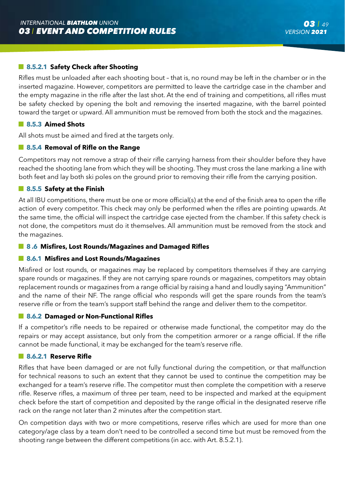## **8.5.2.1 Safety Check after Shooting**

Rifles must be unloaded after each shooting bout – that is, no round may be left in the chamber or in the inserted magazine. However, competitors are permitted to leave the cartridge case in the chamber and the empty magazine in the rifle after the last shot. At the end of training and competitions, all rifles must be safety checked by opening the bolt and removing the inserted magazine, with the barrel pointed toward the target or upward. All ammunition must be removed from both the stock and the magazines.

## **8.5.3 Aimed Shots**

All shots must be aimed and fired at the targets only.

## **8.5.4 Removal of Rifle on the Range**

Competitors may not remove a strap of their rifle carrying harness from their shoulder before they have reached the shooting lane from which they will be shooting. They must cross the lane marking a line with both feet and lay both ski poles on the ground prior to removing their rifle from the carrying position.

## **8.5.5 Safety at the Finish**

At all IBU competitions, there must be one or more official(s) at the end of the finish area to open the rifle action of every competitor. This check may only be performed when the rifles are pointing upwards. At the same time, the official will inspect the cartridge case ejected from the chamber. If this safety check is not done, the competitors must do it themselves. All ammunition must be removed from the stock and the magazines.

## **8 .6 Misfires, Lost Rounds/Magazines and Damaged Rifles**

## **8.6.1 Misfires and Lost Rounds/Magazines**

Misfired or lost rounds, or magazines may be replaced by competitors themselves if they are carrying spare rounds or magazines. If they are not carrying spare rounds or magazines, competitors may obtain replacement rounds or magazines from a range official by raising a hand and loudly saying "Ammunition" and the name of their NF. The range official who responds will get the spare rounds from the team's reserve rifle or from the team's support staff behind the range and deliver them to the competitor.

## **8.6.2 Damaged or Non-Functional Rifles**

If a competitor's rifle needs to be repaired or otherwise made functional, the competitor may do the repairs or may accept assistance, but only from the competition armorer or a range official. If the rifle cannot be made functional, it may be exchanged for the team's reserve rifle.

## **8.6.2.1 Reserve Rifle**

Rifles that have been damaged or are not fully functional during the competition, or that malfunction for technical reasons to such an extent that they cannot be used to continue the competition may be exchanged for a team's reserve rifle. The competitor must then complete the competition with a reserve rifle. Reserve rifles, a maximum of three per team, need to be inspected and marked at the equipment check before the start of competition and deposited by the range official in the designated reserve rifle rack on the range not later than 2 minutes after the competition start.

On competition days with two or more competitions, reserve rifles which are used for more than one category/age class by a team don't need to be controlled a second time but must be removed from the shooting range between the different competitions (in acc. with Art. 8.5.2.1).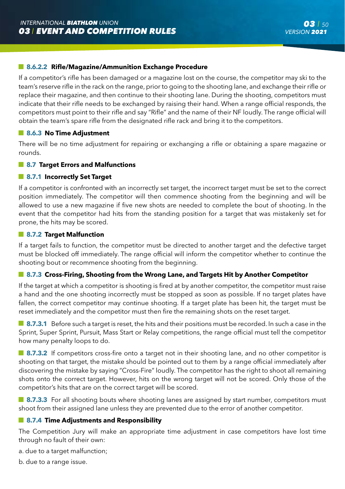## **8.6.2.2 Rifle/Magazine/Ammunition Exchange Procedure**

If a competitor's rifle has been damaged or a magazine lost on the course, the competitor may ski to the team's reserve rifle in the rack on the range, prior to going to the shooting lane, and exchange their rifle or replace their magazine, and then continue to their shooting lane. During the shooting, competitors must indicate that their rifle needs to be exchanged by raising their hand. When a range official responds, the competitors must point to their rifle and say "Rifle" and the name of their NF loudly. The range official will obtain the team's spare rifle from the designated rifle rack and bring it to the competitors.

#### **8.6.3 No Time Adjustment**

There will be no time adjustment for repairing or exchanging a rifle or obtaining a spare magazine or rounds.

### **8.7 Target Errors and Malfunctions**

#### **8.7.1 Incorrectly Set Target**

If a competitor is confronted with an incorrectly set target, the incorrect target must be set to the correct position immediately. The competitor will then commence shooting from the beginning and will be allowed to use a new magazine if five new shots are needed to complete the bout of shooting. In the event that the competitor had hits from the standing position for a target that was mistakenly set for prone, the hits may be scored.

### **8.7.2 Target Malfunction**

If a target fails to function, the competitor must be directed to another target and the defective target must be blocked off immediately. The range official will inform the competitor whether to continue the shooting bout or recommence shooting from the beginning.

## **8.7.3 Cross-Firing, Shooting from the Wrong Lane, and Targets Hit by Another Competitor**

If the target at which a competitor is shooting is fired at by another competitor, the competitor must raise a hand and the one shooting incorrectly must be stopped as soon as possible. If no target plates have fallen, the correct competitor may continue shooting. If a target plate has been hit, the target must be reset immediately and the competitor must then fire the remaining shots on the reset target.

**8.7.3.1** Before such a target is reset, the hits and their positions must be recorded. In such a case in the Sprint, Super Sprint, Pursuit, Mass Start or Relay competitions, the range official must tell the competitor how many penalty loops to do.

**8.7.3.2** If competitors cross-fire onto a target not in their shooting lane, and no other competitor is shooting on that target, the mistake should be pointed out to them by a range official immediately after discovering the mistake by saying "Cross-Fire" loudly. The competitor has the right to shoot all remaining shots onto the correct target. However, hits on the wrong target will not be scored. Only those of the competitor's hits that are on the correct target will be scored.

**8.7.3.3** For all shooting bouts where shooting lanes are assigned by start number, competitors must shoot from their assigned lane unless they are prevented due to the error of another competitor.

#### **8.7.4 Time Adjustments and Responsibility**

The Competition Jury will make an appropriate time adjustment in case competitors have lost time through no fault of their own:

a. due to a target malfunction;

b. due to a range issue.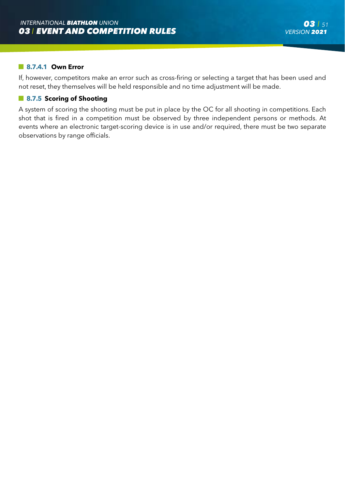#### **8.7.4.1 Own Error**

If, however, competitors make an error such as cross-firing or selecting a target that has been used and not reset, they themselves will be held responsible and no time adjustment will be made.

## **8.7.5 Scoring of Shooting**

A system of scoring the shooting must be put in place by the OC for all shooting in competitions. Each shot that is fired in a competition must be observed by three independent persons or methods. At events where an electronic target-scoring device is in use and/or required, there must be two separate observations by range officials.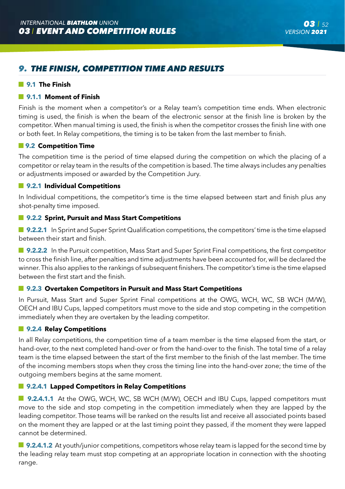# *9. THE FINISH, COMPETITION TIME AND RESULTS*

## **9.1 The Finish**

#### **9.1.1 Moment of Finish**

Finish is the moment when a competitor's or a Relay team's competition time ends. When electronic timing is used, the finish is when the beam of the electronic sensor at the finish line is broken by the competitor. When manual timing is used, the finish is when the competitor crosses the finish line with one or both feet. In Relay competitions, the timing is to be taken from the last member to finish.

#### $\blacksquare$  **9.2 Competition Time**

The competition time is the period of time elapsed during the competition on which the placing of a competitor or relay team in the results of the competition is based. The time always includes any penalties or adjustments imposed or awarded by the Competition Jury.

## **9.2.1 Individual Competitions**

In Individual competitions, the competitor's time is the time elapsed between start and finish plus any shot-penalty time imposed.

## **9.2.2 Sprint, Pursuit and Mass Start Competitions**

**9.2.2.1** In Sprint and Super Sprint Qualification competitions, the competitors' time is the time elapsed between their start and finish.

**9.2.2.2** In the Pursuit competition, Mass Start and Super Sprint Final competitions, the first competitor to cross the finish line, after penalties and time adjustments have been accounted for, will be declared the winner. This also applies to the rankings of subsequent finishers. The competitor's time is the time elapsed between the first start and the finish.

## **9.2.3 Overtaken Competitors in Pursuit and Mass Start Competitions**

In Pursuit, Mass Start and Super Sprint Final competitions at the OWG, WCH, WC, SB WCH (M/W), OECH and IBU Cups, lapped competitors must move to the side and stop competing in the competition immediately when they are overtaken by the leading competitor.

## **9.2.4 Relay Competitions**

In all Relay competitions, the competition time of a team member is the time elapsed from the start, or hand-over, to the next completed hand-over or from the hand-over to the finish. The total time of a relay team is the time elapsed between the start of the first member to the finish of the last member. The time of the incoming members stops when they cross the timing line into the hand-over zone; the time of the outgoing members begins at the same moment.

## **9.2.4.1 Lapped Competitors in Relay Competitions**

**9.2.4.1.1** At the OWG, WCH, WC, SB WCH (M/W), OECH and IBU Cups, lapped competitors must move to the side and stop competing in the competition immediately when they are lapped by the leading competitor. Those teams will be ranked on the results list and receive all associated points based on the moment they are lapped or at the last timing point they passed, if the moment they were lapped cannot be determined.

**9.2.4.1.2** At youth/junior competitions, competitors whose relay team is lapped for the second time by the leading relay team must stop competing at an appropriate location in connection with the shooting range.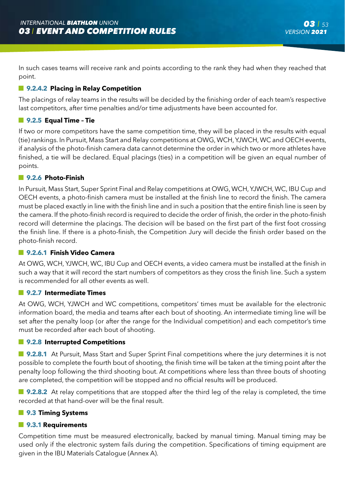In such cases teams will receive rank and points according to the rank they had when they reached that point.

## **9.2.4.2 Placing in Relay Competition**

The placings of relay teams in the results will be decided by the finishing order of each team's respective last competitors, after time penalties and/or time adjustments have been accounted for.

## **9.2.5 Equal Time – Tie**

If two or more competitors have the same competition time, they will be placed in the results with equal (tie) rankings. In Pursuit, Mass Start and Relay competitions at OWG, WCH, YJWCH, WC and OECH events, if analysis of the photo-finish camera data cannot determine the order in which two or more athletes have finished, a tie will be declared. Equal placings (ties) in a competition will be given an equal number of points.

## **9.2.6 Photo-Finish**

In Pursuit, Mass Start, Super Sprint Final and Relay competitions at OWG, WCH, YJWCH, WC, IBU Cup and OECH events, a photo-finish camera must be installed at the finish line to record the finish. The camera must be placed exactly in line with the finish line and in such a position that the entire finish line is seen by the camera. If the photo-finish record is required to decide the order of finish, the order in the photo-finish record will determine the placings. The decision will be based on the first part of the first foot crossing the finish line. If there is a photo-finish, the Competition Jury will decide the finish order based on the photo-finish record.

## **9.2.6.1 Finish Video Camera**

At OWG, WCH, YJWCH, WC, IBU Cup and OECH events, a video camera must be installed at the finish in such a way that it will record the start numbers of competitors as they cross the finish line. Such a system is recommended for all other events as well.

#### **9.2.7 Intermediate Times**

At OWG, WCH, YJWCH and WC competitions, competitors' times must be available for the electronic information board, the media and teams after each bout of shooting. An intermediate timing line will be set after the penalty loop (or after the range for the Individual competition) and each competitor's time must be recorded after each bout of shooting.

#### **9.2.8 Interrupted Competitions**

**9.2.8.1** At Pursuit, Mass Start and Super Sprint Final competitions where the jury determines it is not possible to complete the fourth bout of shooting, the finish time will be taken at the timing point after the penalty loop following the third shooting bout. At competitions where less than three bouts of shooting are completed, the competition will be stopped and no official results will be produced.

**9.2.8.2** At relay competitions that are stopped after the third leg of the relay is completed, the time recorded at that hand-over will be the final result.

#### **9.3 Timing Systems**

## **9.3.1 Requirements**

Competition time must be measured electronically, backed by manual timing. Manual timing may be used only if the electronic system fails during the competition. Specifications of timing equipment are given in the IBU Materials Catalogue (Annex A).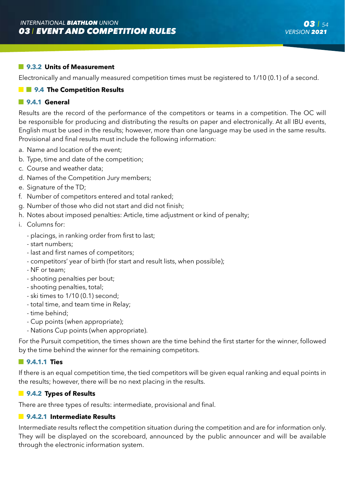## **9.3.2 Units of Measurement**

Electronically and manually measured competition times must be registered to 1/10 (0.1) of a second.

## $\blacksquare$  **9.4** The Competition Results

## **9.4.1 General**

Results are the record of the performance of the competitors or teams in a competition. The OC will be responsible for producing and distributing the results on paper and electronically. At all IBU events, English must be used in the results; however, more than one language may be used in the same results. Provisional and final results must include the following information:

- a. Name and location of the event;
- b. Type, time and date of the competition;
- c. Course and weather data;
- d. Names of the Competition Jury members;
- e. Signature of the TD:
- f. Number of competitors entered and total ranked;
- g. Number of those who did not start and did not finish;
- h. Notes about imposed penalties: Article, time adjustment or kind of penalty;
- i. Columns for:
	- placings, in ranking order from first to last;
	- start numbers;
	- last and first names of competitors;
	- competitors' year of birth (for start and result lists, when possible);
	- NF or team;
	- shooting penalties per bout;
	- shooting penalties, total;
	- ski times to 1/10 (0.1) second;
	- total time, and team time in Relay;
	- time behind;
	- Cup points (when appropriate);
	- Nations Cup points (when appropriate).

For the Pursuit competition, the times shown are the time behind the first starter for the winner, followed by the time behind the winner for the remaining competitors.

#### **9.4.1.1 Ties**

If there is an equal competition time, the tied competitors will be given equal ranking and equal points in the results; however, there will be no next placing in the results.

## **9.4.2 Types of Results**

There are three types of results: intermediate, provisional and final.

## **9.4.2.1 Intermediate Results**

Intermediate results reflect the competition situation during the competition and are for information only. They will be displayed on the scoreboard, announced by the public announcer and will be available through the electronic information system.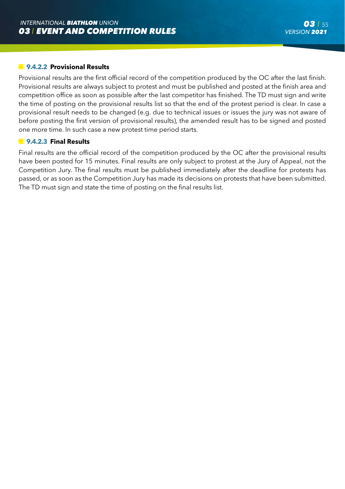## **9.4.2.2 Provisional Results**

Provisional results are the first official record of the competition produced by the OC after the last finish. Provisional results are always subject to protest and must be published and posted at the finish area and competition office as soon as possible after the last competitor has finished. The TD must sign and write the time of posting on the provisional results list so that the end of the protest period is clear. In case a provisional result needs to be changed (e.g. due to technical issues or issues the jury was not aware of before posting the first version of provisional results), the amended result has to be signed and posted one more time. In such case a new protest time period starts.

#### **9.4.2.3 Final Results**

Final results are the official record of the competition produced by the OC after the provisional results have been posted for 15 minutes. Final results are only subject to protest at the Jury of Appeal, not the Competition Jury. The final results must be published immediately after the deadline for protests has passed, or as soon as the Competition Jury has made its decisions on protests that have been submitted. The TD must sign and state the time of posting on the final results list.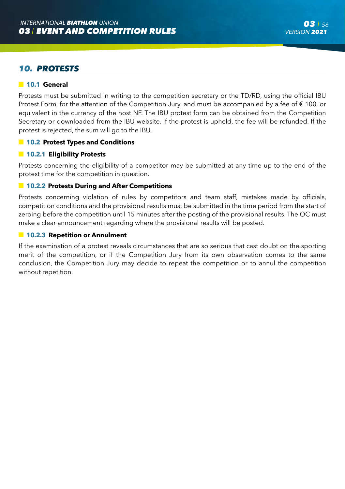# *10. PROTESTS*

## **10.1 General**

Protests must be submitted in writing to the competition secretary or the TD/RD, using the official IBU Protest Form, for the attention of the Competition Jury, and must be accompanied by a fee of € 100, or equivalent in the currency of the host NF. The IBU protest form can be obtained from the Competition Secretary or downloaded from the IBU website. If the protest is upheld, the fee will be refunded. If the protest is rejected, the sum will go to the IBU.

## **10.2 Protest Types and Conditions**

#### **10.2.1 Eligibility Protests**

Protests concerning the eligibility of a competitor may be submitted at any time up to the end of the protest time for the competition in question.

## **10.2.2 Protests During and After Competitions**

Protests concerning violation of rules by competitors and team staff, mistakes made by officials, competition conditions and the provisional results must be submitted in the time period from the start of zeroing before the competition until 15 minutes after the posting of the provisional results. The OC must make a clear announcement regarding where the provisional results will be posted.

#### **10.2.3 Repetition or Annulment**

If the examination of a protest reveals circumstances that are so serious that cast doubt on the sporting merit of the competition, or if the Competition Jury from its own observation comes to the same conclusion, the Competition Jury may decide to repeat the competition or to annul the competition without repetition.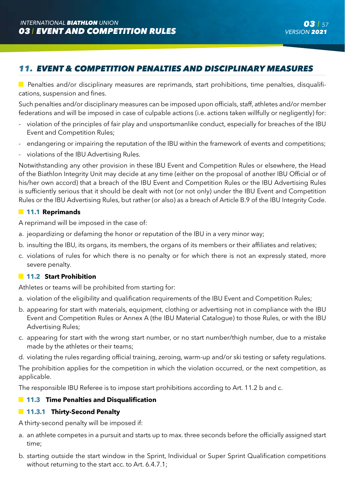# *11. EVENT & COMPETITION PENALTIES AND DISCIPLINARY MEASURES*

**Penalties and/or disciplinary measures are reprimands, start prohibitions, time penalties, disqualifi**cations, suspension and fines.

Such penalties and/or disciplinary measures can be imposed upon officials, staff, athletes and/or member federations and will be imposed in case of culpable actions (i.e. actions taken willfully or negligently) for:

- violation of the principles of fair play and unsportsmanlike conduct, especially for breaches of the IBU Event and Competition Rules;
- endangering or impairing the reputation of the IBU within the framework of events and competitions;
- violations of the IBU Advertising Rules.

Notwithstanding any other provision in these IBU Event and Competition Rules or elsewhere, the Head of the Biathlon Integrity Unit may decide at any time (either on the proposal of another IBU Official or of his/her own accord) that a breach of the IBU Event and Competition Rules or the IBU Advertising Rules is sufficiently serious that it should be dealt with not (or not only) under the IBU Event and Competition Rules or the IBU Advertising Rules, but rather (or also) as a breach of Article B.9 of the IBU Integrity Code.

## **11.1 Reprimands**

A reprimand will be imposed in the case of:

- a. jeopardizing or defaming the honor or reputation of the IBU in a very minor way;
- b. insulting the IBU, its organs, its members, the organs of its members or their affiliates and relatives;
- c. violations of rules for which there is no penalty or for which there is not an expressly stated, more severe penalty.

## **11.2 Start Prohibition**

Athletes or teams will be prohibited from starting for:

- a. violation of the eligibility and qualification requirements of the IBU Event and Competition Rules;
- b. appearing for start with materials, equipment, clothing or advertising not in compliance with the IBU Event and Competition Rules or Annex A (the IBU Material Catalogue) to those Rules, or with the IBU Advertising Rules;
- c. appearing for start with the wrong start number, or no start number/thigh number, due to a mistake made by the athletes or their teams;
- d. violating the rules regarding official training, zeroing, warm-up and/or ski testing or safety regulations.

The prohibition applies for the competition in which the violation occurred, or the next competition, as applicable.

The responsible IBU Referee is to impose start prohibitions according to Art. 11.2 b and c.

## **11.3 Time Penalties and Disqualification**

## **11.3.1 Thirty-Second Penalty**

A thirty-second penalty will be imposed if:

- a. an athlete competes in a pursuit and starts up to max. three seconds before the officially assigned start time;
- b. starting outside the start window in the Sprint, Individual or Super Sprint Qualification competitions without returning to the start acc. to Art. 6.4.7.1;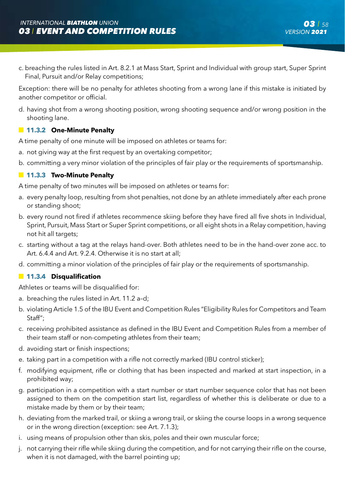c. breaching the rules listed in Art. 8.2.1 at Mass Start, Sprint and Individual with group start, Super Sprint Final, Pursuit and/or Relay competitions;

Exception: there will be no penalty for athletes shooting from a wrong lane if this mistake is initiated by another competitor or official.

d. having shot from a wrong shooting position, wrong shooting sequence and/or wrong position in the shooting lane.

## **11.3.2 One-Minute Penalty**

A time penalty of one minute will be imposed on athletes or teams for:

- a. not giving way at the first request by an overtaking competitor;
- b. committing a very minor violation of the principles of fair play or the requirements of sportsmanship.

## **11.3.3 Two-Minute Penalty**

A time penalty of two minutes will be imposed on athletes or teams for:

- a. every penalty loop, resulting from shot penalties, not done by an athlete immediately after each prone or standing shoot;
- b. every round not fired if athletes recommence skiing before they have fired all five shots in Individual, Sprint, Pursuit, Mass Start or Super Sprint competitions, or all eight shots in a Relay competition, having not hit all targets;
- c. starting without a tag at the relays hand-over. Both athletes need to be in the hand-over zone acc. to Art. 6.4.4 and Art. 9.2.4. Otherwise it is no start at all;
- d. committing a minor violation of the principles of fair play or the requirements of sportsmanship.

#### **11.3.4 Disqualification**

Athletes or teams will be disqualified for:

- a. breaching the rules listed in Art. 11.2 a–d;
- b. violating Article 1.5 of the IBU Event and Competition Rules "Eligibility Rules for Competitors and Team Staff";
- c. receiving prohibited assistance as defined in the IBU Event and Competition Rules from a member of their team staff or non-competing athletes from their team;
- d. avoiding start or finish inspections;
- e. taking part in a competition with a rifle not correctly marked (IBU control sticker);
- f. modifying equipment, rifle or clothing that has been inspected and marked at start inspection, in a prohibited way;
- g. participation in a competition with a start number or start number sequence color that has not been assigned to them on the competition start list, regardless of whether this is deliberate or due to a mistake made by them or by their team;
- h. deviating from the marked trail, or skiing a wrong trail, or skiing the course loops in a wrong sequence or in the wrong direction (exception: see Art. 7.1.3);
- i. using means of propulsion other than skis, poles and their own muscular force;
- j. not carrying their rifle while skiing during the competition, and for not carrying their rifle on the course, when it is not damaged, with the barrel pointing up;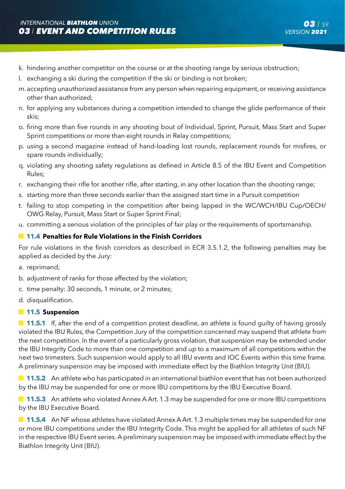- k. hindering another competitor on the course or at the shooting range by serious obstruction;
- l. exchanging a ski during the competition if the ski or binding is not broken;
- m. accepting unauthorized assistance from any person when repairing equipment, or receiving assistance other than authorized;
- n. for applying any substances during a competition intended to change the glide performance of their skis;
- o. firing more than five rounds in any shooting bout of Individual, Sprint, Pursuit, Mass Start and Super Sprint competitions or more than eight rounds in Relay competitions;
- p. using a second magazine instead of hand-loading lost rounds, replacement rounds for misfires, or spare rounds individually;
- q. violating any shooting safety regulations as defined in Article 8.5 of the IBU Event and Competition Rules;
- r. exchanging their rifle for another rifle, after starting, in any other location than the shooting range;
- s. starting more than three seconds earlier than the assigned start time in a Pursuit competition
- t. failing to stop competing in the competition after being lapped in the WC/WCH/IBU Cup/OECH/ OWG Relay, Pursuit, Mass Start or Super Sprint Final;
- u. committing a serious violation of the principles of fair play or the requirements of sportsmanship.

## **11.4 Penalties for Rule Violations in the Finish Corridors**

For rule violations in the finish corridors as described in ECR 3.5.1.2, the following penalties may be applied as decided by the Jury:

- a. reprimand;
- b. adjustment of ranks for those affected by the violation:
- c. time penalty: 30 seconds, 1 minute, or 2 minutes;
- d. disqualification.

#### **11.5 Suspension**

**11.5.1** If, after the end of a competition protest deadline, an athlete is found quilty of having grossly violated the IBU Rules, the Competition Jury of the competition concerned may suspend that athlete from the next competition. In the event of a particularly gross violation, that suspension may be extended under the IBU Integrity Code to more than one competition and up to a maximum of all competitions within the next two trimesters. Such suspension would apply to all IBU events and IOC Events within this time frame. A preliminary suspension may be imposed with immediate effect by the Biathlon Integrity Unit (BIU).

**11.5.2** An athlete who has participated in an international biathlon event that has not been authorized by the IBU may be suspended for one or more IBU competitions by the IBU Executive Board.

**11.5.3** An athlete who violated Annex A Art. 1.3 may be suspended for one or more IBU competitions by the IBU Executive Board.

**11.5.4** An NF whose athletes have violated Annex A Art. 1.3 multiple times may be suspended for one or more IBU competitions under the IBU Integrity Code. This might be applied for all athletes of such NF in the respective IBU Event series. A preliminary suspension may be imposed with immediate effect by the Biathlon Integrity Unit (BIU).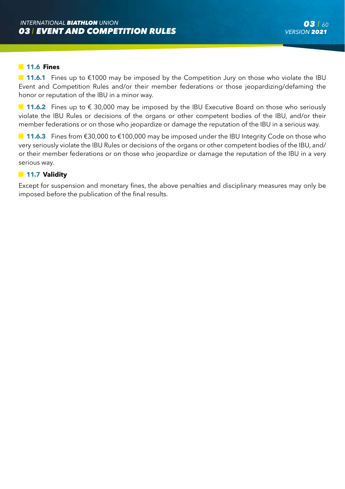#### **11.6 Fines**

 **11.6.1** Fines up to €1000 may be imposed by the Competition Jury on those who violate the IBU Event and Competition Rules and/or their member federations or those jeopardizing/defaming the honor or reputation of the IBU in a minor way.

**■ 11.6.2** Fines up to € 30,000 may be imposed by the IBU Executive Board on those who seriously violate the IBU Rules or decisions of the organs or other competent bodies of the IBU, and/or their member federations or on those who jeopardize or damage the reputation of the IBU in a serious way.

**11.6.3** Fines from €30,000 to €100,000 may be imposed under the IBU Integrity Code on those who very seriously violate the IBU Rules or decisions of the organs or other competent bodies of the IBU, and/ or their member federations or on those who jeopardize or damage the reputation of the IBU in a very serious way.

## **11.7 Validity**

Except for suspension and monetary fines, the above penalties and disciplinary measures may only be imposed before the publication of the final results.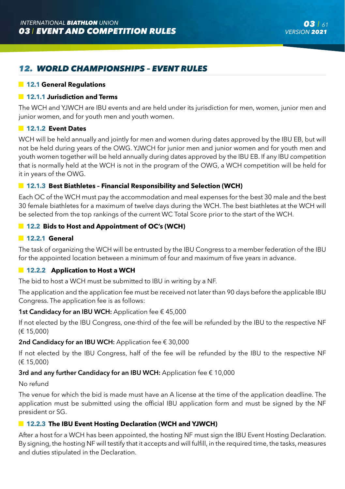# *12. WORLD CHAMPIONSHIPS – EVENT RULES*

### **12.1 General Regulations**

## **12.1.1 Jurisdiction and Terms**

The WCH and YJWCH are IBU events and are held under its jurisdiction for men, women, junior men and junior women, and for youth men and youth women.

## **12.1.2 Event Dates**

WCH will be held annually and jointly for men and women during dates approved by the IBU EB, but will not be held during years of the OWG. YJWCH for junior men and junior women and for youth men and youth women together will be held annually during dates approved by the IBU EB. If any IBU competition that is normally held at the WCH is not in the program of the OWG, a WCH competition will be held for it in years of the OWG.

## **12.1.3 Best Biathletes – Financial Responsibility and Selection (WCH)**

Each OC of the WCH must pay the accommodation and meal expenses for the best 30 male and the best 30 female biathletes for a maximum of twelve days during the WCH. The best biathletes at the WCH will be selected from the top rankings of the current WC Total Score prior to the start of the WCH.

## **12.2 Bids to Host and Appointment of OC's (WCH)**

#### **12.2.1 General**

The task of organizing the WCH will be entrusted by the IBU Congress to a member federation of the IBU for the appointed location between a minimum of four and maximum of five years in advance.

## **12.2.2 Application to Host a WCH**

The bid to host a WCH must be submitted to IBU in writing by a NF.

The application and the application fee must be received not later than 90 days before the applicable IBU Congress. The application fee is as follows:

#### 1st Candidacy for an IBU WCH: Application fee € 45,000

If not elected by the IBU Congress, one-third of the fee will be refunded by the IBU to the respective NF (€ 15,000)

#### 2nd Candidacy for an IBU WCH: Application fee € 30,000

If not elected by the IBU Congress, half of the fee will be refunded by the IBU to the respective NF (€ 15,000)

#### 3rd and any further Candidacy for an IBU WCH: Application fee € 10,000

#### No refund

The venue for which the bid is made must have an A license at the time of the application deadline. The application must be submitted using the official IBU application form and must be signed by the NF president or SG.

## **12.2.3 The IBU Event Hosting Declaration (WCH and YJWCH)**

After a host for a WCH has been appointed, the hosting NF must sign the IBU Event Hosting Declaration. By signing, the hosting NF will testify that it accepts and will fulfill, in the required time, the tasks, measures and duties stipulated in the Declaration.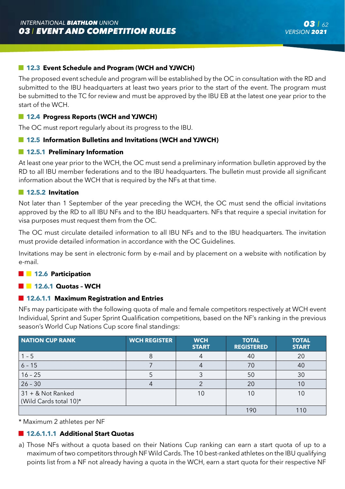## **12.3 Event Schedule and Program (WCH and YJWCH)**

The proposed event schedule and program will be established by the OC in consultation with the RD and submitted to the IBU headquarters at least two years prior to the start of the event. The program must be submitted to the TC for review and must be approved by the IBU EB at the latest one year prior to the start of the WCH.

## **12.4 Progress Reports (WCH and YJWCH)**

The OC must report regularly about its progress to the IBU.

## **12.5 Information Bulletins and Invitations (WCH and YJWCH)**

#### **12.5.1 Preliminary Information**

At least one year prior to the WCH, the OC must send a preliminary information bulletin approved by the RD to all IBU member federations and to the IBU headquarters. The bulletin must provide all significant information about the WCH that is required by the NFs at that time.

#### **12.5.2 Invitation**

Not later than 1 September of the year preceding the WCH, the OC must send the official invitations approved by the RD to all IBU NFs and to the IBU headquarters. NFs that require a special invitation for visa purposes must request them from the OC.

The OC must circulate detailed information to all IBU NFs and to the IBU headquarters. The invitation must provide detailed information in accordance with the OC Guidelines.

Invitations may be sent in electronic form by e-mail and by placement on a website with notification by e-mail.

## **12.6 Participation**

#### **12.6.1 Quotas - WCH**

#### **12.6.1.1 Maximum Registration and Entries**

NFs may participate with the following quota of male and female competitors respectively at WCH event Individual, Sprint and Super Sprint Qualification competitions, based on the NF's ranking in the previous season's World Cup Nations Cup score final standings:

| NATION CUP RANK                             | <b>WCH REGISTER</b> | <b>WCH</b><br><b>START</b> | <b>TOTAL</b><br><b>REGISTERED</b> | <b>TOTAL</b><br><b>START</b> |
|---------------------------------------------|---------------------|----------------------------|-----------------------------------|------------------------------|
| $1 - 5$                                     |                     |                            | 40                                | 20                           |
| $6 - 15$                                    |                     |                            | 70                                | 40                           |
| $16 - 25$                                   |                     |                            | 50                                | 30                           |
| $26 - 30$                                   |                     |                            | 20                                | 10                           |
| 31 + & Not Ranked<br>(Wild Cards total 10)* |                     | 10                         | 10                                | 10                           |
|                                             |                     |                            | 190                               |                              |

Maximum 2 athletes per NF

## **12.6.1.1.1 Additional Start Quotas**

a) Those NFs without a quota based on their Nations Cup ranking can earn a start quota of up to a maximum of two competitors through NF Wild Cards. The 10 best-ranked athletes on the IBU qualifying points list from a NF not already having a quota in the WCH, earn a start quota for their respective NF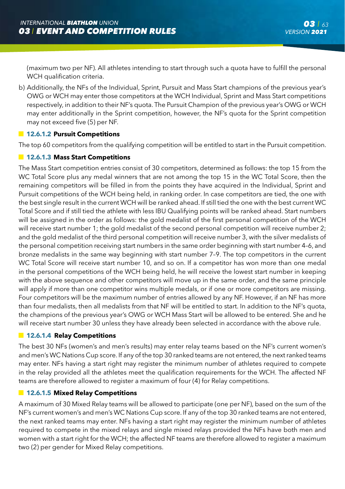(maximum two per NF). All athletes intending to start through such a quota have to fulfill the personal WCH qualification criteria.

b) Additionally, the NFs of the Individual, Sprint, Pursuit and Mass Start champions of the previous year's OWG or WCH may enter those competitors at the WCH Individual, Sprint and Mass Start competitions respectively, in addition to their NF's quota. The Pursuit Champion of the previous year's OWG or WCH may enter additionally in the Sprint competition, however, the NF's quota for the Sprint competition may not exceed five (5) per NF.

## **12.6.1.2 Pursuit Competitions**

The top 60 competitors from the qualifying competition will be entitled to start in the Pursuit competition.

## **12.6.1.3 Mass Start Competitions**

The Mass Start competition entries consist of 30 competitors, determined as follows: the top 15 from the WC Total Score plus any medal winners that are not among the top 15 in the WC Total Score, then the remaining competitors will be filled in from the points they have acquired in the Individual, Sprint and Pursuit competitions of the WCH being held, in ranking order. In case competitors are tied, the one with the best single result in the current WCH will be ranked ahead. If still tied the one with the best current WC Total Score and if still tied the athlete with less IBU Qualifying points will be ranked ahead. Start numbers will be assigned in the order as follows: the gold medalist of the first personal competition of the WCH will receive start number 1; the gold medalist of the second personal competition will receive number 2; and the gold medalist of the third personal competition will receive number 3, with the silver medalists of the personal competition receiving start numbers in the same order beginning with start number 4–6, and bronze medalists in the same way beginning with start number 7–9. The top competitors in the current WC Total Score will receive start number 10, and so on. If a competitor has won more than one medal in the personal competitions of the WCH being held, he will receive the lowest start number in keeping with the above sequence and other competitors will move up in the same order, and the same principle will apply if more than one competitor wins multiple medals, or if one or more competitors are missing. Four competitors will be the maximum number of entries allowed by any NF. However, if an NF has more than four medalists, then all medalists from that NF will be entitled to start. In addition to the NF's quota, the champions of the previous year's OWG or WCH Mass Start will be allowed to be entered. She and he will receive start number 30 unless they have already been selected in accordance with the above rule.

#### **12.6.1.4 Relay Competitions**

The best 30 NFs (women's and men's results) may enter relay teams based on the NF's current women's and men's WC Nations Cup score. If any of the top 30 ranked teams are not entered, the next ranked teams may enter. NFs having a start right may register the minimum number of athletes required to compete in the relay provided all the athletes meet the qualification requirements for the WCH. The affected NF teams are therefore allowed to register a maximum of four (4) for Relay competitions.

### **12.6.1.5 Mixed Relay Competitions**

A maximum of 30 Mixed Relay teams will be allowed to participate (one per NF), based on the sum of the NF's current women's and men's WC Nations Cup score. If any of the top 30 ranked teams are not entered, the next ranked teams may enter. NFs having a start right may register the minimum number of athletes required to compete in the mixed relays and single mixed relays provided the NFs have both men and women with a start right for the WCH; the affected NF teams are therefore allowed to register a maximum two (2) per gender for Mixed Relay competitions.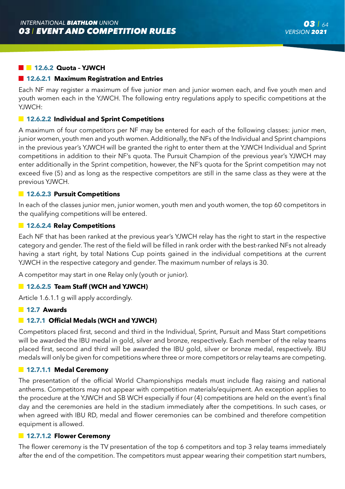## **12.6.2 Quota - YJWCH**

#### **12.6.2.1 Maximum Registration and Entries**

Each NF may register a maximum of five junior men and junior women each, and five youth men and youth women each in the YJWCH. The following entry regulations apply to specific competitions at the YJWCH:

#### **12.6.2.2 Individual and Sprint Competitions**

A maximum of four competitors per NF may be entered for each of the following classes: junior men, junior women, youth men and youth women. Additionally, the NFs of the Individual and Sprint champions in the previous year's YJWCH will be granted the right to enter them at the YJWCH Individual and Sprint competitions in addition to their NF's quota. The Pursuit Champion of the previous year's YJWCH may enter additionally in the Sprint competition, however, the NF's quota for the Sprint competition may not exceed five (5) and as long as the respective competitors are still in the same class as they were at the previous YJWCH.

#### **12.6.2.3 Pursuit Competitions**

In each of the classes junior men, junior women, youth men and youth women, the top 60 competitors in the qualifying competitions will be entered.

## **12.6.2.4 Relay Competitions**

Each NF that has been ranked at the previous year's YJWCH relay has the right to start in the respective category and gender. The rest of the field will be filled in rank order with the best-ranked NFs not already having a start right, by total Nations Cup points gained in the individual competitions at the current YJWCH in the respective category and gender. The maximum number of relays is 30.

A competitor may start in one Relay only (youth or junior).

#### **12.6.2.5 Team Staff (WCH and YJWCH)**

Article 1.6.1.1 g will apply accordingly.

#### **12.7 Awards**

#### **12.7.1 Official Medals (WCH and YJWCH)**

Competitors placed first, second and third in the Individual, Sprint, Pursuit and Mass Start competitions will be awarded the IBU medal in gold, silver and bronze, respectively. Each member of the relay teams placed first, second and third will be awarded the IBU gold, silver or bronze medal, respectively. IBU medals will only be given for competitions where three or more competitors or relay teams are competing.

#### **12.7.1.1 Medal Ceremony**

The presentation of the official World Championships medals must include flag raising and national anthems. Competitors may not appear with competition materials/equipment. An exception applies to the procedure at the YJWCH and SB WCH especially if four (4) competitions are held on the event´s final day and the ceremonies are held in the stadium immediately after the competitions. In such cases, or when agreed with IBU RD, medal and flower ceremonies can be combined and therefore competition equipment is allowed.

#### **12.7.1.2 Flower Ceremony**

The flower ceremony is the TV presentation of the top 6 competitors and top 3 relay teams immediately after the end of the competition. The competitors must appear wearing their competition start numbers,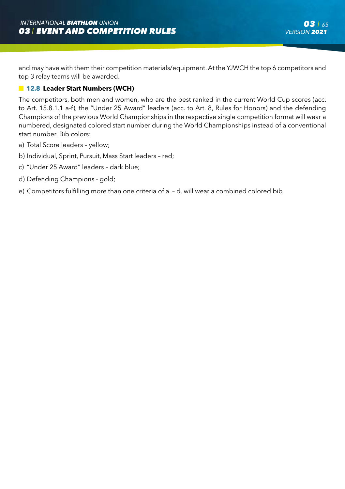and may have with them their competition materials/equipment. At the YJWCH the top 6 competitors and top 3 relay teams will be awarded.

## **12.8 Leader Start Numbers (WCH)**

The competitors, both men and women, who are the best ranked in the current World Cup scores (acc. to Art. 15.8.1.1 a-f), the "Under 25 Award" leaders (acc. to Art. 8, Rules for Honors) and the defending Champions of the previous World Championships in the respective single competition format will wear a numbered, designated colored start number during the World Championships instead of a conventional start number. Bib colors:

- a) Total Score leaders yellow;
- b) Individual, Sprint, Pursuit, Mass Start leaders red;
- c) "Under 25 Award" leaders dark blue;
- d) Defending Champions gold;
- e) Competitors fulfilling more than one criteria of a. d. will wear a combined colored bib.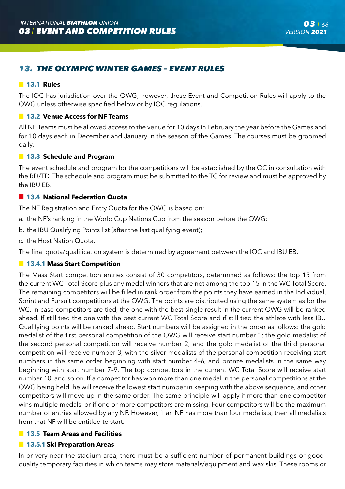# *13. THE OLYMPIC WINTER GAMES – EVENT RULES*

#### **13.1 Rules**

The IOC has jurisdiction over the OWG; however, these Event and Competition Rules will apply to the OWG unless otherwise specified below or by IOC regulations.

# **13.2 Venue Access for NF Teams**

All NF Teams must be allowed access to the venue for 10 days in February the year before the Games and for 10 days each in December and January in the season of the Games. The courses must be groomed daily.

#### **13.3 Schedule and Program**

The event schedule and program for the competitions will be established by the OC in consultation with the RD/TD. The schedule and program must be submitted to the TC for review and must be approved by the IBU EB.

#### **13.4 National Federation Quota**

The NF Registration and Entry Quota for the OWG is based on:

- a. the NF's ranking in the World Cup Nations Cup from the season before the OWG;
- b. the IBU Qualifying Points list (after the last qualifying event);
- c. the Host Nation Quota.

The final quota/qualification system is determined by agreement between the IOC and IBU EB.

#### **13.4.1 Mass Start Competition**

The Mass Start competition entries consist of 30 competitors, determined as follows: the top 15 from the current WC Total Score plus any medal winners that are not among the top 15 in the WC Total Score. The remaining competitors will be filled in rank order from the points they have earned in the Individual, Sprint and Pursuit competitions at the OWG. The points are distributed using the same system as for the WC. In case competitors are tied, the one with the best single result in the current OWG will be ranked ahead. If still tied the one with the best current WC Total Score and if still tied the athlete with less IBU Qualifying points will be ranked ahead. Start numbers will be assigned in the order as follows: the gold medalist of the first personal competition of the OWG will receive start number 1; the gold medalist of the second personal competition will receive number 2; and the gold medalist of the third personal competition will receive number 3, with the silver medalists of the personal competition receiving start numbers in the same order beginning with start number 4–6, and bronze medalists in the same way beginning with start number 7–9. The top competitors in the current WC Total Score will receive start number 10, and so on. If a competitor has won more than one medal in the personal competitions at the OWG being held, he will receive the lowest start number in keeping with the above sequence, and other competitors will move up in the same order. The same principle will apply if more than one competitor wins multiple medals, or if one or more competitors are missing. Four competitors will be the maximum number of entries allowed by any NF. However, if an NF has more than four medalists, then all medalists from that NF will be entitled to start.

#### **13.5 Team Areas and Facilities**

#### **13.5.1 Ski Preparation Areas**

In or very near the stadium area, there must be a sufficient number of permanent buildings or goodquality temporary facilities in which teams may store materials/equipment and wax skis. These rooms or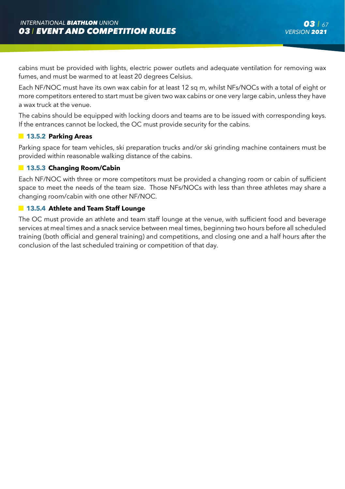cabins must be provided with lights, electric power outlets and adequate ventilation for removing wax fumes, and must be warmed to at least 20 degrees Celsius.

Each NF/NOC must have its own wax cabin for at least 12 sq m, whilst NFs/NOCs with a total of eight or more competitors entered to start must be given two wax cabins or one very large cabin, unless they have a wax truck at the venue.

The cabins should be equipped with locking doors and teams are to be issued with corresponding keys. If the entrances cannot be locked, the OC must provide security for the cabins.

## **13.5.2 Parking Areas**

Parking space for team vehicles, ski preparation trucks and/or ski grinding machine containers must be provided within reasonable walking distance of the cabins.

## **13.5.3 Changing Room/Cabin**

Each NF/NOC with three or more competitors must be provided a changing room or cabin of sufficient space to meet the needs of the team size. Those NFs/NOCs with less than three athletes may share a changing room/cabin with one other NF/NOC.

## **13.5.4 Athlete and Team Staff Lounge**

The OC must provide an athlete and team staff lounge at the venue, with sufficient food and beverage services at meal times and a snack service between meal times, beginning two hours before all scheduled training (both official and general training) and competitions, and closing one and a half hours after the conclusion of the last scheduled training or competition of that day.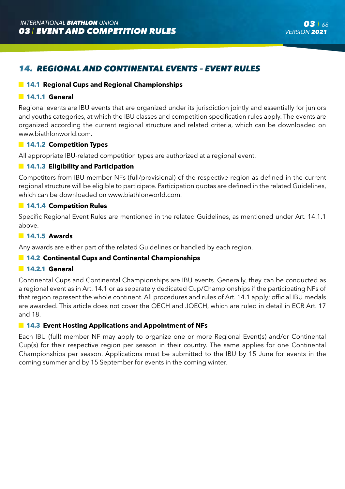# *14. REGIONAL AND CONTINENTAL EVENTS – EVENT RULES*

## **14.1 Regional Cups and Regional Championships**

## **14.1.1 General**

Regional events are IBU events that are organized under its jurisdiction jointly and essentially for juniors and youths categories, at which the IBU classes and competition specification rules apply. The events are organized according the current regional structure and related criteria, which can be downloaded on www.biathlonworld.com.

## **14.1.2 Competition Types**

All appropriate IBU-related competition types are authorized at a regional event.

## **14.1.3 Eligibility and Participation**

Competitors from IBU member NFs (full/provisional) of the respective region as defined in the current regional structure will be eligible to participate. Participation quotas are defined in the related Guidelines, which can be downloaded on www.biathlonworld.com.

## **14.1.4 Competition Rules**

Specific Regional Event Rules are mentioned in the related Guidelines, as mentioned under Art. 14.1.1 above.

#### **14.1.5 Awards**

Any awards are either part of the related Guidelines or handled by each region.

### **14.2 Continental Cups and Continental Championships**

## **14.2.1 General**

Continental Cups and Continental Championships are IBU events. Generally, they can be conducted as a regional event as in Art. 14.1 or as separately dedicated Cup/Championships if the participating NFs of that region represent the whole continent. All procedures and rules of Art. 14.1 apply; official IBU medals are awarded. This article does not cover the OECH and JOECH, which are ruled in detail in ECR Art. 17 and 18.

## **14.3 Event Hosting Applications and Appointment of NFs**

Each IBU (full) member NF may apply to organize one or more Regional Event(s) and/or Continental Cup(s) for their respective region per season in their country. The same applies for one Continental Championships per season. Applications must be submitted to the IBU by 15 June for events in the coming summer and by 15 September for events in the coming winter.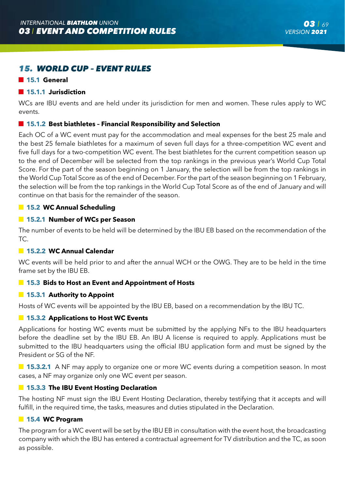# *15. WORLD CUP – EVENT RULES*

#### **15.1 General**

#### **15.1.1 Jurisdiction**

WCs are IBU events and are held under its jurisdiction for men and women. These rules apply to WC events.

## **15.1.2 Best biathletes – Financial Responsibility and Selection**

Each OC of a WC event must pay for the accommodation and meal expenses for the best 25 male and the best 25 female biathletes for a maximum of seven full days for a three-competition WC event and five full days for a two-competition WC event. The best biathletes for the current competition season up to the end of December will be selected from the top rankings in the previous year's World Cup Total Score. For the part of the season beginning on 1 January, the selection will be from the top rankings in the World Cup Total Score as of the end of December. For the part of the season beginning on 1 February, the selection will be from the top rankings in the World Cup Total Score as of the end of January and will continue on that basis for the remainder of the season.

## **15.2 WC Annual Scheduling**

## **15.2.1 Number of WCs per Season**

The number of events to be held will be determined by the IBU EB based on the recommendation of the TC.

# **15.2.2 WC Annual Calendar**

WC events will be held prior to and after the annual WCH or the OWG. They are to be held in the time frame set by the IBU EB.

#### **15.3 Bids to Host an Event and Appointment of Hosts**

#### **15.3.1 Authority to Appoint**

Hosts of WC events will be appointed by the IBU EB, based on a recommendation by the IBU TC.

#### **15.3.2 Applications to Host WC Events**

Applications for hosting WC events must be submitted by the applying NFs to the IBU headquarters before the deadline set by the IBU EB. An IBU A license is required to apply. Applications must be submitted to the IBU headquarters using the official IBU application form and must be signed by the President or SG of the NF.

**15.3.2.1** A NF may apply to organize one or more WC events during a competition season. In most cases, a NF may organize only one WC event per season.

## **15.3.3 The IBU Event Hosting Declaration**

The hosting NF must sign the IBU Event Hosting Declaration, thereby testifying that it accepts and will fulfill, in the required time, the tasks, measures and duties stipulated in the Declaration.

## **15.4 WC Program**

The program for a WC event will be set by the IBU EB in consultation with the event host, the broadcasting company with which the IBU has entered a contractual agreement for TV distribution and the TC, as soon as possible.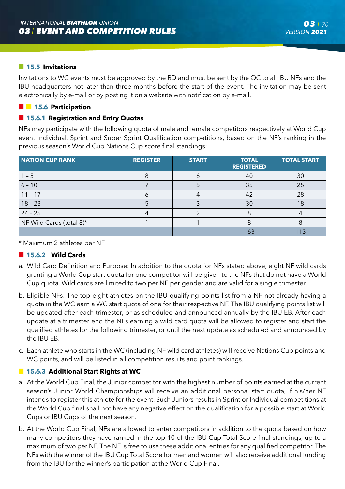## **15.5 Invitations**

Invitations to WC events must be approved by the RD and must be sent by the OC to all IBU NFs and the IBU headquarters not later than three months before the start of the event. The invitation may be sent electronically by e-mail or by posting it on a website with notification by e-mail.

## **15.6** Participation

## **15.6.1 Registration and Entry Quotas**

NFs may participate with the following quota of male and female competitors respectively at World Cup event Individual, Sprint and Super Sprint Qualification competitions, based on the NF's ranking in the previous season's World Cup Nations Cup score final standings:

| <b>NATION CUP RANK</b>   | <b>REGISTER</b> | <b>START</b> | <b>TOTAL</b><br><b>REGISTERED</b> | <b>TOTAL START</b> |
|--------------------------|-----------------|--------------|-----------------------------------|--------------------|
| $1 - 5$                  |                 |              | 40                                | 30                 |
| $6 - 10$                 |                 |              | 35                                | 25                 |
| $11 - 17$                |                 |              | 42                                | 28                 |
| $18 - 23$                |                 |              | 30                                | 18                 |
| $24 - 25$                |                 |              |                                   |                    |
| NF Wild Cards (total 8)* |                 |              |                                   |                    |
|                          |                 |              | 163                               | 113                |

\* Maximum 2 athletes per NF

## **15.6.2 Wild Cards**

- a. Wild Card Definition and Purpose: In addition to the quota for NFs stated above, eight NF wild cards granting a World Cup start quota for one competitor will be given to the NFs that do not have a World Cup quota. Wild cards are limited to two per NF per gender and are valid for a single trimester.
- b. Eligible NFs: The top eight athletes on the IBU qualifying points list from a NF not already having a quota in the WC earn a WC start quota of one for their respective NF. The IBU qualifying points list will be updated after each trimester, or as scheduled and announced annually by the IBU EB. After each update at a trimester end the NFs earning a wild card quota will be allowed to register and start the qualified athletes for the following trimester, or until the next update as scheduled and announced by the IBU EB.
- c. Each athlete who starts in the WC (including NF wild card athletes) will receive Nations Cup points and WC points, and will be listed in all competition results and point rankings.

## **15.6.3 Additional Start Rights at WC**

- a. At the World Cup Final, the Junior competitor with the highest number of points earned at the current season's Junior World Championships will receive an additional personal start quota, if his/her NF intends to register this athlete for the event. Such Juniors results in Sprint or Individual competitions at the World Cup final shall not have any negative effect on the qualification for a possible start at World Cups or IBU Cups of the next season.
- b. At the World Cup Final, NFs are allowed to enter competitors in addition to the quota based on how many competitors they have ranked in the top 10 of the IBU Cup Total Score final standings, up to a maximum of two per NF. The NF is free to use these additional entries for any qualified competitor. The NFs with the winner of the IBU Cup Total Score for men and women will also receive additional funding from the IBU for the winner's participation at the World Cup Final.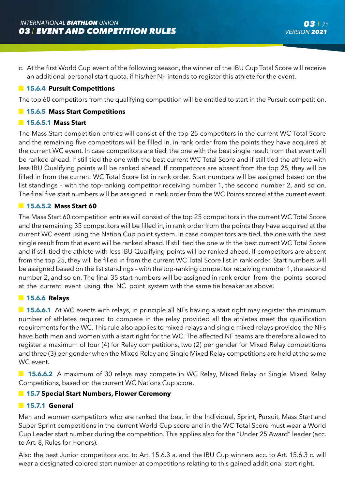c. At the first World Cup event of the following season, the winner of the IBU Cup Total Score will receive an additional personal start quota, if his/her NF intends to register this athlete for the event.

## **15.6.4 Pursuit Competitions**

The top 60 competitors from the qualifying competition will be entitled to start in the Pursuit competition.

## **15.6.5 Mass Start Competitions**

## **15.6.5.1 Mass Start**

The Mass Start competition entries will consist of the top 25 competitors in the current WC Total Score and the remaining five competitors will be filled in, in rank order from the points they have acquired at the current WC event. In case competitors are tied, the one with the best single result from that event will be ranked ahead. If still tied the one with the best current WC Total Score and if still tied the athlete with less IBU Qualifying points will be ranked ahead. If competitors are absent from the top 25, they will be filled in from the current WC Total Score list in rank order. Start numbers will be assigned based on the list standings – with the top-ranking competitor receiving number 1, the second number 2, and so on. The final five start numbers will be assigned in rank order from the WC Points scored at the current event.

## **15.6.5.2 Mass Start 60**

The Mass Start 60 competition entries will consist of the top 25 competitors in the current WC Total Score and the remaining 35 competitors will be filled in, in rank order from the points they have acquired at the current WC event using the Nation Cup point system. In case competitors are tied, the one with the best single result from that event will be ranked ahead. If still tied the one with the best current WC Total Score and if still tied the athlete with less IBU Qualifying points will be ranked ahead. If competitors are absent from the top 25, they will be filled in from the current WC Total Score list in rank order. Start numbers will be assigned based on the list standings – with the top-ranking competitor receiving number 1, the second number 2, and so on. The final 35 start numbers will be assigned in rank order from the points scored at the current event using the NC point system with the same tie breaker as above.

#### **15.6.6 Relays**

**15.6.6.1** At WC events with relays, in principle all NFs having a start right may register the minimum number of athletes required to compete in the relay provided all the athletes meet the qualification requirements for the WC. This rule also applies to mixed relays and single mixed relays provided the NFs have both men and women with a start right for the WC. The affected NF teams are therefore allowed to register a maximum of four (4) for Relay competitions, two (2) per gender for Mixed Relay competitions and three (3) per gender when the Mixed Relay and Single Mixed Relay competitions are held at the same WC event.

**15.6.6.2** A maximum of 30 relays may compete in WC Relay, Mixed Relay or Single Mixed Relay Competitions, based on the current WC Nations Cup score.

## **15.7 Special Start Numbers, Flower Ceremony**

## **15.7.1 General**

Men and women competitors who are ranked the best in the Individual, Sprint, Pursuit, Mass Start and Super Sprint competitions in the current World Cup score and in the WC Total Score must wear a World Cup Leader start number during the competition. This applies also for the "Under 25 Award" leader (acc. to Art. 8, Rules for Honors).

Also the best Junior competitors acc. to Art. 15.6.3 a. and the IBU Cup winners acc. to Art. 15.6.3 c. will wear a designated colored start number at competitions relating to this gained additional start right.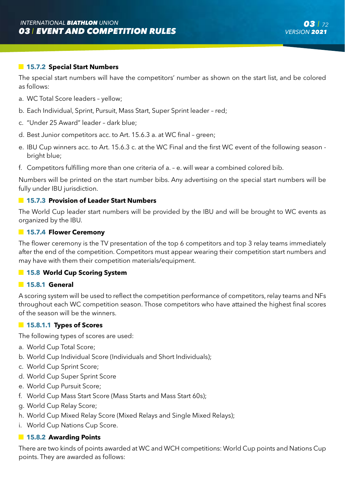## **15.7.2 Special Start Numbers**

The special start numbers will have the competitors' number as shown on the start list, and be colored as follows:

- a. WC Total Score leaders yellow;
- b. Each Individual, Sprint, Pursuit, Mass Start, Super Sprint leader red;
- c. "Under 25 Award" leader dark blue;
- d. Best Junior competitors acc. to Art. 15.6.3 a. at WC final green;
- e. IBU Cup winners acc. to Art. 15.6.3 c. at the WC Final and the first WC event of the following season bright blue;
- f. Competitors fulfilling more than one criteria of a. e. will wear a combined colored bib.

Numbers will be printed on the start number bibs. Any advertising on the special start numbers will be fully under IBU jurisdiction.

#### **15.7.3 Provision of Leader Start Numbers**

The World Cup leader start numbers will be provided by the IBU and will be brought to WC events as organized by the IBU.

#### **15.7.4 Flower Ceremony**

The flower ceremony is the TV presentation of the top 6 competitors and top 3 relay teams immediately after the end of the competition. Competitors must appear wearing their competition start numbers and may have with them their competition materials/equipment.

#### **15.8 World Cup Scoring System**

#### **15.8.1 General**

A scoring system will be used to reflect the competition performance of competitors, relay teams and NFs throughout each WC competition season. Those competitors who have attained the highest final scores of the season will be the winners.

#### **15.8.1.1 Types of Scores**

The following types of scores are used:

- a. World Cup Total Score;
- b. World Cup Individual Score (Individuals and Short Individuals);
- c. World Cup Sprint Score;
- d. World Cup Super Sprint Score
- e. World Cup Pursuit Score;
- f. World Cup Mass Start Score (Mass Starts and Mass Start 60s);
- g. World Cup Relay Score;
- h. World Cup Mixed Relay Score (Mixed Relays and Single Mixed Relays);
- i. World Cup Nations Cup Score.

## **15.8.2 Awarding Points**

There are two kinds of points awarded at WC and WCH competitions: World Cup points and Nations Cup points. They are awarded as follows: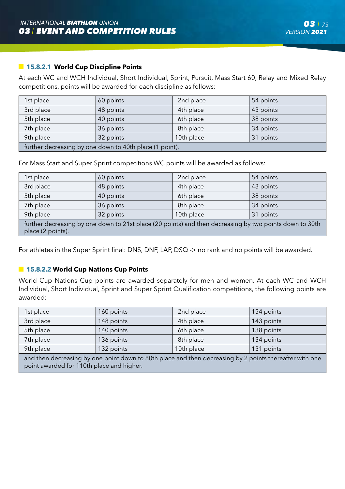# **15.8.2.1 World Cup Discipline Points**

At each WC and WCH Individual, Short Individual, Sprint, Pursuit, Mass Start 60, Relay and Mixed Relay competitions, points will be awarded for each discipline as follows:

| 1st place                                               | 60 points | 2nd place | 54 points |  |
|---------------------------------------------------------|-----------|-----------|-----------|--|
| 3rd place                                               | 48 points | 4th place | 43 points |  |
| 5th place                                               | 40 points | 6th place | 38 points |  |
| 7th place                                               | 36 points | 8th place | 34 points |  |
| 9th place<br>10th place<br>31 points<br>32 points       |           |           |           |  |
| further decreasing by one down to 40th place (1 point). |           |           |           |  |

For Mass Start and Super Sprint competitions WC points will be awarded as follows:

| 1st place                                                                                                                    | 60 points | 2nd place  | 54 points |  |
|------------------------------------------------------------------------------------------------------------------------------|-----------|------------|-----------|--|
| 3rd place                                                                                                                    | 48 points | 4th place  | 43 points |  |
| 5th place                                                                                                                    | 40 points | 6th place  | 38 points |  |
| 7th place                                                                                                                    | 36 points | 8th place  | 34 points |  |
| 9th place                                                                                                                    | 32 points | 10th place | 31 points |  |
| further decreasing by one down to 21st place (20 points) and then decreasing by two points down to 30th<br>place (2 points). |           |            |           |  |

For athletes in the Super Sprint final: DNS, DNF, LAP, DSQ -> no rank and no points will be awarded.

# **15.8.2.2 World Cup Nations Cup Points**

World Cup Nations Cup points are awarded separately for men and women. At each WC and WCH Individual, Short Individual, Sprint and Super Sprint Qualification competitions, the following points are awarded:

| 1st place                                                                                                                            | 160 points | 2nd place  | 154 points |  |
|--------------------------------------------------------------------------------------------------------------------------------------|------------|------------|------------|--|
| 3rd place                                                                                                                            | 148 points | 4th place  | 143 points |  |
| 5th place                                                                                                                            | 140 points | 6th place  | 138 points |  |
| 7th place                                                                                                                            | 136 points | 8th place  | 134 points |  |
| 9th place                                                                                                                            | 132 points | 10th place | 131 points |  |
| tera dalege de correcto e les recipientos de constanto de la constalación de correcto e les Ωno tessa signo del correcto de la corre |            |            |            |  |

 and then decreasing by one point down to 80th place and then decreasing by 2 points thereafter with one point awarded for 110th place and higher.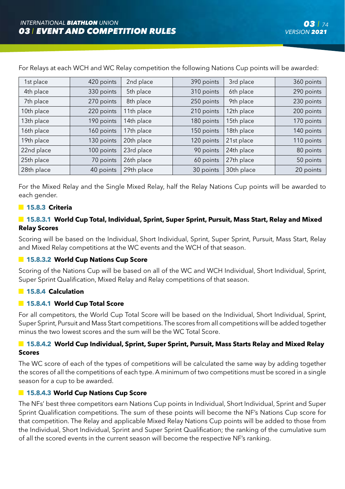| 1st place  | 420 points | 2nd place  | 390 points | 3rd place  | 360 points |
|------------|------------|------------|------------|------------|------------|
| 4th place  | 330 points | 5th place  | 310 points | 6th place  | 290 points |
| 7th place  | 270 points | 8th place  | 250 points | 9th place  | 230 points |
| 10th place | 220 points | 11th place | 210 points | 12th place | 200 points |
| 13th place | 190 points | 14th place | 180 points | 15th place | 170 points |
| 16th place | 160 points | 17th place | 150 points | 18th place | 140 points |
| 19th place | 130 points | 20th place | 120 points | 21st place | 110 points |
| 22nd place | 100 points | 23rd place | 90 points  | 24th place | 80 points  |
| 25th place | 70 points  | 26th place | 60 points  | 27th place | 50 points  |
| 28th place | 40 points  | 29th place | 30 points  | 30th place | 20 points  |

For Relays at each WCH and WC Relay competition the following Nations Cup points will be awarded:

For the Mixed Relay and the Single Mixed Relay, half the Relay Nations Cup points will be awarded to each gender.

# **15.8.3 Criteria**

# **15.8.3.1 World Cup Total, Individual, Sprint, Super Sprint, Pursuit, Mass Start, Relay and Mixed Relay Scores**

Scoring will be based on the Individual, Short Individual, Sprint, Super Sprint, Pursuit, Mass Start, Relay and Mixed Relay competitions at the WC events and the WCH of that season.

# **15.8.3.2 World Cup Nations Cup Score**

Scoring of the Nations Cup will be based on all of the WC and WCH Individual, Short Individual, Sprint, Super Sprint Qualification, Mixed Relay and Relay competitions of that season.

# **15.8.4 Calculation**

# **15.8.4.1 World Cup Total Score**

For all competitors, the World Cup Total Score will be based on the Individual, Short Individual, Sprint, Super Sprint, Pursuit and Mass Start competitions. The scores from all competitions will be added together minus the two lowest scores and the sum will be the WC Total Score.

# **15.8.4.2 World Cup Individual, Sprint, Super Sprint, Pursuit, Mass Starts Relay and Mixed Relay Scores**

The WC score of each of the types of competitions will be calculated the same way by adding together the scores of all the competitions of each type. A minimum of two competitions must be scored in a single season for a cup to be awarded.

# **15.8.4.3 World Cup Nations Cup Score**

The NFs' best three competitors earn Nations Cup points in Individual, Short Individual, Sprint and Super Sprint Qualification competitions. The sum of these points will become the NF's Nations Cup score for that competition. The Relay and applicable Mixed Relay Nations Cup points will be added to those from the Individual, Short Individual, Sprint and Super Sprint Qualification; the ranking of the cumulative sum of all the scored events in the current season will become the respective NF's ranking.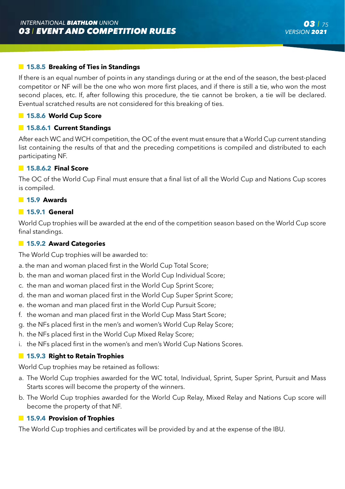# **15.8.5 Breaking of Ties in Standings**

If there is an equal number of points in any standings during or at the end of the season, the best-placed competitor or NF will be the one who won more first places, and if there is still a tie, who won the most second places, etc. If, after following this procedure, the tie cannot be broken, a tie will be declared. Eventual scratched results are not considered for this breaking of ties.

# **15.8.6 World Cup Score**

# **15.8.6.1 Current Standings**

After each WC and WCH competition, the OC of the event must ensure that a World Cup current standing list containing the results of that and the preceding competitions is compiled and distributed to each participating NF.

### **15.8.6.2 Final Score**

The OC of the World Cup Final must ensure that a final list of all the World Cup and Nations Cup scores is compiled.

### **15.9 Awards**

### **15.9.1 General**

World Cup trophies will be awarded at the end of the competition season based on the World Cup score final standings.

### **15.9.2 Award Categories**

The World Cup trophies will be awarded to:

a. the man and woman placed first in the World Cup Total Score;

- b. the man and woman placed first in the World Cup Individual Score;
- c. the man and woman placed first in the World Cup Sprint Score;
- d. the man and woman placed first in the World Cup Super Sprint Score;
- e. the woman and man placed first in the World Cup Pursuit Score;
- f. the woman and man placed first in the World Cup Mass Start Score;
- g. the NFs placed first in the men's and women's World Cup Relay Score;
- h. the NFs placed first in the World Cup Mixed Relay Score;
- i. the NFs placed first in the women's and men's World Cup Nations Scores.

# **15.9.3 Right to Retain Trophies**

World Cup trophies may be retained as follows:

- a. The World Cup trophies awarded for the WC total, Individual, Sprint, Super Sprint, Pursuit and Mass Starts scores will become the property of the winners.
- b. The World Cup trophies awarded for the World Cup Relay, Mixed Relay and Nations Cup score will become the property of that NF.

# **15.9.4 Provision of Trophies**

The World Cup trophies and certificates will be provided by and at the expense of the IBU.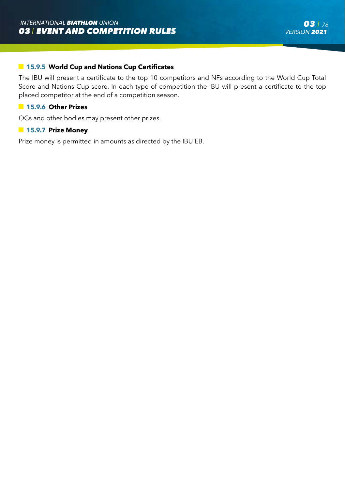#### **15.9.5 World Cup and Nations Cup Certificates**

The IBU will present a certificate to the top 10 competitors and NFs according to the World Cup Total Score and Nations Cup score. In each type of competition the IBU will present a certificate to the top placed competitor at the end of a competition season.

#### **15.9.6 Other Prizes**

OCs and other bodies may present other prizes.

#### **15.9.7 Prize Money**

Prize money is permitted in amounts as directed by the IBU EB.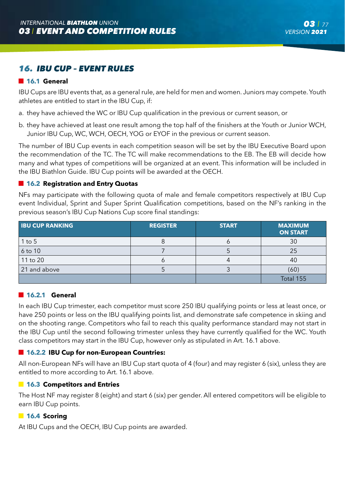# *16. IBU CUP – EVENT RULES*

# **16.1 General**

IBU Cups are IBU events that, as a general rule, are held for men and women. Juniors may compete. Youth athletes are entitled to start in the IBU Cup, if:

- a. they have achieved the WC or IBU Cup qualification in the previous or current season, or
- b. they have achieved at least one result among the top half of the finishers at the Youth or Junior WCH, Junior IBU Cup, WC, WCH, OECH, YOG or EYOF in the previous or current season.

The number of IBU Cup events in each competition season will be set by the IBU Executive Board upon the recommendation of the TC. The TC will make recommendations to the EB. The EB will decide how many and what types of competitions will be organized at an event. This information will be included in the IBU Biathlon Guide. IBU Cup points will be awarded at the OECH.

#### **16.2 Registration and Entry Quotas**

NFs may participate with the following quota of male and female competitors respectively at IBU Cup event Individual, Sprint and Super Sprint Qualification competitions, based on the NF's ranking in the previous season's IBU Cup Nations Cup score final standings:

| <b>IBU CUP RANKING</b> | <b>REGISTER</b> | <b>START</b> | <b>MAXIMUM</b><br><b>ON START</b> |
|------------------------|-----------------|--------------|-----------------------------------|
| $1$ to $5$             |                 |              | 30                                |
| 6 to 10                |                 |              | 25                                |
| 11 to 20               |                 |              | 40                                |
| 21 and above           |                 |              | (60)                              |
|                        |                 |              | Total 155                         |

#### **16.2.1 General**

In each IBU Cup trimester, each competitor must score 250 IBU qualifying points or less at least once, or have 250 points or less on the IBU qualifying points list, and demonstrate safe competence in skiing and on the shooting range. Competitors who fail to reach this quality performance standard may not start in the IBU Cup until the second following trimester unless they have currently qualified for the WC. Youth class competitors may start in the IBU Cup, however only as stipulated in Art. 16.1 above.

### **16.2.2 IBU Cup for non-European Countries:**

All non-European NFs will have an IBU Cup start quota of 4 (four) and may register 6 (six), unless they are entitled to more according to Art. 16.1 above.

#### **16.3 Competitors and Entries**

The Host NF may register 8 (eight) and start 6 (six) per gender. All entered competitors will be eligible to earn IBU Cup points.

#### **16.4 Scoring**

At IBU Cups and the OECH, IBU Cup points are awarded.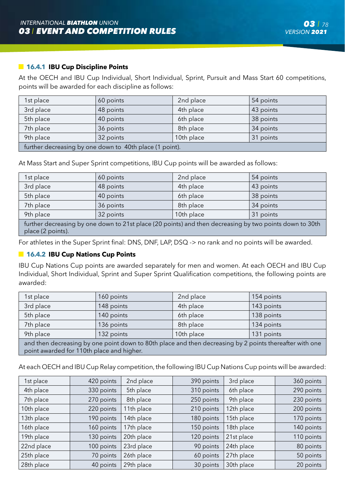## **16.4.1 IBU Cup Discipline Points**

At the OECH and IBU Cup Individual, Short Individual, Sprint, Pursuit and Mass Start 60 competitions, points will be awarded for each discipline as follows:

| 1st place                                               | 60 points | 2nd place | 54 points |  |
|---------------------------------------------------------|-----------|-----------|-----------|--|
| 3rd place                                               | 48 points | 4th place | 43 points |  |
| 5th place                                               | 40 points | 6th place | 38 points |  |
| 7th place                                               | 36 points | 8th place | 34 points |  |
| 9th place<br>10th place<br>31 points<br>32 points       |           |           |           |  |
| further decreasing by one down to 40th place (1 point). |           |           |           |  |

At Mass Start and Super Sprint competitions, IBU Cup points will be awarded as follows:

| 1st place                                                                                                                    | 60 points | 2nd place  | 54 points |  |
|------------------------------------------------------------------------------------------------------------------------------|-----------|------------|-----------|--|
| 3rd place                                                                                                                    | 48 points | 4th place  | 43 points |  |
| 5th place                                                                                                                    | 40 points | 6th place  | 38 points |  |
| 7th place                                                                                                                    | 36 points | 8th place  | 34 points |  |
| 9th place                                                                                                                    | 32 points | 10th place | 31 points |  |
| further decreasing by one down to 21st place (20 points) and then decreasing by two points down to 30th<br>place (2 points). |           |            |           |  |

For athletes in the Super Sprint final: DNS, DNF, LAP, DSQ -> no rank and no points will be awarded.

#### **16.4.2 IBU Cup Nations Cup Points**

IBU Cup Nations Cup points are awarded separately for men and women. At each OECH and IBU Cup Individual, Short Individual, Sprint and Super Sprint Qualification competitions, the following points are awarded:

| 1st place                                                                                                                                            | 160 points | 2nd place  | 154 points |  |
|------------------------------------------------------------------------------------------------------------------------------------------------------|------------|------------|------------|--|
| 3rd place                                                                                                                                            | 148 points | 4th place  | 143 points |  |
| 5th place                                                                                                                                            | 140 points | 6th place  | 138 points |  |
| 7th place                                                                                                                                            | 136 points | 8th place  | 134 points |  |
| 9th place                                                                                                                                            | 132 points | 10th place | 131 points |  |
| and then decreasing by one point down to 80th place and then decreasing by 2 points thereafter with one<br>point awarded for 110th place and higher. |            |            |            |  |

At each OECH and IBU Cup Relay competition, the following IBU Cup Nations Cup points will be awarded:

| 1st place  | 420 points | 2nd place  | 390 points | 3rd place  | 360 points |
|------------|------------|------------|------------|------------|------------|
| 4th place  | 330 points | 5th place  | 310 points | 6th place  | 290 points |
| 7th place  | 270 points | 8th place  | 250 points | 9th place  | 230 points |
| 10th place | 220 points | 11th place | 210 points | 12th place | 200 points |
| 13th place | 190 points | 14th place | 180 points | 15th place | 170 points |
| 16th place | 160 points | 17th place | 150 points | 18th place | 140 points |
| 19th place | 130 points | 20th place | 120 points | 21st place | 110 points |
| 22nd place | 100 points | 23rd place | 90 points  | 24th place | 80 points  |
| 25th place | 70 points  | 26th place | 60 points  | 27th place | 50 points  |
| 28th place | 40 points  | 29th place | 30 points  | 30th place | 20 points  |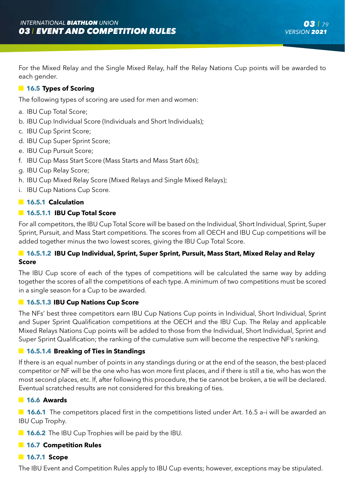For the Mixed Relay and the Single Mixed Relay, half the Relay Nations Cup points will be awarded to each gender.

# **16.5 Types of Scoring**

The following types of scoring are used for men and women:

- a. IBU Cup Total Score;
- b. IBU Cup Individual Score (Individuals and Short Individuals);
- c. IBU Cup Sprint Score;
- d. IBU Cup Super Sprint Score;
- e. IBU Cup Pursuit Score;
- f. IBU Cup Mass Start Score (Mass Starts and Mass Start 60s);
- g. IBU Cup Relay Score;
- h. IBU Cup Mixed Relay Score (Mixed Relays and Single Mixed Relays);
- i. IBU Cup Nations Cup Score.

# **16.5.1 Calculation**

# **16.5.1.1 IBU Cup Total Score**

For all competitors, the IBU Cup Total Score will be based on the Individual, Short Individual, Sprint, Super Sprint, Pursuit, and Mass Start competitions. The scores from all OECH and IBU Cup competitions will be added together minus the two lowest scores, giving the IBU Cup Total Score.

# **16.5.1.2 IBU Cup Individual, Sprint, Super Sprint, Pursuit, Mass Start, Mixed Relay and Relay Score**

The IBU Cup score of each of the types of competitions will be calculated the same way by adding together the scores of all the competitions of each type. A minimum of two competitions must be scored in a single season for a Cup to be awarded.

### **16.5.1.3 IBU Cup Nations Cup Score**

The NFs' best three competitors earn IBU Cup Nations Cup points in Individual, Short Individual, Sprint and Super Sprint Qualification competitions at the OECH and the IBU Cup. The Relay and applicable Mixed Relays Nations Cup points will be added to those from the Individual, Short Individual, Sprint and Super Sprint Qualification; the ranking of the cumulative sum will become the respective NF's ranking.

# **16.5.1.4 Breaking of Ties in Standings**

If there is an equal number of points in any standings during or at the end of the season, the best-placed competitor or NF will be the one who has won more first places, and if there is still a tie, who has won the most second places, etc. If, after following this procedure, the tie cannot be broken, a tie will be declared. Eventual scratched results are not considered for this breaking of ties.

#### **16.6 Awards**

■ 16.6.1 The competitors placed first in the competitions listed under Art. 16.5 a-i will be awarded an IBU Cup Trophy.

**16.6.2** The IBU Cup Trophies will be paid by the IBU.

#### **16.7 Competition Rules**

# **16.7.1 Scope**

The IBU Event and Competition Rules apply to IBU Cup events; however, exceptions may be stipulated.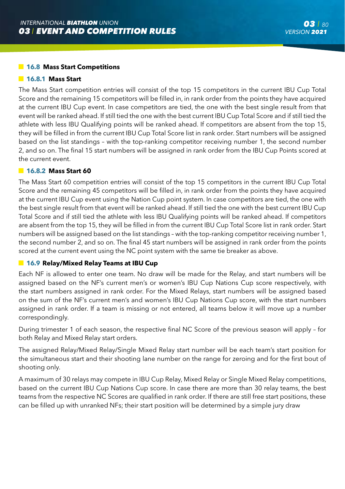## **16.8 Mass Start Competitions**

#### **16.8.1 Mass Start**

The Mass Start competition entries will consist of the top 15 competitors in the current IBU Cup Total Score and the remaining 15 competitors will be filled in, in rank order from the points they have acquired at the current IBU Cup event. In case competitors are tied, the one with the best single result from that event will be ranked ahead. If still tied the one with the best current IBU Cup Total Score and if still tied the athlete with less IBU Qualifying points will be ranked ahead. If competitors are absent from the top 15, they will be filled in from the current IBU Cup Total Score list in rank order. Start numbers will be assigned based on the list standings – with the top-ranking competitor receiving number 1, the second number 2, and so on. The final 15 start numbers will be assigned in rank order from the IBU Cup Points scored at the current event.

#### **16.8.2 Mass Start 60**

The Mass Start 60 competition entries will consist of the top 15 competitors in the current IBU Cup Total Score and the remaining 45 competitors will be filled in, in rank order from the points they have acquired at the current IBU Cup event using the Nation Cup point system. In case competitors are tied, the one with the best single result from that event will be ranked ahead. If still tied the one with the best current IBU Cup Total Score and if still tied the athlete with less IBU Qualifying points will be ranked ahead. If competitors are absent from the top 15, they will be filled in from the current IBU Cup Total Score list in rank order. Start numbers will be assigned based on the list standings – with the top-ranking competitor receiving number 1, the second number 2, and so on. The final 45 start numbers will be assigned in rank order from the points scored at the current event using the NC point system with the same tie breaker as above.

# **16.9 Relay/Mixed Relay Teams at IBU Cup**

Each NF is allowed to enter one team. No draw will be made for the Relay, and start numbers will be assigned based on the NF's current men's or women's IBU Cup Nations Cup score respectively, with the start numbers assigned in rank order. For the Mixed Relays, start numbers will be assigned based on the sum of the NF's current men's and women's IBU Cup Nations Cup score, with the start numbers assigned in rank order. If a team is missing or not entered, all teams below it will move up a number correspondingly.

During trimester 1 of each season, the respective final NC Score of the previous season will apply – for both Relay and Mixed Relay start orders.

The assigned Relay/Mixed Relay/Single Mixed Relay start number will be each team's start position for the simultaneous start and their shooting lane number on the range for zeroing and for the first bout of shooting only.

A maximum of 30 relays may compete in IBU Cup Relay, Mixed Relay or Single Mixed Relay competitions, based on the current IBU Cup Nations Cup score. In case there are more than 30 relay teams, the best teams from the respective NC Scores are qualified in rank order. If there are still free start positions, these can be filled up with unranked NFs; their start position will be determined by a simple jury draw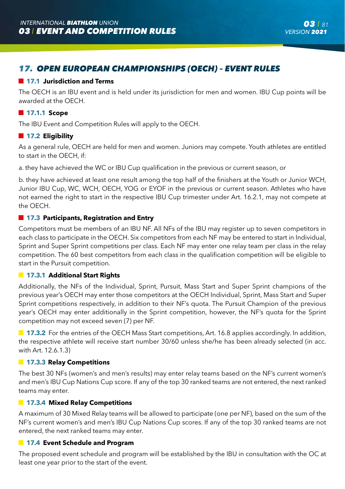# *17. OPEN EUROPEAN CHAMPIONSHIPS (OECH) – EVENT RULES*

# **17.1 Jurisdiction and Terms**

The OECH is an IBU event and is held under its jurisdiction for men and women. IBU Cup points will be awarded at the OECH.

# **17.1.1 Scope**

The IBU Event and Competition Rules will apply to the OECH.

# **17.2 Eligibility**

As a general rule, OECH are held for men and women. Juniors may compete. Youth athletes are entitled to start in the OECH, if:

a. they have achieved the WC or IBU Cup qualification in the previous or current season, or

b. they have achieved at least one result among the top half of the finishers at the Youth or Junior WCH, Junior IBU Cup, WC, WCH, OECH, YOG or EYOF in the previous or current season. Athletes who have not earned the right to start in the respective IBU Cup trimester under Art. 16.2.1, may not compete at the OECH.

# **17.3 Participants, Registration and Entry**

Competitors must be members of an IBU NF. All NFs of the IBU may register up to seven competitors in each class to participate in the OECH. Six competitors from each NF may be entered to start in Individual, Sprint and Super Sprint competitions per class. Each NF may enter one relay team per class in the relay competition. The 60 best competitors from each class in the qualification competition will be eligible to start in the Pursuit competition.

# **17.3.1 Additional Start Rights**

Additionally, the NFs of the Individual, Sprint, Pursuit, Mass Start and Super Sprint champions of the previous year's OECH may enter those competitors at the OECH Individual, Sprint, Mass Start and Super Sprint competitions respectively, in addition to their NF's quota. The Pursuit Champion of the previous year's OECH may enter additionally in the Sprint competition, however, the NF's quota for the Sprint competition may not exceed seven (7) per NF.

**17.3.2** For the entries of the OECH Mass Start competitions, Art. 16.8 applies accordingly. In addition, the respective athlete will receive start number 30/60 unless she/he has been already selected (in acc. with Art. 12.6.1.3)

# **17.3.3 Relay Competitions**

The best 30 NFs (women's and men's results) may enter relay teams based on the NF's current women's and men's IBU Cup Nations Cup score. If any of the top 30 ranked teams are not entered, the next ranked teams may enter.

# **17.3.4 Mixed Relay Competitions**

A maximum of 30 Mixed Relay teams will be allowed to participate (one per NF), based on the sum of the NF's current women's and men's IBU Cup Nations Cup scores. If any of the top 30 ranked teams are not entered, the next ranked teams may enter.

# **17.4 Event Schedule and Program**

The proposed event schedule and program will be established by the IBU in consultation with the OC at least one year prior to the start of the event.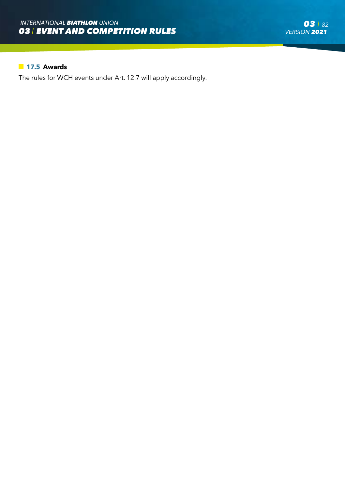# **17.5 Awards**

The rules for WCH events under Art. 12.7 will apply accordingly.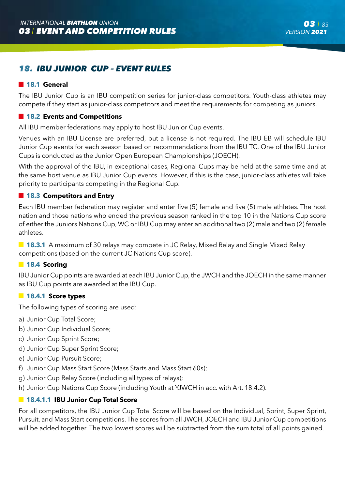# *18. IBU JUNIOR CUP – EVENT RULES*

## **18.1 General**

The IBU Junior Cup is an IBU competition series for junior-class competitors. Youth-class athletes may compete if they start as junior-class competitors and meet the requirements for competing as juniors.

# **18.2 Events and Competitions**

All IBU member federations may apply to host IBU Junior Cup events.

Venues with an IBU License are preferred, but a license is not required. The IBU EB will schedule IBU Junior Cup events for each season based on recommendations from the IBU TC. One of the IBU Junior Cups is conducted as the Junior Open European Championships (JOECH).

With the approval of the IBU, in exceptional cases, Regional Cups may be held at the same time and at the same host venue as IBU Junior Cup events. However, if this is the case, junior-class athletes will take priority to participants competing in the Regional Cup.

# **18.3 Competitors and Entry**

Each IBU member federation may register and enter five (5) female and five (5) male athletes. The host nation and those nations who ended the previous season ranked in the top 10 in the Nations Cup score of either the Juniors Nations Cup, WC or IBU Cup may enter an additional two (2) male and two (2) female athletes.

**18.3.1** A maximum of 30 relays may compete in JC Relay, Mixed Relay and Single Mixed Relay competitions (based on the current JC Nations Cup score).

### **18.4 Scoring**

IBU Junior Cup points are awarded at each IBU Junior Cup, the JWCH and the JOECH in the same manner as IBU Cup points are awarded at the IBU Cup.

#### **18.4.1 Score types**

The following types of scoring are used:

- a) Junior Cup Total Score;
- b) Junior Cup Individual Score;
- c) Junior Cup Sprint Score;
- d) Junior Cup Super Sprint Score;
- e) Junior Cup Pursuit Score;
- f) Junior Cup Mass Start Score (Mass Starts and Mass Start 60s);
- g) Junior Cup Relay Score (including all types of relays);
- h) Junior Cup Nations Cup Score (including Youth at YJWCH in acc. with Art. 18.4.2).

## **18.4.1.1 IBU Junior Cup Total Score**

For all competitors, the IBU Junior Cup Total Score will be based on the Individual, Sprint, Super Sprint, Pursuit, and Mass Start competitions. The scores from all JWCH, JOECH and IBU Junior Cup competitions will be added together. The two lowest scores will be subtracted from the sum total of all points gained.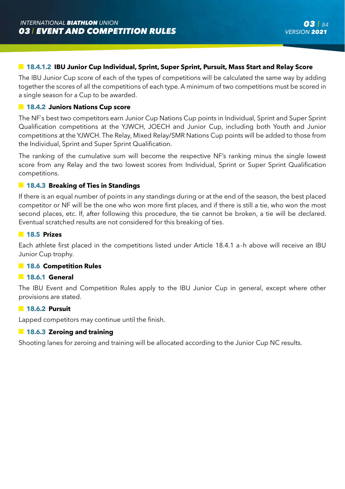# **18.4.1.2 IBU Junior Cup Individual, Sprint, Super Sprint, Pursuit, Mass Start and Relay Score**

The IBU Junior Cup score of each of the types of competitions will be calculated the same way by adding together the scores of all the competitions of each type. A minimum of two competitions must be scored in a single season for a Cup to be awarded.

#### **18.4.2 Juniors Nations Cup score**

The NF`s best two competitors earn Junior Cup Nations Cup points in Individual, Sprint and Super Sprint Qualification competitions at the YJWCH, JOECH and Junior Cup, including both Youth and Junior competitions at the YJWCH. The Relay, Mixed Relay/SMR Nations Cup points will be added to those from the Individual, Sprint and Super Sprint Qualification.

The ranking of the cumulative sum will become the respective NF's ranking minus the single lowest score from any Relay and the two lowest scores from Individual, Sprint or Super Sprint Qualification competitions.

#### **18.4.3 Breaking of Ties in Standings**

If there is an equal number of points in any standings during or at the end of the season, the best placed competitor or NF will be the one who won more first places, and if there is still a tie, who won the most second places, etc. If, after following this procedure, the tie cannot be broken, a tie will be declared. Eventual scratched results are not considered for this breaking of ties.

#### **18.5 Prizes**

Each athlete first placed in the competitions listed under Article 18.4.1 a-h above will receive an IBU Junior Cup trophy.

#### **18.6 Competition Rules**

#### **18.6.1 General**

The IBU Event and Competition Rules apply to the IBU Junior Cup in general, except where other provisions are stated.

#### **18.6.2 Pursuit**

Lapped competitors may continue until the finish.

#### **18.6.3 Zeroing and training**

Shooting lanes for zeroing and training will be allocated according to the Junior Cup NC results.